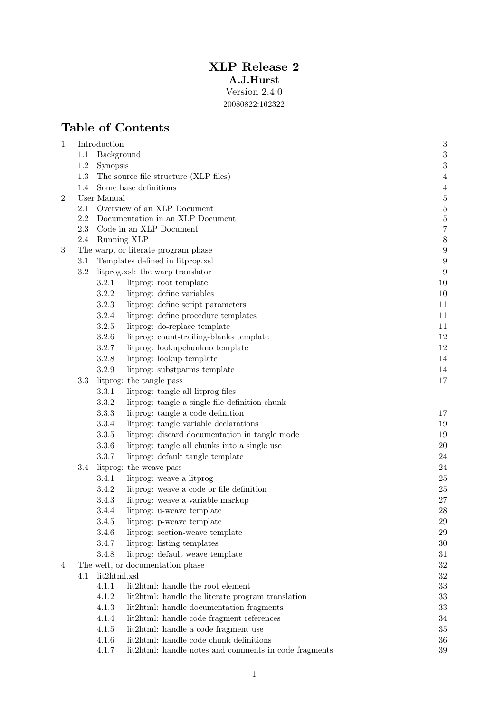## XLP Release 2 A.J.Hurst Version 2.4.0

20080822:162322

# Table of Contents

| 1              |                                     | Introduction                                                         | $\boldsymbol{3}$                 |  |  |  |  |
|----------------|-------------------------------------|----------------------------------------------------------------------|----------------------------------|--|--|--|--|
|                | 1.1                                 | Background                                                           | $\sqrt{3}$                       |  |  |  |  |
|                | $1.2\,$                             | Synopsis                                                             |                                  |  |  |  |  |
|                | 1.3                                 | The source file structure (XLP files)                                |                                  |  |  |  |  |
|                | 1.4<br>Some base definitions        |                                                                      |                                  |  |  |  |  |
| $\overline{2}$ |                                     | User Manual                                                          | $\overline{5}$<br>$\overline{5}$ |  |  |  |  |
|                | 2.1                                 | Overview of an XLP Document                                          |                                  |  |  |  |  |
|                | 2.2                                 | Documentation in an XLP Document                                     |                                  |  |  |  |  |
|                | 2.3                                 | Code in an XLP Document                                              | $\frac{5}{7}$<br>$\,$ $\,$       |  |  |  |  |
|                | 2.4                                 | Running XLP                                                          |                                  |  |  |  |  |
| 3              | The warp, or literate program phase |                                                                      |                                  |  |  |  |  |
|                | 3.1                                 | Templates defined in litprog.xsl<br>litprog.xsl: the warp translator | $\boldsymbol{9}$                 |  |  |  |  |
|                | $3.2\,$                             | 9                                                                    |                                  |  |  |  |  |
|                |                                     | 3.2.1<br>litprog: root template                                      | 10                               |  |  |  |  |
|                |                                     | 3.2.2<br>litprog: define variables                                   | $10\,$                           |  |  |  |  |
|                |                                     | 3.2.3<br>litprog: define script parameters                           | 11                               |  |  |  |  |
|                |                                     | 3.2.4<br>litprog: define procedure templates                         | 11                               |  |  |  |  |
|                |                                     | 3.2.5<br>litprog: do-replace template                                | 11                               |  |  |  |  |
|                |                                     | 3.2.6<br>litprog: count-trailing-blanks template                     | 12                               |  |  |  |  |
|                |                                     | 3.2.7<br>litprog: lookupchunkno template                             | 12                               |  |  |  |  |
|                |                                     | 3.2.8<br>litprog: lookup template                                    | 14                               |  |  |  |  |
|                |                                     | 3.2.9<br>litprog: substparms template<br>litprog: the tangle pass    | 14                               |  |  |  |  |
|                | 3.3                                 | 17                                                                   |                                  |  |  |  |  |
|                |                                     | litprog: tangle all litprog files<br>3.3.1                           |                                  |  |  |  |  |
|                |                                     | 3.3.2<br>litprog: tangle a single file definition chunk              |                                  |  |  |  |  |
|                |                                     | 3.3.3<br>litprog: tangle a code definition                           | 17                               |  |  |  |  |
|                |                                     | 3.3.4<br>litprog: tangle variable declarations                       | 19                               |  |  |  |  |
|                |                                     | $3.3.5\,$<br>litprog: discard documentation in tangle mode           | 19                               |  |  |  |  |
|                |                                     | 3.3.6<br>litprog: tangle all chunks into a single use                | $20\,$                           |  |  |  |  |
|                |                                     | 3.3.7<br>litprog: default tangle template                            | 24                               |  |  |  |  |
|                | $3.4\,$                             | litprog: the weave pass                                              | 24                               |  |  |  |  |
|                |                                     | 3.4.1<br>litprog: weave a litprog                                    | $25\,$                           |  |  |  |  |
|                |                                     | litprog: weave a code or file definition<br>3.4.2                    | $25\,$                           |  |  |  |  |
|                |                                     | 3.4.3<br>litprog: weave a variable markup                            | $27\,$                           |  |  |  |  |
|                |                                     | 3.4.4<br>litprog: u-weave template                                   | ${\bf 28}$                       |  |  |  |  |
|                |                                     | 3.4.5<br>litprog: p-weave template                                   | $\,29$                           |  |  |  |  |
|                |                                     | 3.4.6<br>litprog: section-weave template                             | 29                               |  |  |  |  |
|                |                                     | litprog: listing templates<br>3.4.7                                  | 30                               |  |  |  |  |
|                |                                     | 3.4.8<br>litprog: default weave template                             | 31                               |  |  |  |  |
| 4              |                                     | The weft, or documentation phase                                     | $32\,$                           |  |  |  |  |
|                | 4.1                                 | lit2html.xsl                                                         | $32\,$                           |  |  |  |  |
|                |                                     | 4.1.1<br>lit2html: handle the root element                           | 33                               |  |  |  |  |
|                |                                     | 4.1.2<br>lit2html: handle the literate program translation           | 33                               |  |  |  |  |
|                |                                     | 4.1.3<br>lit2html: handle documentation fragments                    | 33                               |  |  |  |  |
|                |                                     | 4.1.4<br>lit2html: handle code fragment references                   | 34                               |  |  |  |  |
|                |                                     | 4.1.5<br>lit2html: handle a code fragment use                        | $35\,$                           |  |  |  |  |
|                |                                     | lit2html: handle code chunk definitions<br>4.1.6                     | 36                               |  |  |  |  |
|                |                                     | 4.1.7<br>lit2html: handle notes and comments in code fragments       | 39                               |  |  |  |  |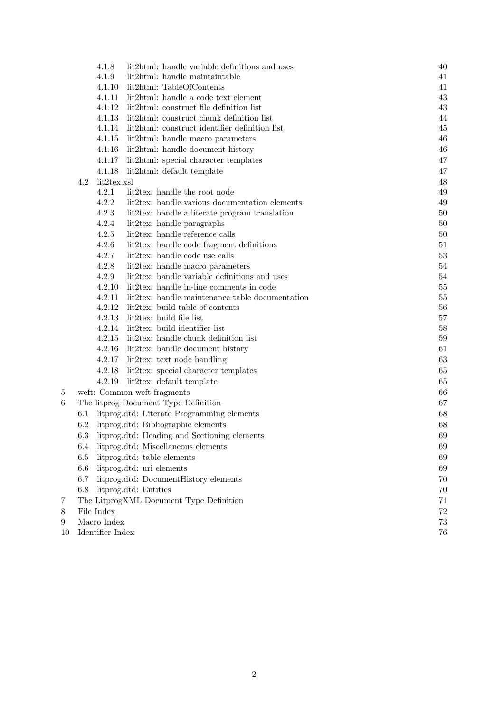|    |                                                     | 4.1.8                               | lit2html: handle variable definitions and uses                   | 40 |  |  |  |
|----|-----------------------------------------------------|-------------------------------------|------------------------------------------------------------------|----|--|--|--|
|    |                                                     | 4.1.9                               | lit2html: handle maintaintable                                   | 41 |  |  |  |
|    |                                                     |                                     | 4.1.10 lit2html: TableOfContents                                 | 41 |  |  |  |
|    |                                                     |                                     | 4.1.11 lit2html: handle a code text element                      | 43 |  |  |  |
|    |                                                     |                                     | 4.1.12 lit2html: construct file definition list                  | 43 |  |  |  |
|    |                                                     |                                     | 4.1.13 lit2html: construct chunk definition list                 | 44 |  |  |  |
|    |                                                     |                                     | 4.1.14 lit2html: construct identifier definition list            | 45 |  |  |  |
|    |                                                     | 4.1.15                              | lit2html: handle macro parameters                                | 46 |  |  |  |
|    |                                                     | 4.1.16                              | lit2html: handle document history                                | 46 |  |  |  |
|    |                                                     | 4.1.17                              | lit2html: special character templates                            | 47 |  |  |  |
|    |                                                     | 4.1.18                              | lit2html: default template                                       | 47 |  |  |  |
|    | 4.2                                                 | lit2tex.xsl                         |                                                                  | 48 |  |  |  |
|    |                                                     | 4.2.1                               | lit2tex: handle the root node                                    | 49 |  |  |  |
|    |                                                     | 4.2.2                               | lit2tex: handle various documentation elements                   | 49 |  |  |  |
|    |                                                     | 4.2.3                               | lit2tex: handle a literate program translation                   | 50 |  |  |  |
|    |                                                     | 4.2.4                               | lit2tex: handle paragraphs                                       | 50 |  |  |  |
|    |                                                     | 4.2.5                               | lit2tex: handle reference calls                                  | 50 |  |  |  |
|    |                                                     | 4.2.6                               | lit2tex: handle code fragment definitions                        | 51 |  |  |  |
|    |                                                     | 4.2.7                               | lit2tex: handle code use calls                                   | 53 |  |  |  |
|    |                                                     | 4.2.8                               | lit2tex: handle macro parameters                                 | 54 |  |  |  |
|    |                                                     | 4.2.9                               | lit2tex: handle variable definitions and uses                    | 54 |  |  |  |
|    |                                                     | 4.2.10                              | lit2tex: handle in-line comments in code                         | 55 |  |  |  |
|    |                                                     | 4.2.11                              | lit2tex: handle maintenance table documentation                  | 55 |  |  |  |
|    |                                                     | 4.2.12                              | lit2tex: build table of contents                                 | 56 |  |  |  |
|    |                                                     | 4.2.13                              | lit2tex: build file list                                         | 57 |  |  |  |
|    |                                                     |                                     | 4.2.14 lit2tex: build identifier list                            | 58 |  |  |  |
|    |                                                     |                                     | 4.2.15 lit2tex: handle chunk definition list                     | 59 |  |  |  |
|    |                                                     | 4.2.16                              | lit2tex: handle document history                                 | 61 |  |  |  |
|    |                                                     |                                     | 4.2.17 lit2tex: text node handling                               | 63 |  |  |  |
|    |                                                     | 4.2.18                              | lit2tex: special character templates                             | 65 |  |  |  |
|    |                                                     | 4.2.19                              | lit2tex: default template                                        | 65 |  |  |  |
| 5  |                                                     |                                     | weft: Common weft fragments                                      | 66 |  |  |  |
| 6  |                                                     |                                     | The litprog Document Type Definition                             | 67 |  |  |  |
|    | 6.1<br>litprog.dtd: Literate Programming elements   |                                     |                                                                  |    |  |  |  |
|    | 6.2                                                 | litprog.dtd: Bibliographic elements | 68                                                               |    |  |  |  |
|    | litprog.dtd: Heading and Sectioning elements<br>6.3 | 69                                  |                                                                  |    |  |  |  |
|    | litprog.dtd: Miscellaneous elements<br>6.4          | 69                                  |                                                                  |    |  |  |  |
|    | $6.5\,$                                             | 69                                  |                                                                  |    |  |  |  |
|    | $6.6\,$                                             |                                     | litprog.dtd: table elements<br>litprog.dtd: uri elements         | 69 |  |  |  |
|    | 6.7                                                 |                                     | litprog.dtd: DocumentHistory elements                            | 70 |  |  |  |
|    | $6.8\,$                                             | 70                                  |                                                                  |    |  |  |  |
| 7  |                                                     |                                     | litprog.dtd: Entities<br>The LitprogXML Document Type Definition | 71 |  |  |  |
| 8  |                                                     | File Index                          |                                                                  | 72 |  |  |  |
| 9  | Macro Index<br>73                                   |                                     |                                                                  |    |  |  |  |
| 10 | Identifier Index                                    |                                     |                                                                  |    |  |  |  |
|    |                                                     | 76                                  |                                                                  |    |  |  |  |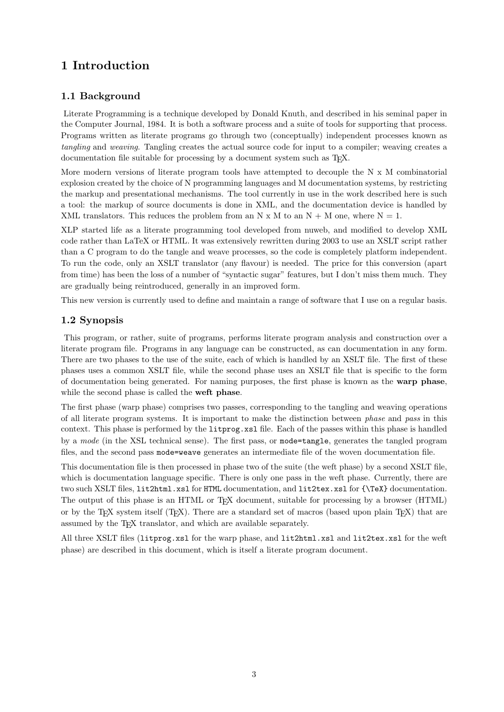# 1 Introduction

## 1.1 Background

Literate Programming is a technique developed by Donald Knuth, and described in his seminal paper in the Computer Journal, 1984. It is both a software process and a suite of tools for supporting that process. Programs written as literate programs go through two (conceptually) independent processes known as tangling and weaving. Tangling creates the actual source code for input to a compiler; weaving creates a documentation file suitable for processing by a document system such as T<sub>E</sub>X.

More modern versions of literate program tools have attempted to decouple the  $N \times M$  combinatorial explosion created by the choice of N programming languages and M documentation systems, by restricting the markup and presentational mechanisms. The tool currently in use in the work described here is such a tool: the markup of source documents is done in XML, and the documentation device is handled by XML translators. This reduces the problem from an N x M to an N + M one, where  $N = 1$ .

XLP started life as a literate programming tool developed from nuweb, and modified to develop XML code rather than LaTeX or HTML. It was extensively rewritten during 2003 to use an XSLT script rather than a C program to do the tangle and weave processes, so the code is completely platform independent. To run the code, only an XSLT translator (any flavour) is needed. The price for this conversion (apart from time) has been the loss of a number of "syntactic sugar" features, but I don't miss them much. They are gradually being reintroduced, generally in an improved form.

This new version is currently used to define and maintain a range of software that I use on a regular basis.

## 1.2 Synopsis

This program, or rather, suite of programs, performs literate program analysis and construction over a literate program file. Programs in any language can be constructed, as can documentation in any form. There are two phases to the use of the suite, each of which is handled by an XSLT file. The first of these phases uses a common XSLT file, while the second phase uses an XSLT file that is specific to the form of documentation being generated. For naming purposes, the first phase is known as the warp phase, while the second phase is called the weft phase.

The first phase (warp phase) comprises two passes, corresponding to the tangling and weaving operations of all literate program systems. It is important to make the distinction between phase and pass in this context. This phase is performed by the litprog.xsl file. Each of the passes within this phase is handled by a mode (in the XSL technical sense). The first pass, or mode=tangle, generates the tangled program files, and the second pass mode=weave generates an intermediate file of the woven documentation file.

This documentation file is then processed in phase two of the suite (the weft phase) by a second XSLT file, which is documentation language specific. There is only one pass in the weft phase. Currently, there are two such XSLT files, lit2html.xsl for HTML documentation, and lit2tex.xsl for {\TeX} documentation. The output of this phase is an HTML or T<sub>FX</sub> document, suitable for processing by a browser (HTML) or by the T<sub>E</sub>X system itself (T<sub>E</sub>X). There are a standard set of macros (based upon plain T<sub>E</sub>X) that are assumed by the TEX translator, and which are available separately.

All three XSLT files (litprog.xsl for the warp phase, and lit2html.xsl and lit2tex.xsl for the weft phase) are described in this document, which is itself a literate program document.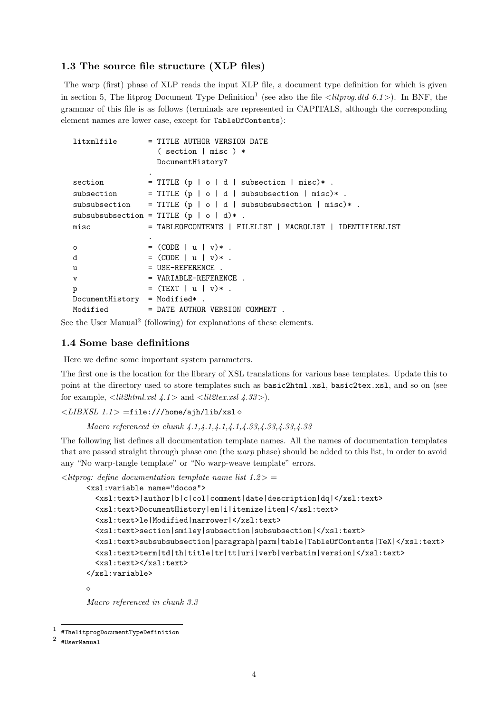## 1.3 The source file structure (XLP files)

The warp (first) phase of XLP reads the input XLP file, a document type definition for which is given in section 5, The litprog Document Type Definition<sup>1</sup> (see also the file  $\langle\text{litprog}.dtd 6.1\rangle$ ). In BNF, the grammar of this file is as follows (terminals are represented in CAPITALS, although the corresponding element names are lower case, except for TableOfContents):

```
litxmlfile = TITLE AUTHOR VERSION DATE
                ( section | misc ) *
               DocumentHistory?
              .
section = TITLE(p | o | d | subsection | miss)*.
subsection = TITLE (p | o | d | subsubsection | misc)* .
subsubsection = TITLE (p | o | d | subsubsubsection | misc)*.
subsubsubsection = TITLE (p | o | d)*.
misc = TABLEOFCONTENTS | FILELIST | MACROLIST | IDENTIFIERLIST
              .
o = (CODE \mid u \mid v)*.
d = (CODE | u | v) + .
u = USE-REFERENCE.
v = VARIABLE-REFERENCE.
p = (TEXT | u | v)*.
DocumentHistory = Modified* .
Modified = DATE AUTHOR VERSION COMMENT .
```
See the User Manual<sup>2</sup> (following) for explanations of these elements.

## 1.4 Some base definitions

Here we define some important system parameters.

The first one is the location for the library of XSL translations for various base templates. Update this to point at the directory used to store templates such as basic2html.xsl, basic2tex.xsl, and so on (see for example,  $\langle \text{lit2} \text{htm1} \text{.} \text{rsl} \text{ 4.1} \rangle$  and  $\langle \text{lit2} \text{tex} \text{.} \text{rsl} \text{ 4.33} \rangle$ .

 $\langle \angle LIBXSL 1.1 \rangle =$ file:///home/ajh/lib/xsl  $\diamond$ 

Macro referenced in chunk 4.1,4.1,4.1,4.1,4.33,4.33,4.33,4.33

The following list defines all documentation template names. All the names of documentation templates that are passed straight through phase one (the warp phase) should be added to this list, in order to avoid any "No warp-tangle template" or "No warp-weave template" errors.

 $\langle$  litterog: define documentation template name list 1.2 $>$  =

```
<xsl:variable name="docos">
  <xsl:text>|author|b|c|col|comment|date|description|dq|</xsl:text>
  <xsl:text>DocumentHistory|em|i|itemize|item|</xsl:text>
  <xsl:text>le|Modified|narrower|</xsl:text>
  <xsl:text>section|smiley|subsection|subsubsection|</xsl:text>
  <xsl:text>subsubsubsection|paragraph|parm|table|TableOfContents|TeX|</xsl:text>
  <xsl:text>term|td|th|title|tr|tt|uri|verb|verbatim|version|</xsl:text>
  <xsl:text></xsl:text>
</xsl:variable>
```
 $\Diamond$ 

Macro referenced in chunk 3.3

 $^{\mathrm{1}}$  #ThelitprogDocumentTypeDefinition

<sup>2</sup> #UserManual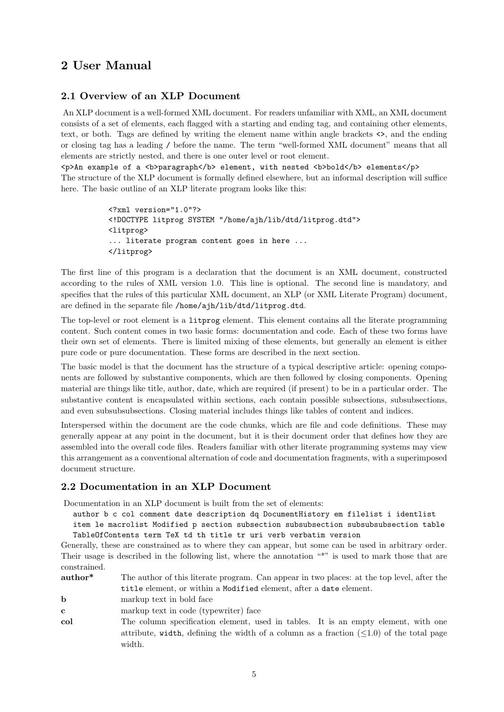## 2 User Manual

## 2.1 Overview of an XLP Document

An XLP document is a well-formed XML document. For readers unfamiliar with XML, an XML document consists of a set of elements, each flagged with a starting and ending tag, and containing other elements, text, or both. Tags are defined by writing the element name within angle brackets <>, and the ending or closing tag has a leading / before the name. The term "well-formed XML document" means that all elements are strictly nested, and there is one outer level or root element.

 $p>An example of a **b>paragnh** /b> element, with nested **b>bold** /b> elements$ The structure of the XLP document is formally defined elsewhere, but an informal description will suffice here. The basic outline of an XLP literate program looks like this:

```
<?xml version="1.0"?>
<!DOCTYPE litprog SYSTEM "/home/ajh/lib/dtd/litprog.dtd">
<litprog>
... literate program content goes in here ...
</litprog>
```
The first line of this program is a declaration that the document is an XML document, constructed according to the rules of XML version 1.0. This line is optional. The second line is mandatory, and specifies that the rules of this particular XML document, an XLP (or XML Literate Program) document, are defined in the separate file /home/ajh/lib/dtd/litprog.dtd.

The top-level or root element is a litprog element. This element contains all the literate programming content. Such content comes in two basic forms: documentation and code. Each of these two forms have their own set of elements. There is limited mixing of these elements, but generally an element is either pure code or pure documentation. These forms are described in the next section.

The basic model is that the document has the structure of a typical descriptive article: opening components are followed by substantive components, which are then followed by closing components. Opening material are things like title, author, date, which are required (if present) to be in a particular order. The substantive content is encapsulated within sections, each contain possible subsections, subsubsections, and even subsubsubsections. Closing material includes things like tables of content and indices.

Interspersed within the document are the code chunks, which are file and code definitions. These may generally appear at any point in the document, but it is their document order that defines how they are assembled into the overall code files. Readers familiar with other literate programming systems may view this arrangement as a conventional alternation of code and documentation fragments, with a superimposed document structure.

## 2.2 Documentation in an XLP Document

Documentation in an XLP document is built from the set of elements:

author b c col comment date description dq DocumentHistory em filelist i identlist

item le macrolist Modified p section subsection subsubsection subsubsubsection table TableOfContents term TeX td th title tr uri verb verbatim version

Generally, these are constrained as to where they can appear, but some can be used in arbitrary order. Their usage is described in the following list, where the annotation "\*" is used to mark those that are constrained.

| author <sup>*</sup> | The author of this literate program. Can appear in two places: at the top level, after the |
|---------------------|--------------------------------------------------------------------------------------------|
|                     | title element, or within a Modified element, after a date element.                         |

- **b** markup text in bold face
- c markup text in code (typewriter) face
- col The column specification element, used in tables. It is an empty element, with one attribute, width, defining the width of a column as a fraction  $(\leq 1.0)$  of the total page width.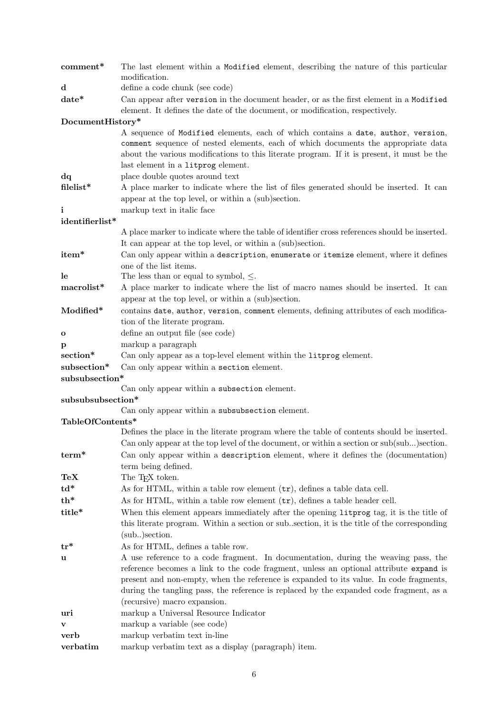| comment*               | The last element within a Modified element, describing the nature of this particular                                                                                                                                  |  |  |  |  |
|------------------------|-----------------------------------------------------------------------------------------------------------------------------------------------------------------------------------------------------------------------|--|--|--|--|
|                        | modification.                                                                                                                                                                                                         |  |  |  |  |
| $\mathbf d$            | define a code chunk (see code)                                                                                                                                                                                        |  |  |  |  |
| date*                  | Can appear after version in the document header, or as the first element in a Modified<br>element. It defines the date of the document, or modification, respectively.                                                |  |  |  |  |
| DocumentHistory*       |                                                                                                                                                                                                                       |  |  |  |  |
|                        | A sequence of Modified elements, each of which contains a date, author, version,                                                                                                                                      |  |  |  |  |
|                        | comment sequence of nested elements, each of which documents the appropriate data<br>about the various modifications to this literate program. If it is present, it must be the<br>last element in a litprog element. |  |  |  |  |
| dq                     | place double quotes around text                                                                                                                                                                                       |  |  |  |  |
| filelist*              | A place marker to indicate where the list of files generated should be inserted. It can                                                                                                                               |  |  |  |  |
|                        | appear at the top level, or within a (sub)section.                                                                                                                                                                    |  |  |  |  |
| i                      | markup text in italic face                                                                                                                                                                                            |  |  |  |  |
| identifierlist*        |                                                                                                                                                                                                                       |  |  |  |  |
|                        | A place marker to indicate where the table of identifier cross references should be inserted.                                                                                                                         |  |  |  |  |
|                        | It can appear at the top level, or within a (sub)section.                                                                                                                                                             |  |  |  |  |
| item*                  | Can only appear within a description, enumerate or itemize element, where it defines                                                                                                                                  |  |  |  |  |
|                        | one of the list items.                                                                                                                                                                                                |  |  |  |  |
| le                     | The less than or equal to symbol, $\leq$ .                                                                                                                                                                            |  |  |  |  |
| $\mathrm{macrolist}^*$ | A place marker to indicate where the list of macro names should be inserted. It can<br>appear at the top level, or within a (sub)section.                                                                             |  |  |  |  |
| Modified*              | contains date, author, version, comment elements, defining attributes of each modifica-                                                                                                                               |  |  |  |  |
|                        | tion of the literate program.                                                                                                                                                                                         |  |  |  |  |
| $\mathbf{o}$           | define an output file (see code)                                                                                                                                                                                      |  |  |  |  |
| p                      | markup a paragraph                                                                                                                                                                                                    |  |  |  |  |
| $\rm{section}^*$       | Can only appear as a top-level element within the litprog element.                                                                                                                                                    |  |  |  |  |
| subsection*            | Can only appear within a section element.                                                                                                                                                                             |  |  |  |  |
| subsubsection*         |                                                                                                                                                                                                                       |  |  |  |  |
|                        | Can only appear within a subsection element.                                                                                                                                                                          |  |  |  |  |
| subsubsubsection*      |                                                                                                                                                                                                                       |  |  |  |  |
|                        | Can only appear within a subsubsection element.                                                                                                                                                                       |  |  |  |  |
| TableOfContents*       |                                                                                                                                                                                                                       |  |  |  |  |
|                        | Defines the place in the literate program where the table of contents should be inserted.                                                                                                                             |  |  |  |  |
|                        | Can only appear at the top level of the document, or within a section or sub(sub) section.                                                                                                                            |  |  |  |  |
| $term*$                | Can only appear within a description element, where it defines the (documentation)                                                                                                                                    |  |  |  |  |
|                        | term being defined.                                                                                                                                                                                                   |  |  |  |  |
| TeX                    | The T <sub>F</sub> X token.                                                                                                                                                                                           |  |  |  |  |
| $\mathrm{td}^*$        | As for HTML, within a table row element $(\mathsf{tr})$ , defines a table data cell.                                                                                                                                  |  |  |  |  |
| $th*$                  | As for HTML, within a table row element $(\mathsf{tr})$ , defines a table header cell.                                                                                                                                |  |  |  |  |
| title*                 | When this element appears immediately after the opening litprog tag, it is the title of                                                                                                                               |  |  |  |  |
|                        | this literate program. Within a section or sub. section, it is the title of the corresponding                                                                                                                         |  |  |  |  |
|                        | (sub.) section.                                                                                                                                                                                                       |  |  |  |  |
| $tr^*$                 | As for HTML, defines a table row.                                                                                                                                                                                     |  |  |  |  |
| u                      | A use reference to a code fragment. In documentation, during the weaving pass, the                                                                                                                                    |  |  |  |  |
|                        | reference becomes a link to the code fragment, unless an optional attribute expand is<br>present and non-empty, when the reference is expanded to its value. In code fragments,                                       |  |  |  |  |
|                        | during the tangling pass, the reference is replaced by the expanded code fragment, as a                                                                                                                               |  |  |  |  |
|                        | (recursive) macro expansion.                                                                                                                                                                                          |  |  |  |  |
| uri                    | markup a Universal Resource Indicator                                                                                                                                                                                 |  |  |  |  |
| v                      | markup a variable (see code)                                                                                                                                                                                          |  |  |  |  |
| verb                   | markup verbatim text in-line                                                                                                                                                                                          |  |  |  |  |
| verbatim               | markup verbatim text as a display (paragraph) item.                                                                                                                                                                   |  |  |  |  |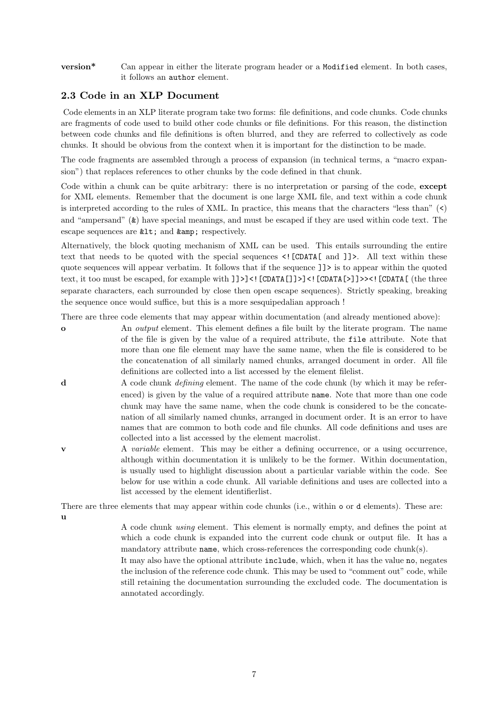version\* Can appear in either the literate program header or a Modified element. In both cases, it follows an author element.

## 2.3 Code in an XLP Document

Code elements in an XLP literate program take two forms: file definitions, and code chunks. Code chunks are fragments of code used to build other code chunks or file definitions. For this reason, the distinction between code chunks and file definitions is often blurred, and they are referred to collectively as code chunks. It should be obvious from the context when it is important for the distinction to be made.

The code fragments are assembled through a process of expansion (in technical terms, a "macro expansion") that replaces references to other chunks by the code defined in that chunk.

Code within a chunk can be quite arbitrary: there is no interpretation or parsing of the code, except for XML elements. Remember that the document is one large XML file, and text within a code chunk is interpreted according to the rules of XML. In practice, this means that the characters "less than"  $\langle \langle \rangle$ and "ampersand" (&) have special meanings, and must be escaped if they are used within code text. The escape sequences are  $klt$ ; and  $kamp$ ; respectively.

Alternatively, the block quoting mechanism of XML can be used. This entails surrounding the entire text that needs to be quoted with the special sequences <![CDATA[ and ]]>. All text within these quote sequences will appear verbatim. It follows that if the sequence ]]> is to appear within the quoted text, it too must be escaped, for example with ]]>]<![CDATA[]]>]<![CDATA[>]]>><![CDATA[ (the three separate characters, each surrounded by close then open escape sequences). Strictly speaking, breaking the sequence once would suffice, but this is a more sesquipedalian approach !

There are three code elements that may appear within documentation (and already mentioned above):

- o An output element. This element defines a file built by the literate program. The name of the file is given by the value of a required attribute, the file attribute. Note that more than one file element may have the same name, when the file is considered to be the concatenation of all similarly named chunks, arranged document in order. All file definitions are collected into a list accessed by the element filelist.
- d A code chunk defining element. The name of the code chunk (by which it may be referenced) is given by the value of a required attribute name. Note that more than one code chunk may have the same name, when the code chunk is considered to be the concatenation of all similarly named chunks, arranged in document order. It is an error to have names that are common to both code and file chunks. All code definitions and uses are collected into a list accessed by the element macrolist.
- v A *variable* element. This may be either a defining occurrence, or a using occurrence, although within documentation it is unlikely to be the former. Within documentation, is usually used to highlight discussion about a particular variable within the code. See below for use within a code chunk. All variable definitions and uses are collected into a list accessed by the element identifierlist.

There are three elements that may appear within code chunks (i.e., within o or d elements). These are: u

> A code chunk using element. This element is normally empty, and defines the point at which a code chunk is expanded into the current code chunk or output file. It has a mandatory attribute name, which cross-references the corresponding code chunk(s).

> It may also have the optional attribute include, which, when it has the value no, negates the inclusion of the reference code chunk. This may be used to "comment out" code, while still retaining the documentation surrounding the excluded code. The documentation is annotated accordingly.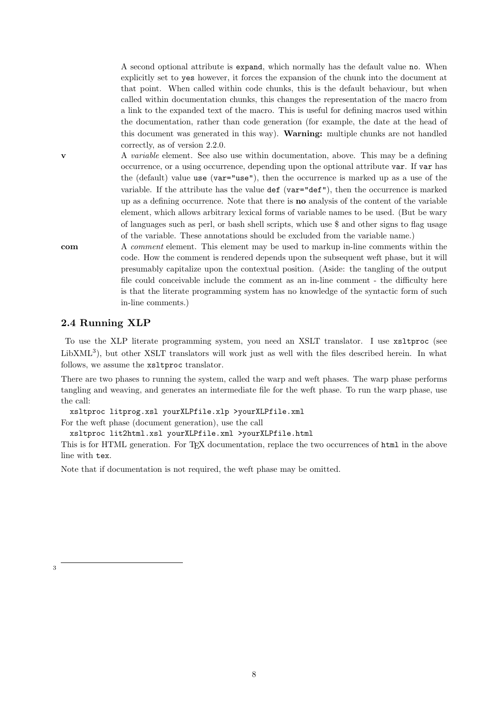A second optional attribute is expand, which normally has the default value no. When explicitly set to yes however, it forces the expansion of the chunk into the document at that point. When called within code chunks, this is the default behaviour, but when called within documentation chunks, this changes the representation of the macro from a link to the expanded text of the macro. This is useful for defining macros used within the documentation, rather than code generation (for example, the date at the head of this document was generated in this way). Warning: multiple chunks are not handled correctly, as of version 2.2.0.

 $\bf{v}$  A *variable* element. See also use within documentation, above. This may be a defining occurrence, or a using occurrence, depending upon the optional attribute var. If var has the (default) value use (var="use"), then the occurrence is marked up as a use of the variable. If the attribute has the value def (var="def"), then the occurrence is marked up as a defining occurrence. Note that there is no analysis of the content of the variable element, which allows arbitrary lexical forms of variable names to be used. (But be wary of languages such as perl, or bash shell scripts, which use \$ and other signs to flag usage of the variable. These annotations should be excluded from the variable name.)

com A comment element. This element may be used to markup in-line comments within the code. How the comment is rendered depends upon the subsequent weft phase, but it will presumably capitalize upon the contextual position. (Aside: the tangling of the output file could conceivable include the comment as an in-line comment - the difficulty here is that the literate programming system has no knowledge of the syntactic form of such in-line comments.)

## 2.4 Running XLP

To use the XLP literate programming system, you need an XSLT translator. I use xsltproc (see LibXML<sup>3</sup>), but other XSLT translators will work just as well with the files described herein. In what follows, we assume the xsltproc translator.

There are two phases to running the system, called the warp and weft phases. The warp phase performs tangling and weaving, and generates an intermediate file for the weft phase. To run the warp phase, use the call:

xsltproc litprog.xsl yourXLPfile.xlp >yourXLPfile.xml For the weft phase (document generation), use the call

xsltproc lit2html.xsl yourXLPfile.xml >yourXLPfile.html

This is for HTML generation. For TFX documentation, replace the two occurrences of html in the above line with tex.

Note that if documentation is not required, the weft phase may be omitted.

3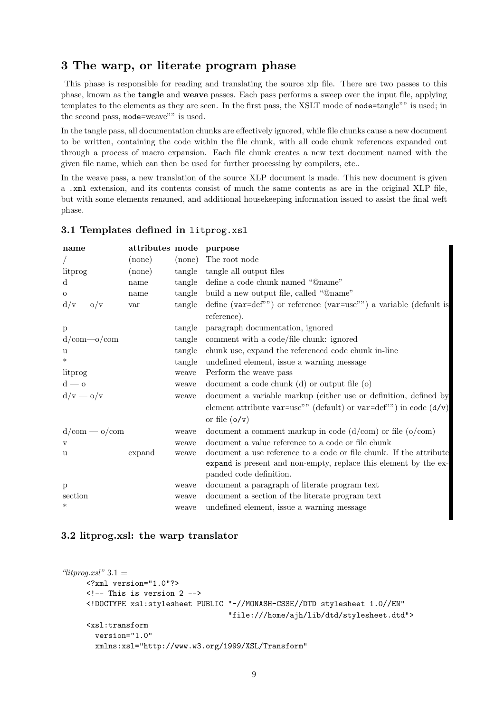## 3 The warp, or literate program phase

This phase is responsible for reading and translating the source xlp file. There are two passes to this phase, known as the tangle and weave passes. Each pass performs a sweep over the input file, applying templates to the elements as they are seen. In the first pass, the XSLT mode of mode=tangle"" is used; in the second pass, mode=weave"" is used.

In the tangle pass, all documentation chunks are effectively ignored, while file chunks cause a new document to be written, containing the code within the file chunk, with all code chunk references expanded out through a process of macro expansion. Each file chunk creates a new text document named with the given file name, which can then be used for further processing by compilers, etc..

In the weave pass, a new translation of the source XLP document is made. This new document is given a .xml extension, and its contents consist of much the same contents as are in the original XLP file, but with some elements renamed, and additional housekeeping information issued to assist the final weft phase.

## 3.1 Templates defined in litprog.xsl

| name          | attributes mode purpose |        |                                                                            |
|---------------|-------------------------|--------|----------------------------------------------------------------------------|
|               | $(\text{none})$         | (none) | The root node                                                              |
| litprog       | $(\text{none})$         | tangle | tangle all output files                                                    |
| $\mathbf d$   | name                    |        | tangle define a code chunk named "@name"                                   |
| $\mathbf{O}$  | name                    | tangle | build a new output file, called "@name"                                    |
| $d/v - o/v$   | var                     | tangle | define ( $var=def''$ ) or reference ( $var=use''$ ) a variable (default is |
|               |                         |        | reference).                                                                |
| $\mathbf{p}$  |                         | tangle | paragraph documentation, ignored                                           |
| $d/cm$ -o/com |                         | tangle | comment with a code/file chunk: ignored                                    |
| u             |                         | tangle | chunk use, expand the referenced code chunk in-line                        |
| $\ast$        |                         | tangle | undefined element, issue a warning message                                 |
| litprog       |                         | weave  | Perform the weave pass                                                     |
| $d - o$       |                         | weave  | document a code chunk $(d)$ or output file $(o)$                           |
| $d/v - o/v$   |                         | weave  | document a variable markup (either use or definition, defined by           |
|               |                         |        | element attribute var=use"" (default) or var=def"") in code $(d/v)$        |
|               |                         |        | or file $(o/v)$                                                            |
| $d/cm - o/cm$ |                         | weave  | document a comment markup in code $(d/cm)$ or file $(o/cm)$                |
| $\mathbf v$   |                         | weave  | document a value reference to a code or file chunk                         |
| u             | expand                  | weave  | document a use reference to a code or file chunk. If the attribute         |
|               |                         |        | expand is present and non-empty, replace this element by the ex-           |
|               |                         |        | panded code definition.                                                    |
| p             |                         | weave  | document a paragraph of literate program text                              |
| section       |                         | weave  | document a section of the literate program text                            |
| $\ast$        |                         | weave  | undefined element, issue a warning message                                 |

## 3.2 litprog.xsl: the warp translator

```
"litprog.xsl" 3.1 =<?xml version="1.0"?>
     \langle!-- This is version 2 -->
     <!DOCTYPE xsl:stylesheet PUBLIC "-//MONASH-CSSE//DTD stylesheet 1.0//EN"
                                       "file:///home/ajh/lib/dtd/stylesheet.dtd">
     <xsl:transform
       version="1.0"
       xmlns:xsl="http://www.w3.org/1999/XSL/Transform"
```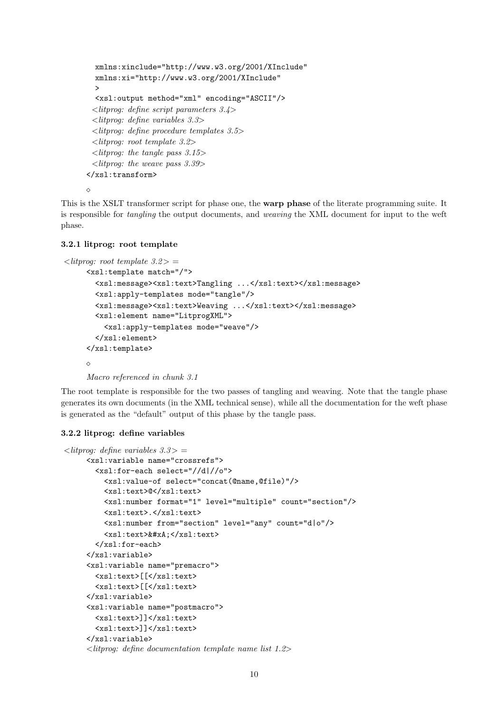```
xmlns:xinclude="http://www.w3.org/2001/XInclude"
  xmlns:xi="http://www.w3.org/2001/XInclude"
  >
  <xsl:output method="xml" encoding="ASCII"/>
 <litprog: define script parameters 3.4>
 <litprog: define variables 3.3>
 <litprog: define procedure templates 3.5>
 <litprog: root template 3.2>
 \langlelitprog: the tangle pass 3.15>
 \langlelitprog: the weave pass 3.39>
</xsl:transform>
◇
```
This is the XSLT transformer script for phase one, the warp phase of the literate programming suite. It is responsible for tangling the output documents, and weaving the XML document for input to the weft phase.

## 3.2.1 litprog: root template

```
\langlelitprog: root template 3.2> =
     <xsl:template match="/">
       <xsl:message><xsl:text>Tangling ...</xsl:text></xsl:message>
       <xsl:apply-templates mode="tangle"/>
       <xsl:message><xsl:text>Weaving ...</xsl:text></xsl:message>
       <xsl:element name="LitprogXML">
         <xsl:apply-templates mode="weave"/>
       </xsl:element>
     </xsl:template>
     \Diamond
```
Macro referenced in chunk 3.1

The root template is responsible for the two passes of tangling and weaving. Note that the tangle phase generates its own documents (in the XML technical sense), while all the documentation for the weft phase is generated as the "default" output of this phase by the tangle pass.

## 3.2.2 litprog: define variables

```
\langlelitprog: define variables 3.3 > =
     <xsl:variable name="crossrefs">
       <xsl:for-each select="//d|//o">
         <xsl:value-of select="concat(@name,@file)"/>
         <xsl:text>@</xsl:text>
         <xsl:number format="1" level="multiple" count="section"/>
         <xsl:text>.</xsl:text>
         <xsl:number from="section" level="any" count="d|o"/>
         <xsl:text>&#xA;</xsl:text>
       </xsl:for-each>
     </xsl:variable>
     <xsl:variable name="premacro">
       <xsl:text>[[</xsl:text>
       <xsl:text>[[</xsl:text>
     </xsl:variable>
     <xsl:variable name="postmacro">
       <xsl:text>]]</xsl:text>
       <xsl:text>]]</xsl:text>
     </xsl:variable>
     <litprog: define documentation template name list 1.2>
```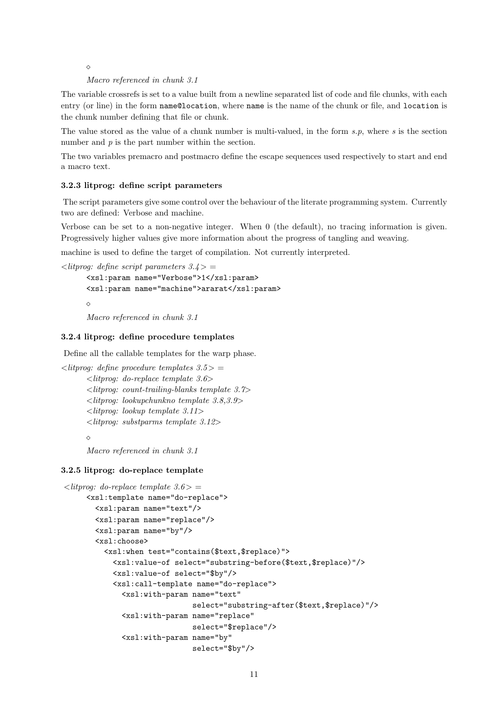$\Diamond$ 

#### Macro referenced in chunk 3.1

The variable crossrefs is set to a value built from a newline separated list of code and file chunks, with each entry (or line) in the form name@location, where name is the name of the chunk or file, and location is the chunk number defining that file or chunk.

The value stored as the value of a chunk number is multi-valued, in the form  $s.p$ , where  $s$  is the section number and  $p$  is the part number within the section.

The two variables premacro and postmacro define the escape sequences used respectively to start and end a macro text.

#### 3.2.3 litprog: define script parameters

The script parameters give some control over the behaviour of the literate programming system. Currently two are defined: Verbose and machine.

Verbose can be set to a non-negative integer. When 0 (the default), no tracing information is given. Progressively higher values give more information about the progress of tangling and weaving.

machine is used to define the target of compilation. Not currently interpreted.

 $\langle$ litprog: define script parameters 3.4 > =

```
<xsl:param name="Verbose">1</xsl:param>
<xsl:param name="machine">ararat</xsl:param>
\Diamond
```
Macro referenced in chunk 3.1

#### 3.2.4 litprog: define procedure templates

Define all the callable templates for the warp phase.

```
\langlelitprog: define procedure templates 3.5 > =
       \langlelitprog: do-replace template 3.6>
       \leqlitprog: count-trailing-blanks template 3.7>
       <litprog: lookupchunkno template 3.8,3.9>
       \langlelitprog: lookup template 3.11><litprog: substparms template 3.12>
       \Diamond
```
Macro referenced in chunk 3.1

### 3.2.5 litprog: do-replace template

```
\langlelitprog: do-replace template 3.6 > =
     <xsl:template name="do-replace">
       <xsl:param name="text"/>
       <xsl:param name="replace"/>
       <xsl:param name="by"/>
       <xsl:choose>
         <xsl:when test="contains($text,$replace)">
           <xsl:value-of select="substring-before($text,$replace)"/>
           <xsl:value-of select="$by"/>
           <xsl:call-template name="do-replace">
             <xsl:with-param name="text"
                              select="substring-after($text,$replace)"/>
             <xsl:with-param name="replace"
                              select="$replace"/>
             <xsl:with-param name="by"
                              select="$by"/>
```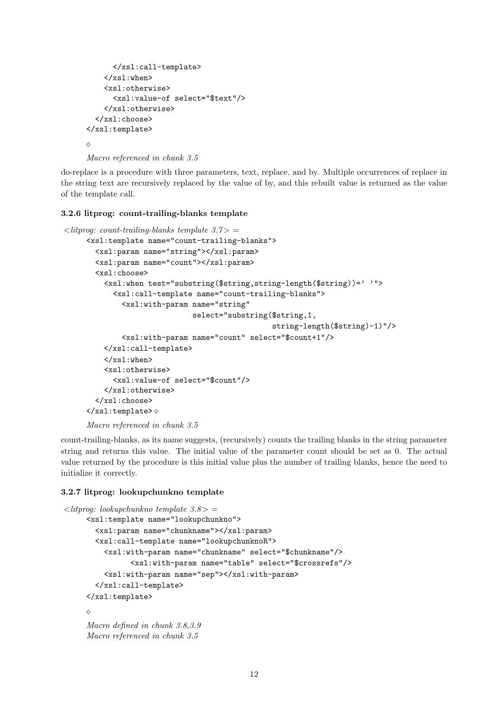```
</xsl:call-template>
    \langle xsl:when\rangle<xsl:otherwise>
       <xsl:value-of select="$text"/>
    </xsl:otherwise>
  </xsl:choose>
</xsl:template>
\Diamond
```
Macro referenced in chunk 3.5

do-replace is a procedure with three parameters, text, replace, and by. Multiple occurrences of replace in the string text are recursively replaced by the value of by, and this rebuilt value is returned as the value of the template call.

## 3.2.6 litprog: count-trailing-blanks template

```
\langlelitprog: count-trailing-blanks template 3.7>
     <xsl:template name="count-trailing-blanks">
       <xsl:param name="string"></xsl:param>
       <xsl:param name="count"></xsl:param>
       <xsl:choose>
         <xsl:when test="substring($string,string-length($string))=' '">
           <xsl:call-template name="count-trailing-blanks">
              <xsl:with-param name="string"
                               select="substring($string,1,
                                                  string-length($string)-1)"/>
              <xsl:with-param name="count" select="$count+1"/>
         </xsl:call-template>
         </xsl:when>
         <xsl:otherwise>
            <xsl:value-of select="$count"/>
         </xsl:otherwise>
       </xsl:choose>
     \langle xsl:template\rangle \diamondMacro referenced in chunk 3.5
```

```
count-trailing-blanks, as its name suggests, (recursively) counts the trailing blanks in the string parameter
string and returns this value. The initial value of the parameter count should be set as 0. The actual
value returned by the procedure is this initial value plus the number of trailing blanks, hence the need to
initialize it correctly.
```
## 3.2.7 litprog: lookupchunkno template

```
\langlelitprog: lookupchunkno template 3.8>
     <xsl:template name="lookupchunkno">
       <xsl:param name="chunkname"></xsl:param>
       <xsl:call-template name="lookupchunknoR">
         <xsl:with-param name="chunkname" select="$chunkname"/>
                <xsl:with-param name="table" select="$crossrefs"/>
         <xsl:with-param name="sep"></xsl:with-param>
       </xsl:call-template>
     </xsl:template>
     \DiamondMacro defined in chunk 3.8,3.9
     Macro referenced in chunk 3.5
```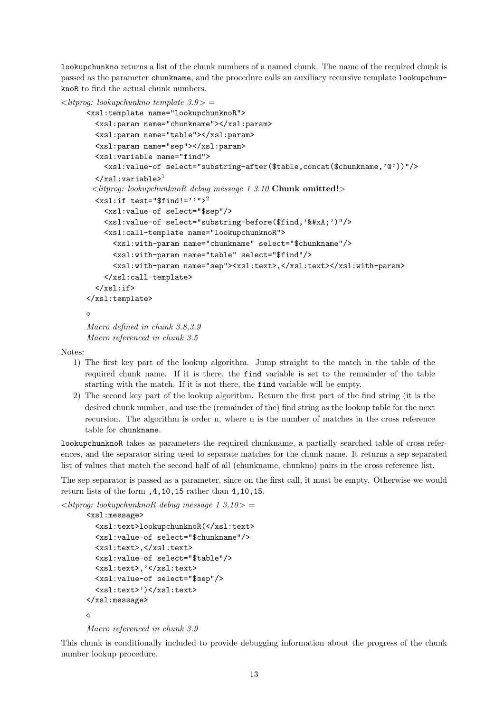lookupchunkno returns a list of the chunk numbers of a named chunk. The name of the required chunk is passed as the parameter chunkname, and the procedure calls an auxiliary recursive template lookupchunknoR to find the actual chunk numbers.

```
\langlelitprog: lookupchunkno template 3.9> =
      <xsl:template name="lookupchunknoR">
        <xsl:param name="chunkname"></xsl:param>
        <xsl:param name="table"></xsl:param>
        <xsl:param name="sep"></xsl:param>
        <xsl:variable name="find">
           <xsl:value-of select="substring-after($table,concat($chunkname,'@'))"/>
        \langle xsl:variable\rangle<sup>1</sup>
       \langlelitprog: lookupchunknoR debug message 1 3.10 Chunk omitted!>
        \text{txsl:if test}="$find!=''" " >^2<xsl:value-of select="$sep"/>
           <xsl:value-of select="substring-before($find,'&#xA;')"/>
          <xsl:call-template name="lookupchunknoR">
             <xsl:with-param name="chunkname" select="$chunkname"/>
             <xsl:with-param name="table" select="$find"/>
             <xsl:with-param name="sep"><xsl:text>,</xsl:text></xsl:with-param>
          </xsl:call-template>
        \langle x s | : if \rangle</xsl:template>
      \triangleMacro defined in chunk 3.8,3.9
      Macro referenced in chunk 3.5
```
Notes:

- 1) The first key part of the lookup algorithm. Jump straight to the match in the table of the required chunk name. If it is there, the find variable is set to the remainder of the table starting with the match. If it is not there, the find variable will be empty.
- 2) The second key part of the lookup algorithm. Return the first part of the find string (it is the desired chunk number, and use the (remainder of the) find string as the lookup table for the next recursion. The algorithm is order n, where n is the number of matches in the cross reference table for chunkname.

lookupchunknoR takes as parameters the required chunkname, a partially searched table of cross references, and the separator string used to separate matches for the chunk name. It returns a sep separated list of values that match the second half of all (chunkname, chunkno) pairs in the cross reference list.

The sep separator is passed as a parameter, since on the first call, it must be empty. Otherwise we would return lists of the form ,4,10,15 rather than 4,10,15.

```
\langlelitprog: lookupchunknoR debug message 1 3.10>
      <xsl:message>
        <xsl:text>lookupchunknoR(</xsl:text>
        <xsl:value-of select="$chunkname"/>
        <xsl:text>,</xsl:text>
        <xsl:value-of select="$table"/>
        <xsl:text>,'</xsl:text>
        <xsl:value-of select="$sep"/>
        <xsl:text>')</xsl:text>
      </xsl:message>
      \DiamondMacro referenced in chunk 3.9
```
This chunk is conditionally included to provide debugging information about the progress of the chunk number lookup procedure.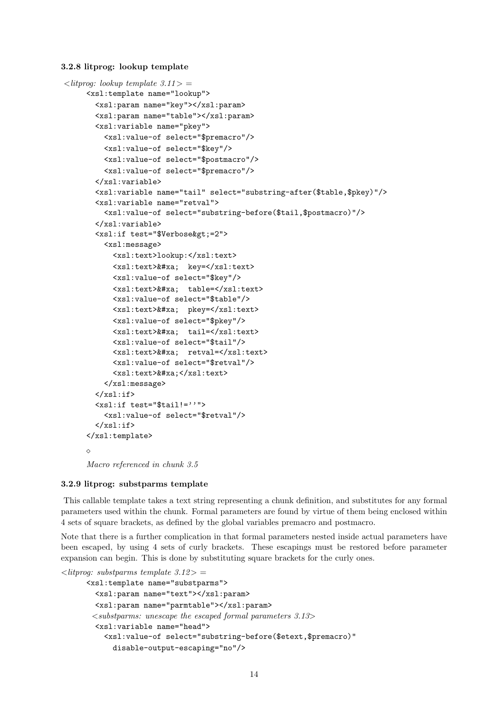3.2.8 litprog: lookup template

```
\langlelitprog: lookup template 3.11> =
     <xsl:template name="lookup">
       <xsl:param name="key"></xsl:param>
       <xsl:param name="table"></xsl:param>
       <xsl:variable name="pkey">
         <xsl:value-of select="$premacro"/>
         <xsl:value-of select="$key"/>
         <xsl:value-of select="$postmacro"/>
         <xsl:value-of select="$premacro"/>
       </xsl:variable>
       <xsl:variable name="tail" select="substring-after($table,$pkey)"/>
       <xsl:variable name="retval">
         <xsl:value-of select="substring-before($tail,$postmacro)"/>
       </xsl:variable>
       <xsl:if test="$Verbose&gt;=2">
         <xsl:message>
           <xsl:text>lookup:</xsl:text>
           <xsl:text>&#xa; key=</xsl:text>
           <xsl:value-of select="$key"/>
           <xsl:text>&#xa; table=</xsl:text>
           <xsl:value-of select="$table"/>
           <xsl:text> &#xa; pkey = </xsl:text>
           <xsl:value-of select="$pkey"/>
           <xsl:text>&#xa; tail=</xsl:text>
           <xsl:value-of select="$tail"/>
           <xsl:text>&#xa; retval=</xsl:text>
           <xsl:value-of select="$retval"/>
           <xsl:text>&#xa;</xsl:text>
         </xsl:message>
       \langle xsl:if\rangle<xsl:if test="$tail!=''">
         <xsl:value-of select="$retval"/>
       \langle xsl:if\rangle\langle xsl:template\rangle\Diamond
```
Macro referenced in chunk 3.5

#### 3.2.9 litprog: substparms template

This callable template takes a text string representing a chunk definition, and substitutes for any formal parameters used within the chunk. Formal parameters are found by virtue of them being enclosed within 4 sets of square brackets, as defined by the global variables premacro and postmacro.

Note that there is a further complication in that formal parameters nested inside actual parameters have been escaped, by using 4 sets of curly brackets. These escapings must be restored before parameter expansion can begin. This is done by substituting square brackets for the curly ones.

```
\langle ithroa: substparms template 3.12 > =
      <xsl:template name="substparms">
        <xsl:param name="text"></xsl:param>
        <xsl:param name="parmtable"></xsl:param>
       \leqsubstparms: unescape the escaped formal parameters 3.13><xsl:variable name="head">
          <xsl:value-of select="substring-before($etext,$premacro)"
            disable-output-escaping="no"/>
```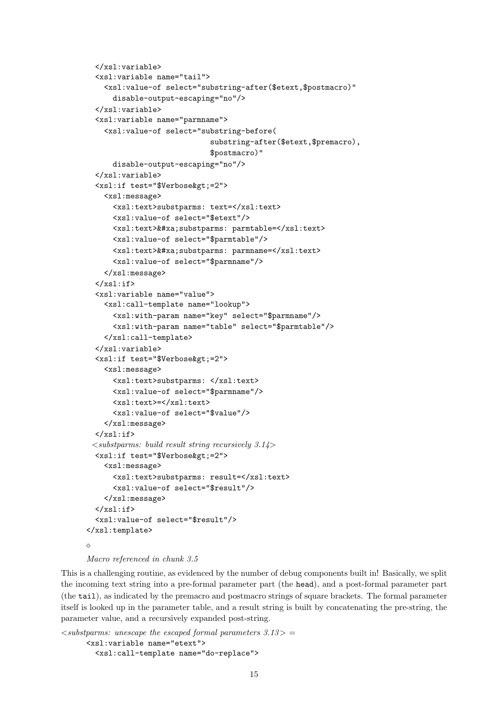```
</xsl:variable>
  <xsl:variable name="tail">
    <xsl:value-of select="substring-after($etext,$postmacro)"
      disable-output-escaping="no"/>
  </xsl:variable>
  <xsl:variable name="parmname">
    <xsl:value-of select="substring-before(
                             substring-after($etext,$premacro),
                             $postmacro)"
      disable-output-escaping="no"/>
  </xsl:variable>
  <xsl:if test="$Verbose&gt;=2">
    <xsl:message>
      <xsl:text>substparms: text=</xsl:text>
      <xsl:value-of select="$etext"/>
      <xsl:text>&#xa;substparms: parmtable=</xsl:text>
      <xsl:value-of select="$parmtable"/>
      <xsl:text>&#xa;substparms: parmname=</xsl:text>
      <xsl:value-of select="$parmname"/>
    </xsl:message>
  \langle xsl:if\rangle<xsl:variable name="value">
    <xsl:call-template name="lookup">
      <xsl:with-param name="key" select="$parmname"/>
      <xsl:with-param name="table" select="$parmtable"/>
    </xsl:call-template>
  </xsl:variable>
  <xsl:if test="$Verbose&gt;=2">
    <xsl:message>
      <xsl:text>substparms: </xsl:text>
      <xsl:value-of select="$parmname"/>
      <xsl:text>=</xsl:text>
      <xsl:value-of select="$value"/>
    </xsl:message>
  \langle xsl:if>
 \leqsubstparms: build result string recursively 3.14>
  <xsl:if test="$Verbose&gt;=2">
    <xsl:message>
      <xsl:text>substparms: result=</xsl:text>
      <xsl:value-of select="$result"/>
    </xsl:message>
  \langle xsl:if\rangle<xsl:value-of select="$result"/>
</xsl:template>
\Diamond
```

```
Macro referenced in chunk 3.5
```
This is a challenging routine, as evidenced by the number of debug components built in! Basically, we split the incoming text string into a pre-formal parameter part (the head), and a post-formal parameter part (the tail), as indicated by the premacro and postmacro strings of square brackets. The formal parameter itself is looked up in the parameter table, and a result string is built by concatenating the pre-string, the parameter value, and a recursively expanded post-string.

```
\leqsubstparms: unescape the escaped formal parameters 3.13> =
      <xsl:variable name="etext">
        <xsl:call-template name="do-replace">
```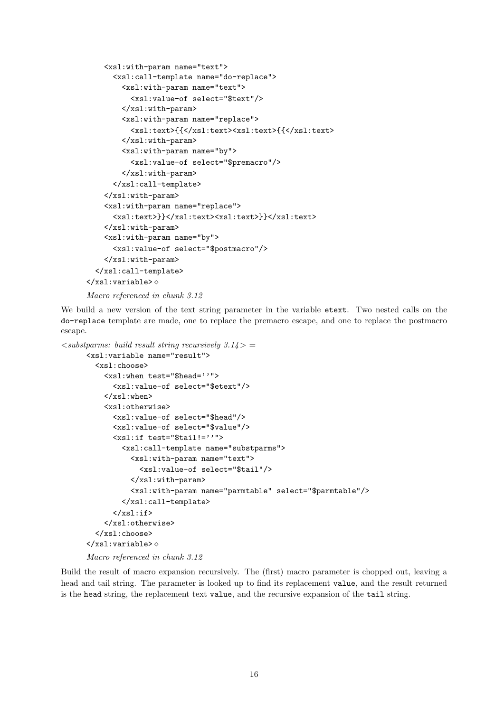```
<xsl:with-param name="text">
      <xsl:call-template name="do-replace">
        <xsl:with-param name="text">
          <xsl:value-of select="$text"/>
        </xsl:with-param>
        <xsl:with-param name="replace">
          <xsl:text>{{</xsl:text><xsl:text>{{</xsl:text>
        </xsl:with-param>
        <xsl:with-param name="by">
          <xsl:value-of select="$premacro"/>
        </xsl:with-param>
      </xsl:call-template>
    </xsl:with-param>
    <xsl:with-param name="replace">
      <xsl:text>}}</xsl:text><xsl:text>}}</xsl:text>
    </xsl:with-param>
    <xsl:with-param name="by">
      <xsl:value-of select="$postmacro"/>
    </xsl:with-param>
  </xsl:call-template>
\langle xsl:variable \rangle \diamond
```

```
Macro referenced in chunk 3.12
```
We build a new version of the text string parameter in the variable etext. Two nested calls on the do-replace template are made, one to replace the premacro escape, and one to replace the postmacro escape.

```
\leqsubstparms: build result string recursively 3.14 > =
      <xsl:variable name="result">
        <xsl:choose>
          <xsl:when test="$head=''">
             <xsl:value-of select="$etext"/>
          \langle xsl:when\rangle<xsl:otherwise>
             <xsl:value-of select="$head"/>
             <xsl:value-of select="$value"/>
             <xsl:if test="$tail!=''">
               <xsl:call-template name="substparms">
                 <xsl:with-param name="text">
                   <xsl:value-of select="$tail"/>
                 </xsl:with-param>
                 <xsl:with-param name="parmtable" select="$parmtable"/>
               </xsl:call-template>
             \langle xsl:if>
          </xsl:otherwise>
        </xsl:choose>
      \langle xsl:variable\rangle \diamondMacro referenced in chunk 3.12
```
Build the result of macro expansion recursively. The (first) macro parameter is chopped out, leaving a head and tail string. The parameter is looked up to find its replacement value, and the result returned is the head string, the replacement text value, and the recursive expansion of the tail string.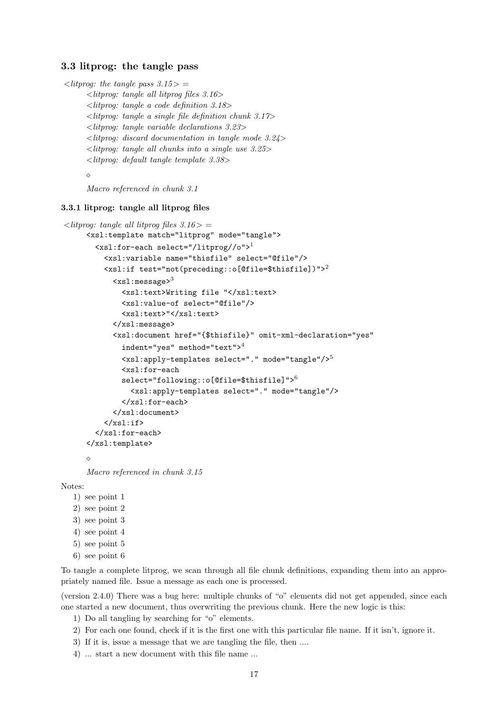## 3.3 litprog: the tangle pass

```
\langlelitprog: the tangle pass 3.15 > =
      <litprog: tangle all litprog files 3.16>
      <litprog: tangle a code definition 3.18>
      \langlelitprog: tangle a single file definition chunk 3.17>
      <litprog: tangle variable declarations 3.23>
      <litprog: discard documentation in tangle mode 3.24>
      \langlelitprog: tangle all chunks into a single use 3.25>
      <litprog: default tangle template 3.38>
```
 $\Diamond$ 

Macro referenced in chunk 3.1

## 3.3.1 litprog: tangle all litprog files

```
\langlelitprog: tangle all litprog files 3.16 > =
     <xsl:template match="litprog" mode="tangle">
       <xsl:for-each select="/litprog//o">1
          <xsl:variable name="thisfile" select="@file"/>
         <xsl:if test="not(preceding::o[@file=$thisfile])">2
            \langle xsl:message\rangle<sup>3</sup>
              <xsl:text>Writing file "</xsl:text>
              <xsl:value-of select="@file"/>
              <xsl:text>"</xsl:text>
            </xsl:message>
            <xsl:document href="{$thisfile}" omit-xml-declaration="yes"
              indent="yes" method="text">4<xsl:apply-templates select="." mode="tangle"/>5
              <xsl:for-each
              select="following::o[@file=$thisfile]">6
                <xsl:apply-templates select="." mode="tangle"/>
              </xsl:for-each>
            </xsl:document>
          \langle xsl:if>
       </xsl:for-each>
     </xsl:template>
```
 $\Diamond$ 

Macro referenced in chunk 3.15

Notes:

1) see point 1 2) see point 2 3) see point 3 4) see point 4 5) see point 5

6) see point 6

To tangle a complete litprog, we scan through all file chunk definitions, expanding them into an appropriately named file. Issue a message as each one is processed.

(version 2.4.0) There was a bug here: multiple chunks of "o" elements did not get appended, since each one started a new document, thus overwriting the previous chunk. Here the new logic is this:

1) Do all tangling by searching for "o" elements.

- 2) For each one found, check if it is the first one with this particular file name. If it isn't, ignore it.
- 3) If it is, issue a message that we are tangling the file, then ....

4) ... start a new document with this file name ...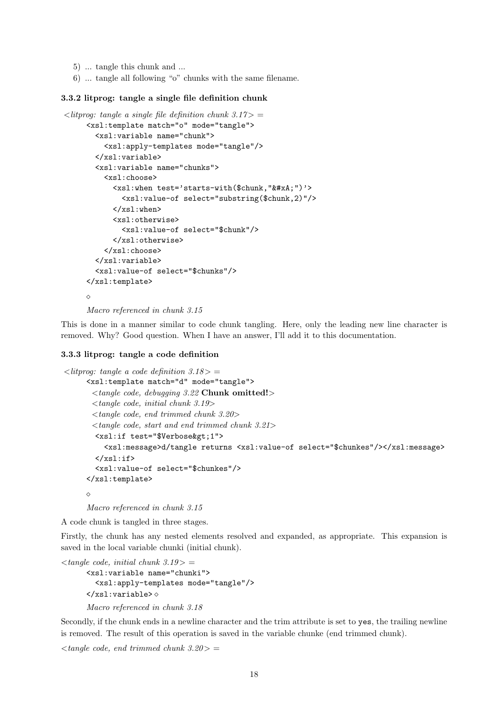- 5) ... tangle this chunk and ...
- 6) ... tangle all following "o" chunks with the same filename.

## 3.3.2 litprog: tangle a single file definition chunk

```
\langlelitprog: tangle a single file definition chunk 3.17> =
     <xsl:template match="o" mode="tangle">
       <xsl:variable name="chunk">
         <xsl:apply-templates mode="tangle"/>
       </xsl:variable>
       <xsl:variable name="chunks">
         <xsl:choose>
            <xsl:when test='starts-with($chunk,"&#xA:")'>
              <xsl:value-of select="substring($chunk,2)"/>
            \langle xsl:when\rangle<xsl:otherwise>
              <xsl:value-of select="$chunk"/>
            </xsl:otherwise>
         </xsl:choose>
       </xsl:variable>
       <xsl:value-of select="$chunks"/>
     </xsl:template>
     \Diamond
```
Macro referenced in chunk 3.15

This is done in a manner similar to code chunk tangling. Here, only the leading new line character is removed. Why? Good question. When I have an answer, I'll add it to this documentation.

#### 3.3.3 litprog: tangle a code definition

```
\langlelitprog: tangle a code definition 3.18 > =
     <xsl:template match="d" mode="tangle">
       <tangle code, debugging 3.22 Chunk omitted!>
       \langle tangle code, initial chunk 3.19><tangle code, end trimmed chunk 3.20>
       <tangle code, start and end trimmed chunk 3.21>
        <xsl:if test="$Verbose&gt;1">
          <xsl:message>d/tangle returns <xsl:value-of select="$chunkes"/></xsl:message>
        \langle xsl:if>
        <xsl:value-of select="$chunkes"/>
     </xsl:template>
     \Diamond
```
Macro referenced in chunk 3.15

A code chunk is tangled in three stages.

Firstly, the chunk has any nested elements resolved and expanded, as appropriate. This expansion is saved in the local variable chunki (initial chunk).

```
\langle tangle code, initial chunk 3.19> =
       <xsl:variable name="chunki">
          <xsl:apply-templates mode="tangle"/>
       \langle xsl:variable \rangle \diamond
```
Macro referenced in chunk 3.18

Secondly, if the chunk ends in a newline character and the trim attribute is set to yes, the trailing newline is removed. The result of this operation is saved in the variable chunke (end trimmed chunk).

 $\langle$  tangle code, end trimmed chunk 3.20 $>$  =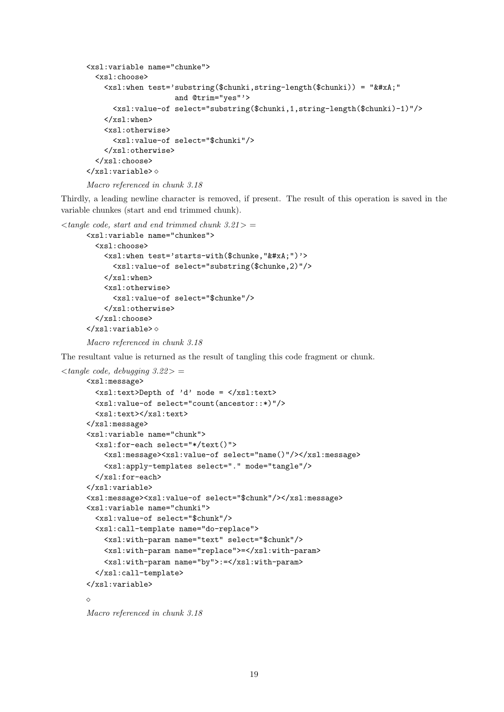```
<xsl:variable name="chunke">
  <xsl:choose>
    <xsl:when test='substring($chunki,string-length($chunki)) = "&#xA;"
                      and @trim="yes"'>
      <xsl:value-of select="substring($chunki,1,string-length($chunki)-1)"/>
    \langle xsl:when\rangle<xsl:otherwise>
      <xsl:value-of select="$chunki"/>
    </xsl:otherwise>
  </xsl:choose>
\langle xsl:variable \rangle \diamond
```

```
Macro referenced in chunk 3.18
```
Thirdly, a leading newline character is removed, if present. The result of this operation is saved in the variable chunkes (start and end trimmed chunk).

```
\langle start and end trimmed chunk 3.21> =
      <xsl:variable name="chunkes">
        <xsl:choose>
          <xsl:when test='starts-with($chunke,"&#xA;")'>
             <xsl:value-of select="substring($chunke,2)"/>
          \langle xsl:when\rangle<xsl:otherwise>
             <xsl:value-of select="$chunke"/>
          </xsl:otherwise>
        </xsl:choose>
      \langle xsl:variable \rangle \diamondMacro referenced in chunk 3.18
```
The resultant value is returned as the result of tangling this code fragment or chunk.

```
\langle tangle code, debugging 3.22\rangle =
     <xsl:message>
        <xsl:text>Depth of 'd' node = </xsl:text>
        <xsl:value-of select="count(ancestor::*)"/>
        <xsl:text></xsl:text>
     </xsl:message>
     <xsl:variable name="chunk">
        <xsl:for-each select="*/text()">
          <xsl:message><xsl:value-of select="name()"/></xsl:message>
          <xsl:apply-templates select="." mode="tangle"/>
        </xsl:for-each>
     </xsl:variable>
     <xsl:message><xsl:value-of select="$chunk"/></xsl:message>
     <xsl:variable name="chunki">
        <xsl:value-of select="$chunk"/>
        <xsl:call-template name="do-replace">
          <xsl:with-param name="text" select="$chunk"/>
          <xsl:with-param name="replace">=</xsl:with-param>
          <xsl:with-param name="by">:=</xsl:with-param>
        </xsl:call-template>
     </xsl:variable>
     \triangle
```

```
Macro referenced in chunk 3.18
```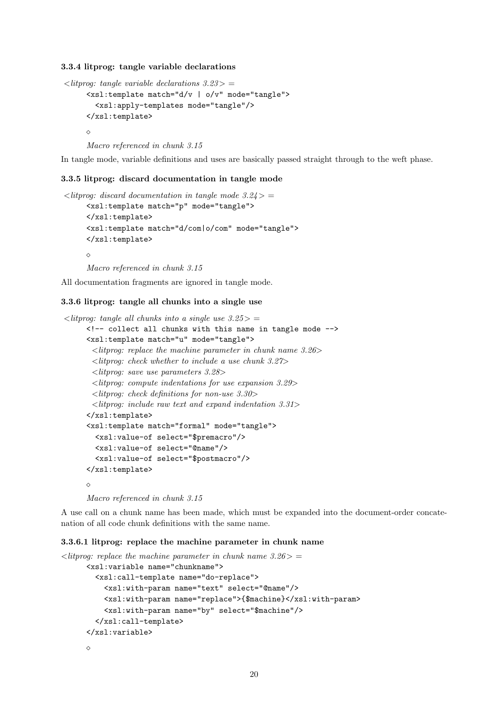3.3.4 litprog: tangle variable declarations

```
\langlelitprog: tangle variable declarations 3.23 > =
     <xsl:template match="d/v | o/v" mode="tangle">
        <xsl:apply-templates mode="tangle"/>
     </xsl:template>
     \triangleMacro referenced in chunk 3.15
```
In tangle mode, variable definitions and uses are basically passed straight through to the weft phase.

#### 3.3.5 litprog: discard documentation in tangle mode

```
\langlelitprog: discard documentation in tangle mode 3.24 > =
     <xsl:template match="p" mode="tangle">
     </xsl:template>
     <xsl:template match="d/com|o/com" mode="tangle">
     </xsl:template>
     \DiamondMacro referenced in chunk 3.15
```
All documentation fragments are ignored in tangle mode.

### 3.3.6 litprog: tangle all chunks into a single use

```
\langlelitprog: tangle all chunks into a single use 3.25 > =
     <!-- collect all chunks with this name in tangle mode -->
     <xsl:template match="u" mode="tangle">
       \langlelitprog: replace the machine parameter in chunk name 3.26>
       <litprog: check whether to include a use chunk 3.27>
       <litprog: save use parameters 3.28>
       <litprog: compute indentations for use expansion 3.29>
       <litprog: check definitions for non-use 3.30>
       <litprog: include raw text and expand indentation 3.31>
     </xsl:template>
     <xsl:template match="formal" mode="tangle">
        <xsl:value-of select="$premacro"/>
        <xsl:value-of select="@name"/>
        <xsl:value-of select="$postmacro"/>
     </xsl:template>
     \DiamondMacro referenced in chunk 3.15
```
A use call on a chunk name has been made, which must be expanded into the document-order concatenation of all code chunk definitions with the same name.

## 3.3.6.1 litprog: replace the machine parameter in chunk name

```
\langlelitprog: replace the machine parameter in chunk name 3.26 > =
      <xsl:variable name="chunkname">
        <xsl:call-template name="do-replace">
          <xsl:with-param name="text" select="@name"/>
          <xsl:with-param name="replace">{$machine}</xsl:with-param>
          <xsl:with-param name="by" select="$machine"/>
        </xsl:call-template>
      </xsl:variable>
      \Diamond
```

```
20
```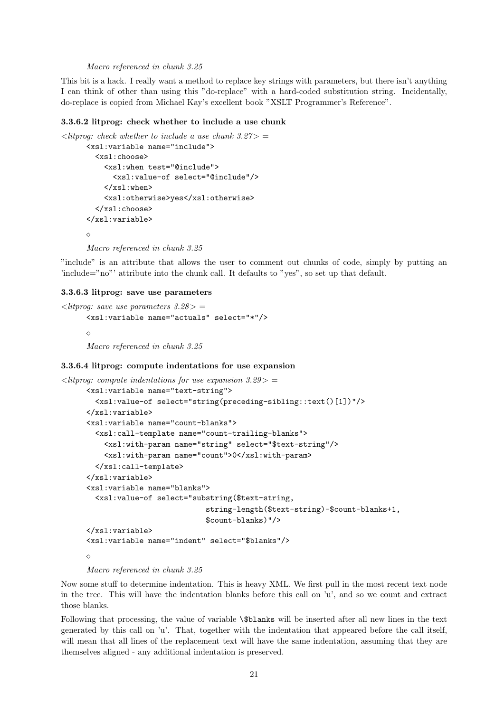Macro referenced in chunk 3.25

This bit is a hack. I really want a method to replace key strings with parameters, but there isn't anything I can think of other than using this "do-replace" with a hard-coded substitution string. Incidentally, do-replace is copied from Michael Kay's excellent book "XSLT Programmer's Reference".

#### 3.3.6.2 litprog: check whether to include a use chunk

```
\langle it group: check whether to include a use chunk 3.27> =
      <xsl:variable name="include">
        <xsl:choose>
           <xsl:when test="@include">
             <xsl:value-of select="@include"/>
           \langle xsl:when\rangle<xsl:otherwise>yes</xsl:otherwise>
         </xsl:choose>
      </xsl:variable>
      \DiamondMacro referenced in chunk 3.25
```
"include" is an attribute that allows the user to comment out chunks of code, simply by putting an 'include="no"' attribute into the chunk call. It defaults to "yes", so set up that default.

#### 3.3.6.3 litprog: save use parameters

```
\langlelitprog: save use parameters 3.28 > =
      <xsl:variable name="actuals" select="*"/>
      \simMacro referenced in chunk 3.25
```
#### 3.3.6.4 litprog: compute indentations for use expansion

```
\langlelitprog: compute indentations for use expansion 3.29>
     <xsl:variable name="text-string">
       <xsl:value-of select="string(preceding-sibling::text()[1])"/>
     </xsl:variable>
     <xsl:variable name="count-blanks">
       <xsl:call-template name="count-trailing-blanks">
          <xsl:with-param name="string" select="$text-string"/>
          <xsl:with-param name="count">0</xsl:with-param>
       </xsl:call-template>
     </xsl:variable>
     <xsl:variable name="blanks">
        <xsl:value-of select="substring($text-string,
                                  string-length($text-string)-$count-blanks+1,
                                  $count-blanks)"/>
     </xsl:variable>
     <xsl:variable name="indent" select="$blanks"/>
     \Diamond
```

```
Macro referenced in chunk 3.25
```
Now some stuff to determine indentation. This is heavy XML. We first pull in the most recent text node in the tree. This will have the indentation blanks before this call on 'u', and so we count and extract those blanks.

Following that processing, the value of variable \\$blanks will be inserted after all new lines in the text generated by this call on 'u'. That, together with the indentation that appeared before the call itself, will mean that all lines of the replacement text will have the same indentation, assuming that they are themselves aligned - any additional indentation is preserved.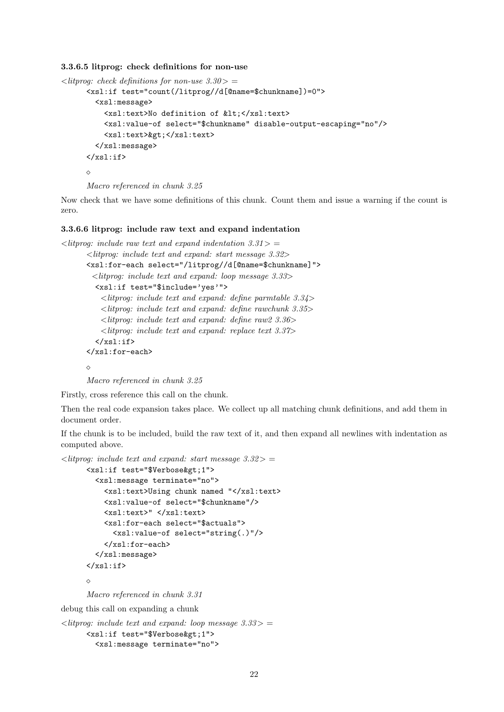#### 3.3.6.5 litprog: check definitions for non-use

```
\langlelitprog: check definitions for non-use 3.30> =
      <xsl:if test="count(/litprog//d[@name=$chunkname])=0">
        <xsl:message>
          <xsl:text>No definition of &lt;</xsl:text>
          <xsl:value-of select="$chunkname" disable-output-escaping="no"/>
          <xsl:text>&gt;</xsl:text>
        </xsl:message>
      \langle xsl:if>
      \Diamond
```

```
Macro referenced in chunk 3.25
```
Now check that we have some definitions of this chunk. Count them and issue a warning if the count is zero.

#### 3.3.6.6 litprog: include raw text and expand indentation

```
\langlelitprog: include raw text and expand indentation 3.31 > =
      <litprog: include text and expand: start message 3.32>
      <xsl:for-each select="/litprog//d[@name=$chunkname]">
        <litprog: include text and expand: loop message 3.33>
         <xsl:if test="$include='yes'">
           \langlelitprog: include text and expand: define parmtable 3.34>
           \langlelitprog: include text and expand: define rawchunk 3.35>\langlelitprog: include text and expand: define raw2 3.36>
           <litprog: include text and expand: replace text 3.37>
         \langle xsl:if\rangle</xsl:for-each>
      \Diamond
```
Macro referenced in chunk 3.25

Firstly, cross reference this call on the chunk.

Then the real code expansion takes place. We collect up all matching chunk definitions, and add them in document order.

If the chunk is to be included, build the raw text of it, and then expand all newlines with indentation as computed above.

```
\langlelitprog: include text and expand: start message 3.32> =
      <xsl:if test="$Verbose&gt;1">
        <xsl:message terminate="no">
          <xsl:text>Using chunk named "</xsl:text>
          <xsl:value-of select="$chunkname"/>
          <xsl:text>" </xsl:text>
          <xsl:for-each select="$actuals">
            <xsl:value-of select="string(.)"/>
          </xsl:for-each>
        </xsl:message>
      \langle xsl:if>
      \simMacro referenced in chunk 3.31
debug this call on expanding a chunk
```

```
\langlelitprog: include text and expand: loop message 3.33> =
      <xsl:if test="$Verbose&gt;1">
        <xsl:message terminate="no">
```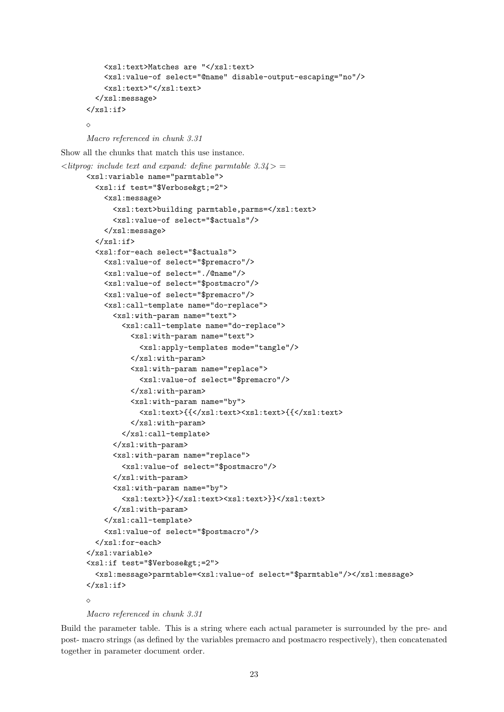```
<xsl:text>Matches are "</xsl:text>
    <xsl:value-of select="@name" disable-output-escaping="no"/>
    <xsl:text>"</xsl:text>
  </xsl:message>
\langle xsl:if>
```
 $\triangle$ 

```
Macro referenced in chunk 3.31
```
Show all the chunks that match this use instance.

```
\langlelitprog: include text and expand: define parmtable 3.34\rangle =
     <xsl:variable name="parmtable">
       <xsl:if test="$Verbose&gt;=2">
          <xsl:message>
            <xsl:text>building parmtable,parms=</xsl:text>
            <xsl:value-of select="$actuals"/>
          </xsl:message>
       \langle xsl:if>
        <xsl:for-each select="$actuals">
          <xsl:value-of select="$premacro"/>
          <xsl:value-of select="./@name"/>
          <xsl:value-of select="$postmacro"/>
          <xsl:value-of select="$premacro"/>
          <xsl:call-template name="do-replace">
            <xsl:with-param name="text">
              <xsl:call-template name="do-replace">
                <xsl:with-param name="text">
                  <xsl:apply-templates mode="tangle"/>
                </xsl:with-param>
                <xsl:with-param name="replace">
                  <xsl:value-of select="$premacro"/>
                </xsl:with-param>
                <xsl:with-param name="by">
                  <xsl:text>{{</xsl:text><xsl:text>{{</xsl:text>
                </xsl:with-param>
              </xsl:call-template>
            </xsl:with-param>
            <xsl:with-param name="replace">
              <xsl:value-of select="$postmacro"/>
            </xsl:with-param>
            <xsl:with-param name="by">
              <xsl:text>}}</xsl:text><xsl:text>}}</xsl:text>
            </xsl:with-param>
          </xsl:call-template>
          <xsl:value-of select="$postmacro"/>
       </xsl:for-each>
     </xsl:variable>
     <xsl:if test="$Verbose&gt:=2">
        <xsl:message>parmtable=<xsl:value-of select="$parmtable"/></xsl:message>
     \langle xsl:if>
     \sim
```

```
Macro referenced in chunk 3.31
```
Build the parameter table. This is a string where each actual parameter is surrounded by the pre- and post- macro strings (as defined by the variables premacro and postmacro respectively), then concatenated together in parameter document order.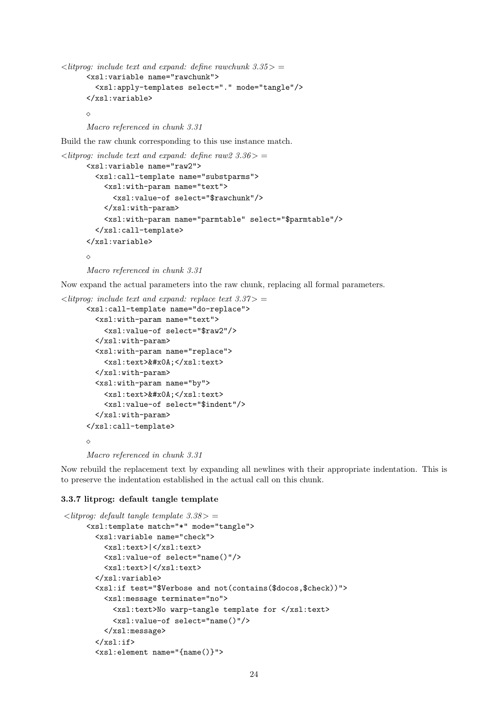```
\langlelitprog: include text and expand: define rawchunk 3.35> =
      <xsl:variable name="rawchunk">
        <xsl:apply-templates select="." mode="tangle"/>
      </xsl:variable>
      \Diamond
```
Macro referenced in chunk 3.31

Build the raw chunk corresponding to this use instance match.

```
\langlelitprog: include text and expand: define raw2 3.36> =
      <xsl:variable name="raw2">
        <xsl:call-template name="substparms">
          <xsl:with-param name="text">
            <xsl:value-of select="$rawchunk"/>
          </xsl:with-param>
          <xsl:with-param name="parmtable" select="$parmtable"/>
        </xsl:call-template>
      </xsl:variable>
      \Diamond
```
Macro referenced in chunk 3.31

Now expand the actual parameters into the raw chunk, replacing all formal parameters.

```
\langlelitprog: include text and expand: replace text 3.37>
```

```
<xsl:call-template name="do-replace">
  <xsl:with-param name="text">
    <xsl:value-of select="$raw2"/>
  </xsl:with-param>
  <xsl:with-param name="replace">
    <xsl:text>&#x0A;</xsl:text>
  </xsl:with-param>
  <xsl:with-param name="by">
    <xsl:text>&#x0A;</xsl:text>
    <xsl:value-of select="$indent"/>
  </xsl:with-param>
</xsl:call-template>
\Diamond
```
Macro referenced in chunk 3.31

Now rebuild the replacement text by expanding all newlines with their appropriate indentation. This is to preserve the indentation established in the actual call on this chunk.

## 3.3.7 litprog: default tangle template

```
\langlelitprog: default tangle template 3.38 > =
     <xsl:template match="*" mode="tangle">
       <xsl:variable name="check">
         <xsl:text>|</xsl:text>
         <xsl:value-of select="name()"/>
         <xsl:text>|</xsl:text>
       </xsl:variable>
       <xsl:if test="$Verbose and not(contains($docos,$check))">
         <xsl:message terminate="no">
           <xsl:text>No warp-tangle template for </xsl:text>
           <xsl:value-of select="name()"/>
         </xsl:message>
       \langle xsl:if>
       <xsl:element name="{name()}">
```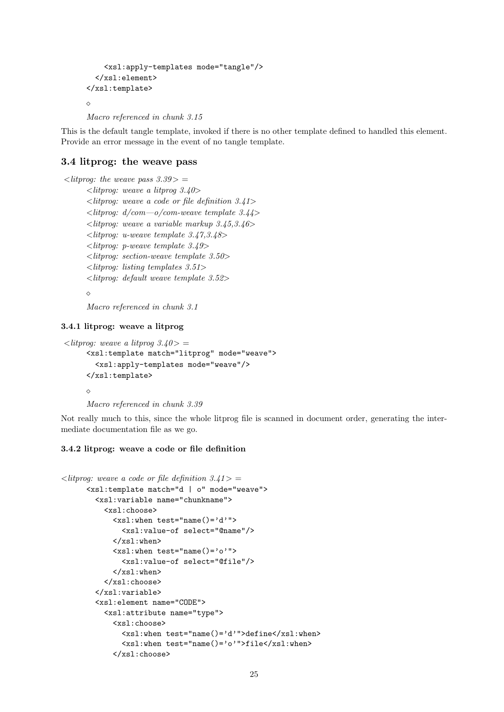```
<xsl:apply-templates mode="tangle"/>
  </xsl:element>
</xsl:template>
\Diamond
```

```
Macro referenced in chunk 3.15
```
This is the default tangle template, invoked if there is no other template defined to handled this element. Provide an error message in the event of no tangle template.

## 3.4 litprog: the weave pass

 $\langle$ litprog: the weave pass 3.39  $>$  =  $\langle$ litprog: weave a litprog 3.40>  $\langle$ litprog: weave a code or file definition 3.41>  $\langle$ litprog: d/com—o/com-weave template 3.44>  $\langle$ litprog: weave a variable markup 3.45,3.46>  $\langle$ litprog: u-weave template 3.47,3.48>  $\langle$ litprog: p-weave template 3.49> <litprog: section-weave template 3.50> <litprog: listing templates 3.51> <litprog: default weave template 3.52>

 $\Diamond$ 

Macro referenced in chunk 3.1

#### 3.4.1 litprog: weave a litprog

```
\langlelitprog: weave a litprog 3.40 > =
     <xsl:template match="litprog" mode="weave">
        <xsl:apply-templates mode="weave"/>
     </xsl:template>
     \DiamondMacro referenced in chunk 3.39
```
Not really much to this, since the whole litprog file is scanned in document order, generating the intermediate documentation file as we go.

## 3.4.2 litprog: weave a code or file definition

```
\langlelitprog: weave a code or file definition 3.41 > =
      <xsl:template match="d | o" mode="weave">
        <xsl:variable name="chunkname">
           <xsl:choose>
             <xsl:when test="name()='d'">
               <xsl:value-of select="@name"/>
             \langle xsl:when\rangle\langle xsl:when test="name()='o'']\rangle<xsl:value-of select="@file"/>
             \langle xsl:when\rangle</xsl:choose>
        </xsl:variable>
        <xsl:element name="CODE">
          <xsl:attribute name="type">
             <xsl:choose>
               <xsl:when test="name()='d'">define</xsl:when>
               <xsl:when test="name()='o'">file</xsl:when>
             </xsl:choose>
```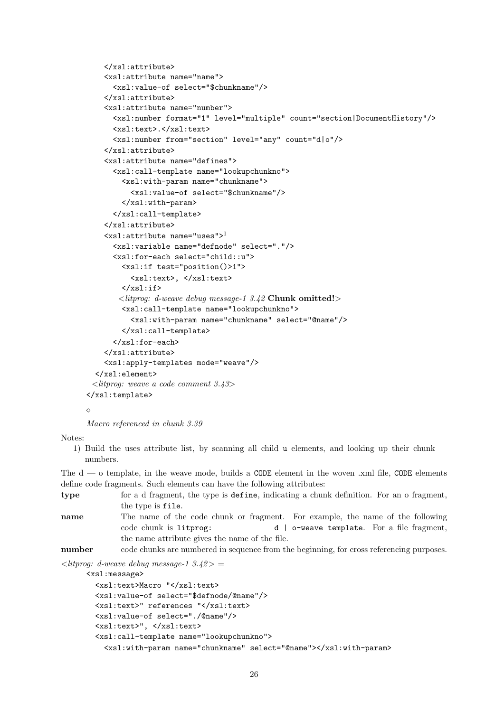```
</xsl:attribute>
    <xsl:attribute name="name">
      <xsl:value-of select="$chunkname"/>
    </xsl:attribute>
    <xsl:attribute name="number">
      <xsl:number format="1" level="multiple" count="section|DocumentHistory"/>
      <xsl:text>.</xsl:text>
      <xsl:number from="section" level="any" count="d|o"/>
    </xsl:attribute>
    <xsl:attribute name="defines">
      <xsl:call-template name="lookupchunkno">
        <xsl:with-param name="chunkname">
          <xsl:value-of select="$chunkname"/>
        </xsl:with-param>
      </xsl:call-template>
    </xsl:attribute>
    \leqxsl:attribute name="uses">^{1}<xsl:variable name="defnode" select="."/>
      <xsl:for-each select="child::u">
        <xsl:if test="position()>1">
          <xsl:text>, </xsl:text>
        \langle xsl:if>
       \langle litprog: d-weave debug message-1 3.42 Chunk omitted!\rangle<xsl:call-template name="lookupchunkno">
          <xsl:with-param name="chunkname" select="@name"/>
        </xsl:call-template>
      </xsl:for-each>
    </xsl:attribute>
    <xsl:apply-templates mode="weave"/>
  </xsl:element>
 <litprog: weave a code comment 3.43>
</xsl:template>
```

```
\Diamond
```
Macro referenced in chunk 3.39

Notes:

1) Build the uses attribute list, by scanning all child u elements, and looking up their chunk numbers.

The  $d - o$  template, in the weave mode, builds a CODE element in the woven .xml file, CODE elements define code fragments. Such elements can have the following attributes:

type for a d fragment, the type is define, indicating a chunk definition. For an o fragment, the type is file. name The name of the code chunk or fragment. For example, the name of the following code chunk is litprog: d | o-weave template. For a file fragment, the name attribute gives the name of the file.

number code chunks are numbered in sequence from the beginning, for cross referencing purposes.

 $\langle$ litprog: d-weave debug message-1 3.42 $>$  =

<xsl:message>

```
<xsl:text>Macro "</xsl:text>
<xsl:value-of select="$defnode/@name"/>
<xsl:text>" references "</xsl:text>
<xsl:value-of select="./@name"/>
<xsl:text>", </xsl:text>
<xsl:call-template name="lookupchunkno">
  <xsl:with-param name="chunkname" select="@name"></xsl:with-param>
```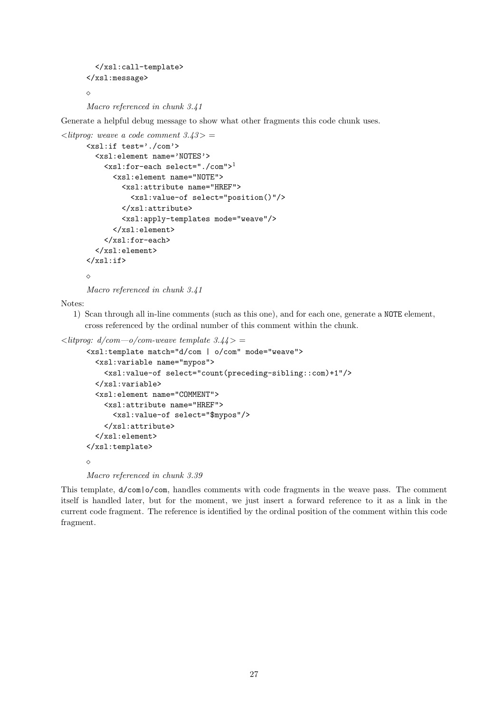```
</xsl:call-template>
</xsl:message>
\Diamond
```
Macro referenced in chunk 3.41

Generate a helpful debug message to show what other fragments this code chunk uses.

```
\langlelitprog: weave a code comment 3.43> =
      <xsl:if test='./com'>
        <xsl:element name='NOTES'>
          <xsl:for-each select="./com">1
            <xsl:element name="NOTE">
              <xsl:attribute name="HREF">
                 <xsl:value-of select="position()"/>
              </xsl:attribute>
              <xsl:apply-templates mode="weave"/>
            </xsl:element>
          </xsl:for-each>
        </xsl:element>
      \langle xsl:if>
      \Diamond
```
Macro referenced in chunk 3.41

Notes:

1) Scan through all in-line comments (such as this one), and for each one, generate a NOTE element, cross referenced by the ordinal number of this comment within the chunk.

```
\langlelitprog: d/com—o/com-weave template 3.44> =
```

```
<xsl:template match="d/com | o/com" mode="weave">
  <xsl:variable name="mypos">
    <xsl:value-of select="count(preceding-sibling::com)+1"/>
  </xsl:variable>
  <xsl:element name="COMMENT">
    <xsl:attribute name="HREF">
      <xsl:value-of select="$mypos"/>
    </xsl:attribute>
  </xsl:element>
</xsl:template>
\Diamond
```
Macro referenced in chunk 3.39

This template, d/com|o/com, handles comments with code fragments in the weave pass. The comment itself is handled later, but for the moment, we just insert a forward reference to it as a link in the current code fragment. The reference is identified by the ordinal position of the comment within this code fragment.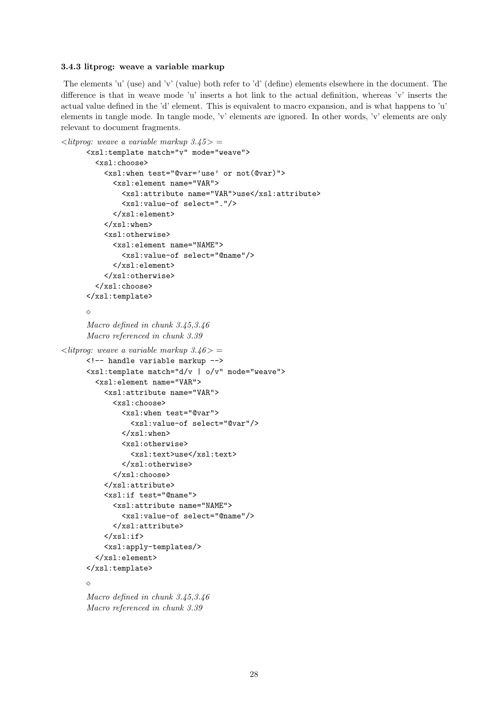#### 3.4.3 litprog: weave a variable markup

The elements 'u' (use) and 'v' (value) both refer to 'd' (define) elements elsewhere in the document. The difference is that in weave mode 'u' inserts a hot link to the actual definition, whereas 'v' inserts the actual value defined in the 'd' element. This is equivalent to macro expansion, and is what happens to 'u' elements in tangle mode. In tangle mode, 'v' elements are ignored. In other words, 'v' elements are only relevant to document fragments.

```
\langlelitprog: weave a variable markup 3.45 > =
      <xsl:template match="v" mode="weave">
        <xsl:choose>
          <xsl:when test="@var='use' or not(@var)">
             <xsl:element name="VAR">
               <xsl:attribute name="VAR">use</xsl:attribute>
               <xsl:value-of select="."/>
            </xsl:element>
          \langle xsl:when\rangle<xsl:otherwise>
            <xsl:element name="NAME">
               <xsl:value-of select="@name"/>
            </xsl:element>
          </xsl:otherwise>
        </xsl:choose>
      </xsl:template>
      \DiamondMacro defined in chunk 3.45,3.46
      Macro referenced in chunk 3.39
\langlelitprog: weave a variable markup 3.46 > =
      <!-- handle variable markup -->
      <xsl:template match="d/v | o/v" mode="weave">
        <xsl:element name="VAR">
          <xsl:attribute name="VAR">
            <xsl:choose>
               <xsl:when test="@var">
                 <xsl:value-of select="@var"/>
               \langle xsl:when\rangle<xsl:otherwise>
                 <xsl:text>use</xsl:text>
               </xsl:otherwise>
            </xsl:choose>
          </xsl:attribute>
          <xsl:if test="@name">
            <xsl:attribute name="NAME">
               <xsl:value-of select="@name"/>
            </xsl:attribute>
          \langle xsl:if>
          <xsl:apply-templates/>
        </xsl:element>
      </xsl:template>
      \DiamondMacro defined in chunk 3.45,3.46
```
Macro referenced in chunk 3.39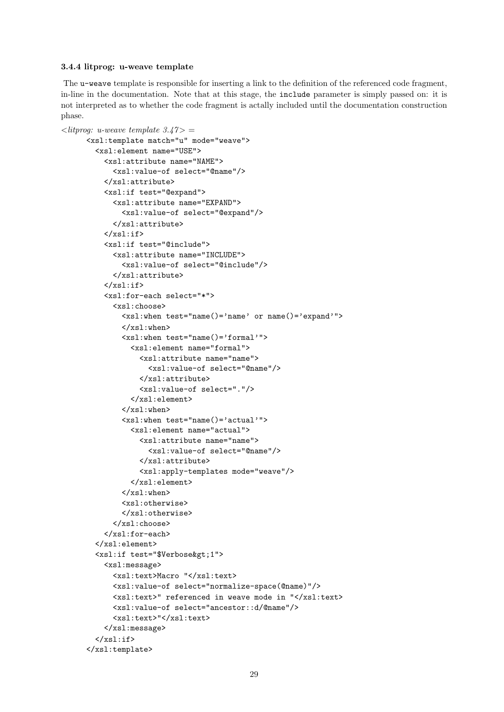#### 3.4.4 litprog: u-weave template

The u-weave template is responsible for inserting a link to the definition of the referenced code fragment, in-line in the documentation. Note that at this stage, the include parameter is simply passed on: it is not interpreted as to whether the code fragment is actally included until the documentation construction phase.

```
\langlelitprog: u-weave template 3.47> =
     <xsl:template match="u" mode="weave">
        <xsl:element name="USE">
          <xsl:attribute name="NAME">
            <xsl:value-of select="@name"/>
          </xsl:attribute>
          <xsl:if test="@expand">
            <xsl:attribute name="EXPAND">
              <xsl:value-of select="@expand"/>
            </xsl:attribute>
          \langle xs1:if\rangle<xsl:if test="@include">
            <xsl:attribute name="INCLUDE">
              <xsl:value-of select="@include"/>
            </xsl:attribute>
          \langle xs1:if\rangle<xsl:for-each select="*">
            <xsl:choose>
              <xsl:when test="name()='name' or name()='expand'">
              </xsl:when>
              <xsl:when test="name()='formal'">
                <xsl:element name="formal">
                  <xsl:attribute name="name">
                     <xsl:value-of select="@name"/>
                  </xsl:attribute>
                   <xsl:value-of select="."/>
                </xsl:element>
              \langle xsl:when\rangle<xsl:when test="name()='actual'">
                <xsl:element name="actual">
                  <xsl:attribute name="name">
                     <xsl:value-of select="@name"/>
                  </xsl:attribute>
                  <xsl:apply-templates mode="weave"/>
                </xsl:element>
              </xsl:when>
              <xsl:otherwise>
              </xsl:otherwise>
            </xsl:choose>
          </xsl:for-each>
        </xsl:element>
        <xsl:if test="$Verbose&gt;1">
          <xsl:message>
            <xsl:text>Macro "</xsl:text>
            <xsl:value-of select="normalize-space(@name)"/>
            <xsl:text>" referenced in weave mode in "</xsl:text>
            <xsl:value-of select="ancestor::d/@name"/>
            <xsl:text>"</xsl:text>
          </xsl:message>
        \langle xsl:if\rangle</xsl:template>
```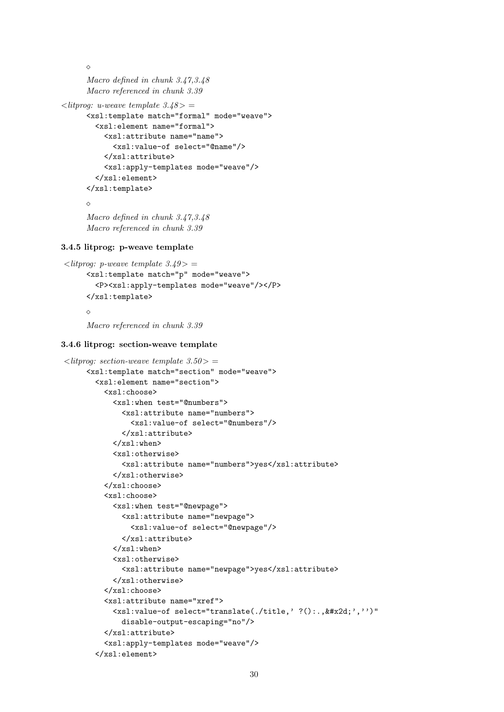```
\DiamondMacro defined in chunk 3.47,3.48
      Macro referenced in chunk 3.39
\langlelitprog: u-weave template 3.48 > =
      <xsl:template match="formal" mode="weave">
        <xsl:element name="formal">
          <xsl:attribute name="name">
             <xsl:value-of select="@name"/>
          </xsl:attribute>
          <xsl:apply-templates mode="weave"/>
        </xsl:element>
      </xsl:template>
      \Diamond
```

```
Macro defined in chunk 3.47,3.48
Macro referenced in chunk 3.39
```
## 3.4.5 litprog: p-weave template

```
\langlelitprog: p-weave template 3.49> =
     <xsl:template match="p" mode="weave">
        <P><xsl:apply-templates mode="weave"/></P>
     </xsl:template>
     \triangle
```
Macro referenced in chunk 3.39

#### 3.4.6 litprog: section-weave template

```
\langlelitprog: section-weave template 3.50> =
     <xsl:template match="section" mode="weave">
       <xsl:element name="section">
         <xsl:choose>
            <xsl:when test="@numbers">
              <xsl:attribute name="numbers">
                <xsl:value-of select="@numbers"/>
              </xsl:attribute>
            \langle xsl:when\rangle<xsl:otherwise>
              <xsl:attribute name="numbers">yes</xsl:attribute>
            </xsl:otherwise>
         </xsl:choose>
         <xsl:choose>
            <xsl:when test="@newpage">
              <xsl:attribute name="newpage">
                <xsl:value-of select="@newpage"/>
              </xsl:attribute>
            \langle xsl:when\rangle<xsl:otherwise>
              <xsl:attribute name="newpage">yes</xsl:attribute>
            </xsl:otherwise>
         </xsl:choose>
         <xsl:attribute name="xref">
            \langle xsl:value-of \,\,\text{select}="transfer().title, ' ?()., k#x2d; ', ''')''disable-output-escaping="no"/>
         </xsl:attribute>
          <xsl:apply-templates mode="weave"/>
       </xsl:element>
```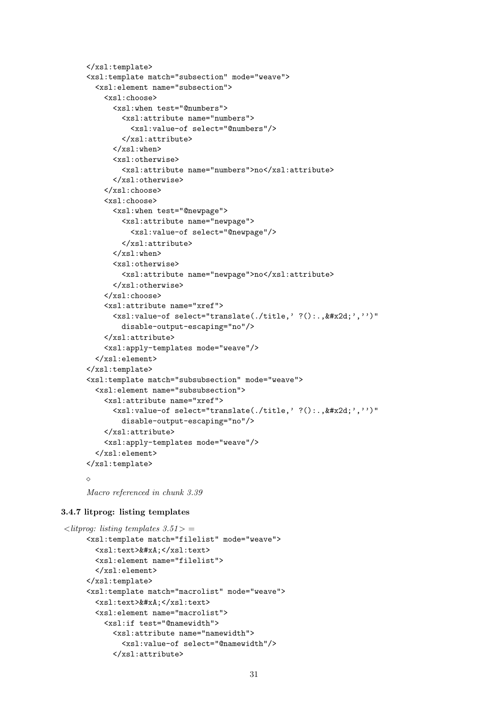```
</xsl:template>
<xsl:template match="subsection" mode="weave">
  <xsl:element name="subsection">
    <xsl:choose>
      <xsl:when test="@numbers">
        <xsl:attribute name="numbers">
           <xsl:value-of select="@numbers"/>
        </xsl:attribute>
      \langle xsl:when\rangle<xsl:otherwise>
        <xsl:attribute name="numbers">no</xsl:attribute>
      </xsl:otherwise>
    </xsl:choose>
    <xsl:choose>
      <xsl:when test="@newpage">
        <xsl:attribute name="newpage">
           <xsl:value-of select="@newpage"/>
        </xsl:attribute>
      \langle xsl:when\rangle<xsl:otherwise>
        <xsl:attribute name="newpage">no</xsl:attribute>
      </xsl:otherwise>
    </xsl:choose>
    <xsl:attribute name="xref">
      \langle xsl:value-of, select="translate(./title,' ?()., \&\#x2d; ', ''')"disable-output-escaping="no"/>
    </xsl:attribute>
    <xsl:apply-templates mode="weave"/>
  </xsl:element>
\langle xsl:template\rangle<xsl:template match="subsubsection" mode="weave">
  <xsl:element name="subsubsection">
    <xsl:attribute name="xref">
      \langle xsl:value-of \,\,\text{select}="transfer().title, ' ?()., k#x2d; ', ''')''disable-output-escaping="no"/>
    </xsl:attribute>
    <xsl:apply-templates mode="weave"/>
  </xsl:element>
</xsl:template>
\Diamond
```

```
Macro referenced in chunk 3.39
```
## 3.4.7 litprog: listing templates

```
\langlelitprog: listing templates 3.51 > =
     <xsl:template match="filelist" mode="weave">
       <xsl:text>&#xA;</xsl:text>
       <xsl:element name="filelist">
       </xsl:element>
     </xsl:template>
     <xsl:template match="macrolist" mode="weave">
       <xsl:text>&#xA:</xsl:text>
       <xsl:element name="macrolist">
         <xsl:if test="@namewidth">
           <xsl:attribute name="namewidth">
             <xsl:value-of select="@namewidth"/>
           </xsl:attribute>
```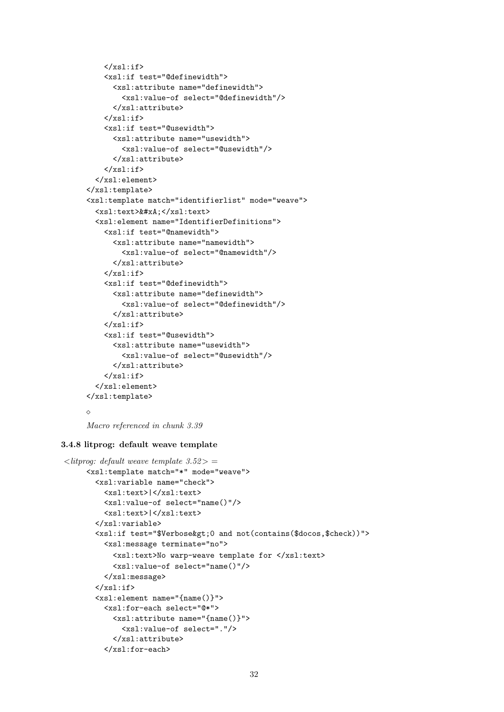```
\langle xsl:if>
    <xsl:if test="@definewidth">
      <xsl:attribute name="definewidth">
        <xsl:value-of select="@definewidth"/>
      </xsl:attribute>
    \langle xs] \cdot i f<xsl:if test="@usewidth">
      <xsl:attribute name="usewidth">
        <xsl:value-of select="@usewidth"/>
      </xsl:attribute>
    \langle xs1:if\rangle</xsl:element>
</xsl:template>
<xsl:template match="identifierlist" mode="weave">
  <xsl:text>&#xA:</xsl:text>
  <xsl:element name="IdentifierDefinitions">
    <xsl:if test="@namewidth">
      <xsl:attribute name="namewidth">
        <xsl:value-of select="@namewidth"/>
      </xsl:attribute>
    \langle xsl:if>
    <xsl:if test="@definewidth">
      <xsl:attribute name="definewidth">
        <xsl:value-of select="@definewidth"/>
      </xsl:attribute>
    \langle xsl:if>
    <xsl:if test="@usewidth">
      <xsl:attribute name="usewidth">
        <xsl:value-of select="@usewidth"/>
      </xsl:attribute>
    \langle xsl:if>
  </xsl:element>
</xsl:template>
\Diamond
```

```
Macro referenced in chunk 3.39
```
## 3.4.8 litprog: default weave template

```
\langlelitprog: default weave template 3.52> =
     <xsl:template match="*" mode="weave">
       <xsl:variable name="check">
         <xsl:text>|</xsl:text>
         <xsl:value-of select="name()"/>
         <xsl:text>|</xsl:text>
       </xsl:variable>
       <xsl:if test="$Verbose&gt;0 and not(contains($docos,$check))">
         <xsl:message terminate="no">
           <xsl:text>No warp-weave template for </xsl:text>
           <xsl:value-of select="name()"/>
         </xsl:message>
       \langle xsl:if>
       <xsl:element name="{name()}">
         <xsl:for-each select="@*">
           <xsl:attribute name="{name()}">
             <xsl:value-of select="."/>
           </xsl:attribute>
         </xsl:for-each>
```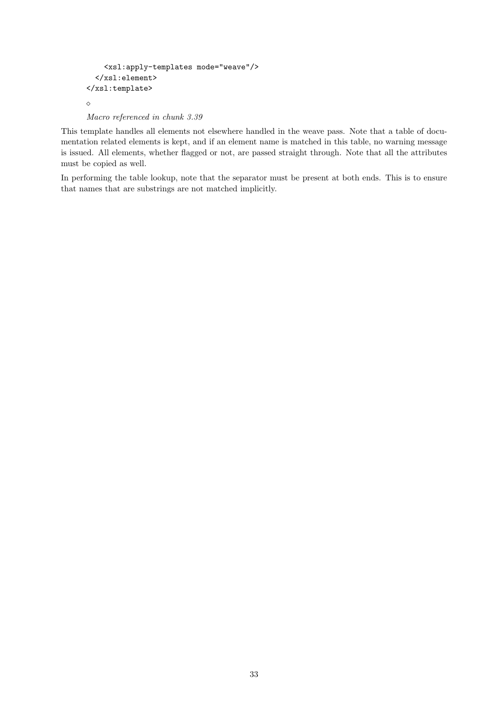```
<xsl:apply-templates mode="weave"/>
  </xsl:element>
</xsl:template>
\Diamond
```
Macro referenced in chunk 3.39

This template handles all elements not elsewhere handled in the weave pass. Note that a table of documentation related elements is kept, and if an element name is matched in this table, no warning message is issued. All elements, whether flagged or not, are passed straight through. Note that all the attributes must be copied as well.

In performing the table lookup, note that the separator must be present at both ends. This is to ensure that names that are substrings are not matched implicitly.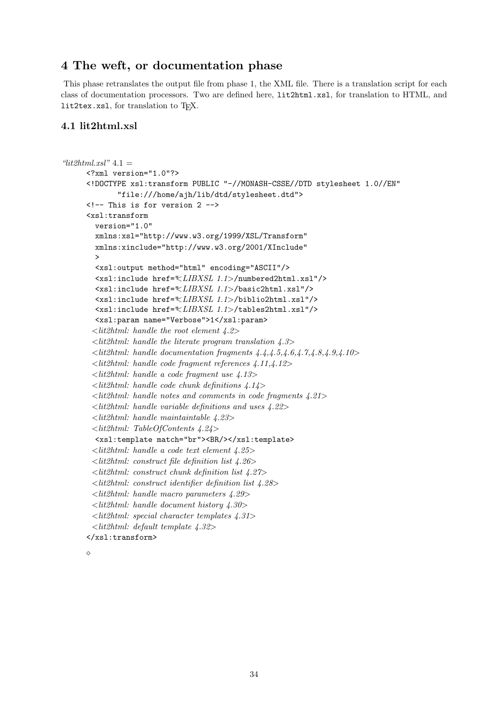## 4 The weft, or documentation phase

This phase retranslates the output file from phase 1, the XML file. There is a translation script for each class of documentation processors. Two are defined here, lit2html.xsl, for translation to HTML, and lit2tex.xsl, for translation to TFX.

## 4.1 lit2html.xsl

```
"lit2html.xsl" 4.1 =<?xml version="1.0"?>
      <!DOCTYPE xsl:transform PUBLIC "-//MONASH-CSSE//DTD stylesheet 1.0//EN"
               "file:///home/ajh/lib/dtd/stylesheet.dtd">
      <!-- This is for version 2 -->
      <xsl:transform
        version="1.0"
        xmlns:xsl="http://www.w3.org/1999/XSL/Transform"
        xmlns:xinclude="http://www.w3.org/2001/XInclude"
         >
        <xsl:output method="html" encoding="ASCII"/>
        \langle xsl:include \space href=\n\\ \langle LIBXSL \space 1.1 \rangle / \text{numbered}2html.xsl"/>
        <xsl:include href="<LIBXSL 1.1>/basic2html.xsl"/>
        <xsl:include href="<LIBXSL 1.1>/biblio2html.xsl"/>
        <xsl:include href="<LIBXSL 1.1>/tables2html.xsl"/>
        <xsl:param name="Verbose">1</xsl:param>
        \ltlit2html: handle the root element 4.2>
        \leqlit2html: handle the literate program translation 4.3>
        \leqlit2html: handle documentation fragments \angle 4.\angle 4.\angle 5,\angle 4.\angle 6,\angle 7,\angle 4.\angle 8,\angle 4.\angle 10\ltlit2html: handle code fragment references 4.11,4.12>
        \leqlit2html: handle a code fragment use 4.13>\ltlit2html: handle code chunk definitions 4.14>
        \leqlit2html: handle notes and comments in code fragments \angle 21\ltlit2html: handle variable definitions and uses \angle4.22>
        <lit2html: handle maintaintable 4.23>
        <lit2html: TableOfContents 4.24>
        <xsl:template match="br"><BR/></xsl:template>
        \ltlit2html: handle a code text element 4.25>
        \ltlit2html: construct file definition list 4.26>
        \ltlit2html: construct chunk definition list 4.27>
        <lit2html: construct identifier definition list 4.28>
        <lit2html: handle macro parameters 4.29>
       <lit2html: handle document history 4.30>
       \ltlit2html: special character templates \angle 4.31>\ltlit2html: default template 4.32>
      </xsl:transform>
```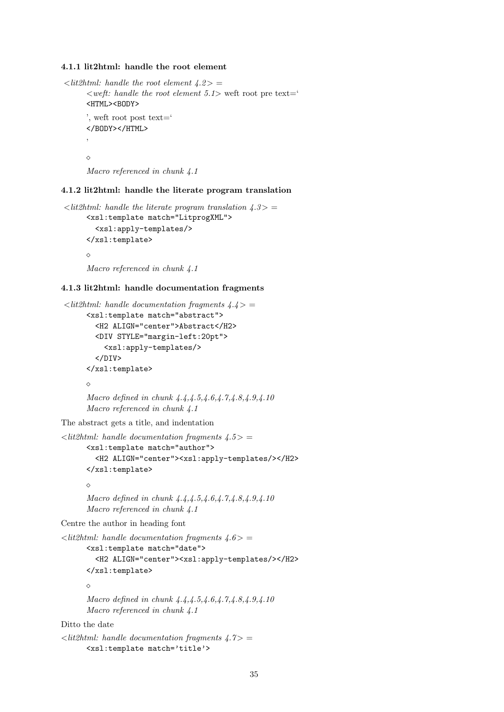#### 4.1.1 lit2html: handle the root element

```
\langlelit2html: handle the root element \langle 4.2 \rangle =\langle \text{weff}: \text{ handle the root element } 5.1 \rangle weft root pre text='
       <HTML><BODY>
       ', weft root post text='
       </BODY></HTML>
        '
       \DiamondMacro referenced in chunk 4.1
```
### 4.1.2 lit2html: handle the literate program translation

```
\langlelit2html: handle the literate program translation 4.3> =
     <xsl:template match="LitprogXML">
        <xsl:apply-templates/>
     </xsl:template>
     \DiamondMacro referenced in chunk 4.1
```
## 4.1.3 lit2html: handle documentation fragments

```
\langlelit2html: handle documentation fragments \langle 4.4 \rangle =
      <xsl:template match="abstract">
        <H2 ALIGN="center">Abstract</H2>
        <DIV STYLE="margin-left:20pt">
           <xsl:apply-templates/>
        </DIV></xsl:template>
      \DiamondMacro defined in chunk 4.4, 4.4, 5, 4.6, 4.7, 4.8, 4.9, 4.10Macro referenced in chunk 4.1
```
The abstract gets a title, and indentation

```
\langlelit2html: handle documentation fragments \langle 4.5 \rangle =
       <xsl:template match="author">
         <H2 ALIGN="center"><xsl:apply-templates/></H2>
       </xsl:template>
       \Diamond
```

```
Macro defined in chunk 4.4, 4.4, 5, 4.6, 4.7, 4.8, 4.9, 4.10Macro referenced in chunk 4.1
```
Centre the author in heading font

```
\langlelit2html: handle documentation fragments 4.6> =
      <xsl:template match="date">
         <H2 ALIGN="center"><xsl:apply-templates/></H2>
      </xsl:template>
      \DiamondMacro defined in chunk 4.4,4.5,4.6,4.7,4.8,4.9,4.10
      Macro referenced in chunk \ddot{4} \cdot 1
```
Ditto the date

```
\langlelit2html: handle documentation fragments 4.7>
      <xsl:template match='title'>
```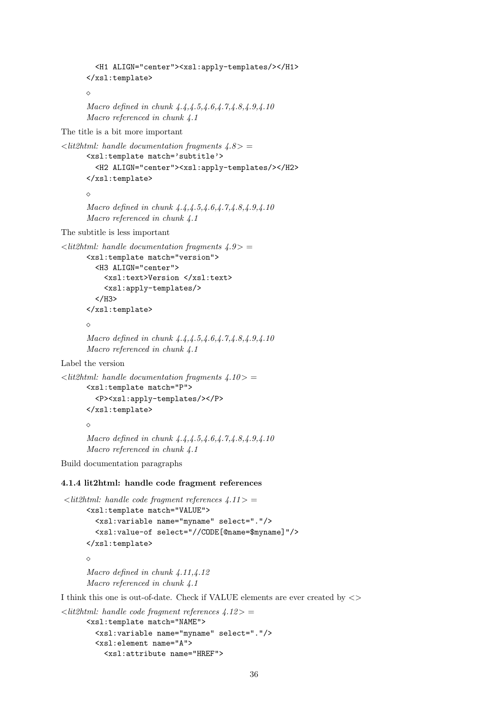```
<H1 ALIGN="center"><xsl:apply-templates/></H1>
      </xsl:template>
      \triangleMacro defined in chunk 4.4, 4.4, 5, 4.6, 4.7, 4.8, 4.9, 4.10Macro referenced in chunk 4.1
The title is a bit more important
\leqlit2html: handle documentation fragments 4.8 > =
      <xsl:template match='subtitle'>
         <H2 ALIGN="center"><xsl:apply-templates/></H2>
      </xsl:template>
      \DiamondMacro defined in chunk 4.4,4.4.5,4.6,4.7,4.8,4.9,4.10Macro referenced in chunk 4.1
The subtitle is less important
\langle lit2html: handle documentation fragments \angle 4.9 \rangle =
      <xsl:template match="version">
         <H3 ALIGN="center">
           <xsl:text>Version </xsl:text>
           <xsl:apply-templates/>
         </H3>
      </xsl:template>
      \DiamondMacro defined in chunk 4.4, 4.5, 4.6, 4.7, 4.8, 4.9, 4.10Macro referenced in chunk \ddot{4} \cdot 1Label the version
\langlelit2html: handle documentation fragments 4.10>
      <xsl:template match="P">
         <P><xsl:apply-templates/></P>
      \langle xsl:template\rangle\DiamondMacro defined in chunk 4.4,4.4,5,4.6,4.7,4.8,4.9,4.10Macro referenced in chunk 4.1
Build documentation paragraphs
4.1.4 lit2html: handle code fragment references
\langlelit2html: handle code fragment references \angle 4.11 > =
      <xsl:template match="VALUE">
         <xsl:variable name="myname" select="."/>
```

```
<xsl:value-of select="//CODE[@name=$myname]"/>
</xsl:template>
\Diamond
```
Macro defined in chunk 4.11,4.12 Macro referenced in chunk  $\ddot{4}$ .1

I think this one is out-of-date. Check if VALUE elements are ever created by  $\langle \rangle$ 

```
\langlelit2html: handle code fragment references \langle4.12\rangle =
      <xsl:template match="NAME">
        <xsl:variable name="myname" select="."/>
        <xsl:element name="A">
           <xsl:attribute name="HREF">
```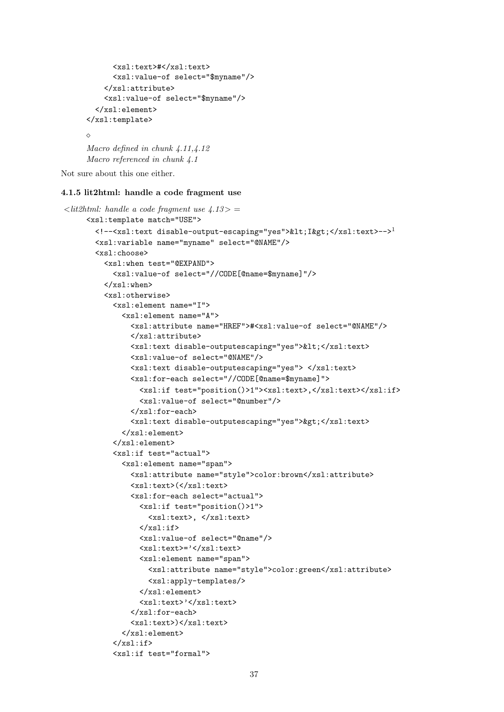```
<xsl:text>#</xsl:text>
      <xsl:value-of select="$myname"/>
    </xsl:attribute>
    <xsl:value-of select="$myname"/>
  </xsl:element>
</xsl:template>
\Diamond
```

```
Macro defined in chunk 4.11,4.12
Macro referenced in chunk 4.1
```
Not sure about this one either.

#### 4.1.5 lit2html: handle a code fragment use

```
\langlelit2html: handle a code fragment use 4.13>
     <xsl:template match="USE">
       <!--<xsl:text disable-output-escaping="yes">&lt;I&gt;</xsl:text>-->1
       <xsl:variable name="myname" select="@NAME"/>
       <xsl:choose>
         <xsl:when test="@EXPAND">
           <xsl:value-of select="//CODE[@name=$myname]"/>
         </xsl:when>
         <xsl:otherwise>
           <xsl:element name="I">
             <xsl:element name="A">
               <xsl:attribute name="HREF">#<xsl:value-of select="@NAME"/>
               </xsl:attribute>
               <xsl:text disable-outputescaping="yes">&lt;</xsl:text>
               <xsl:value-of select="@NAME"/>
               <xsl:text disable-outputescaping="yes"> </xsl:text>
               <xsl:for-each select="//CODE[@name=$myname]">
                 <xsl:if test="position()>1"><xsl:text>,</xsl:text></xsl:if>
                 <xsl:value-of select="@number"/>
               </xsl:for-each>
               <xsl:text disable-outputescaping="yes">&gt;</xsl:text>
             </xsl:element>
           </xsl:element>
           <xsl:if test="actual">
             <xsl:element name="span">
               <xsl:attribute name="style">color:brown</xsl:attribute>
               <xsl:text>(</xsl:text>
               <xsl:for-each select="actual">
                 <xsl:if test="position()>1">
                   <xsl:text>, </xsl:text>
                 \langle xsl:if\rangle<xsl:value-of select="@name"/>
                 <xsl:text>='</xsl:text>
                 <xsl:element name="span">
                   <xsl:attribute name="style">color:green</xsl:attribute>
                   <xsl:apply-templates/>
                 </xsl:element>
                 <xsl:text>'</xsl:text>
               </xsl:for-each>
               <xsl:text>)</xsl:text>
             </xsl:element>
           \langle xsl:if>
           <xsl:if test="formal">
```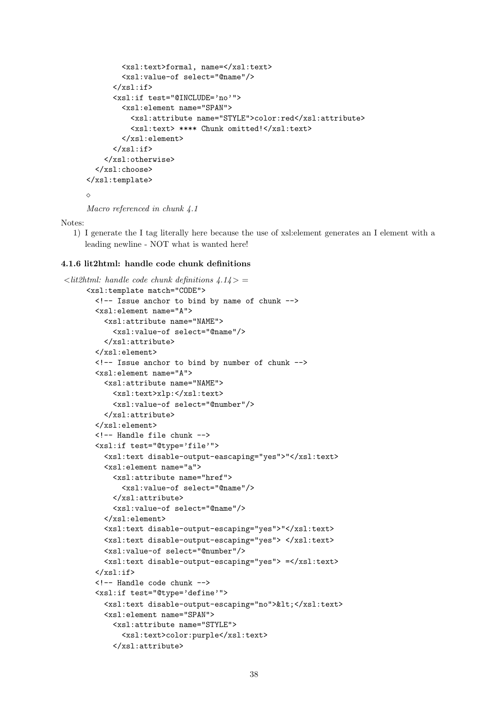```
<xsl:text>formal, name=</xsl:text>
        <xsl:value-of select="@name"/>
      \langle xsl:if>
      <xsl:if test="@INCLUDE='no'">
        <xsl:element name="SPAN">
           <xsl:attribute name="STYLE">color:red</xsl:attribute>
          <xsl:text> **** Chunk omitted!</xsl:text>
        </xsl:element>
      \langle xsl:if>
    </xsl:otherwise>
  </xsl:choose>
</xsl:template>
\Diamond
```

```
Macro referenced in chunk 4.1
```
Notes:

1) I generate the I tag literally here because the use of xsl:element generates an I element with a leading newline - NOT what is wanted here!

#### 4.1.6 lit2html: handle code chunk definitions

```
\langlelit2html: handle code chunk definitions \langle4.14\rangle =
     <xsl:template match="CODE">
       <!-- Issue anchor to bind by name of chunk -->
       <xsl:element name="A">
         <xsl:attribute name="NAME">
           <xsl:value-of select="@name"/>
         </xsl:attribute>
       </xsl:element>
       <!-- Issue anchor to bind by number of chunk -->
       <xsl:element name="A">
         <xsl:attribute name="NAME">
           <xsl:text>xlp:</xsl:text>
           <xsl:value-of select="@number"/>
         </xsl:attribute>
       </xsl:element>
       <!-- Handle file chunk -->
       <xsl:if test="@type='file'">
         <xsl:text disable-output-eascaping="yes">"</xsl:text>
         <xsl:element name="a">
           <xsl:attribute name="href">
             <xsl:value-of select="@name"/>
           </xsl:attribute>
           <xsl:value-of select="@name"/>
         </xsl:element>
         <xsl:text disable-output-escaping="yes">"</xsl:text>
         <xsl:text disable-output-escaping="yes"> </xsl:text>
         <xsl:value-of select="@number"/>
         <xsl:text disable-output-escaping="yes"> =</xsl:text>
       \langle xsl:if>
       <!-- Handle code chunk -->
       <xsl:if test="@type='define'">
         <xsl:text disable-output-escaping="no">&lt;</xsl:text>
         <xsl:element name="SPAN">
           <xsl:attribute name="STYLE">
             <xsl:text>color:purple</xsl:text>
           </xsl:attribute>
```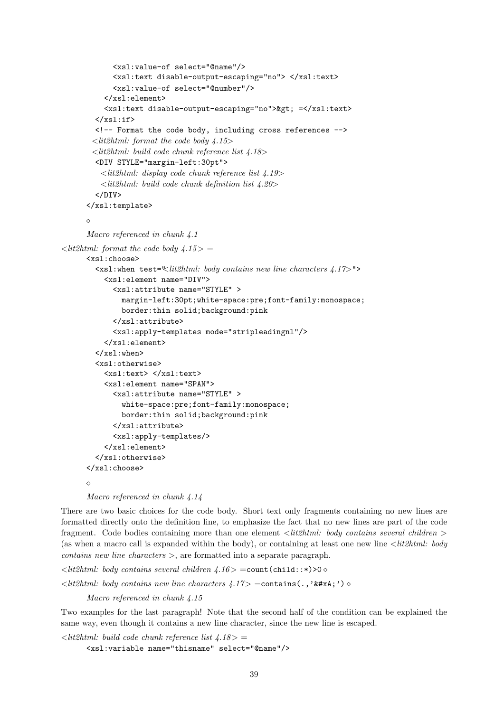```
<xsl:value-of select="@name"/>
             <xsl:text disable-output-escaping="no"> </xsl:text>
             <xsl:value-of select="@number"/>
           </xsl:element>
          <xsl:text disable-output-escaping="no">&gt; =</xsl:text>
        \langle xsl:if>
        <!-- Format the code body, including cross references -->
       \ltlit2html: format the code body 4.15>
       \ltlit2html: build code chunk reference list 4.18>
        <DIV STYLE="margin-left:30pt">
          \ltlit2html: display code chunk reference list 4.19>
          \ltlit2html: build code chunk definition list 4.20>
        </DIV>
      </xsl:template>
      \DiamondMacro referenced in chunk 4.1
\langlelit2html: format the code body 4.15 > =
      <xsl:choose>
        \langle xsl:when \text{test}=\forall \text{lit2} \text{html}: body contains new line characters 4.17>"<xsl:element name="DIV">
             <xsl:attribute name="STYLE" >
               margin-left:30pt;white-space:pre;font-family:monospace;
               border:thin solid;background:pink
             </xsl:attribute>
             <xsl:apply-templates mode="stripleadingnl"/>
          </xsl:element>
        \langle xsl:when\rangle<xsl:otherwise>
          <xsl:text> </xsl:text>
           <xsl:element name="SPAN">
             <xsl:attribute name="STYLE" >
               white-space:pre;font-family:monospace;
               border:thin solid;background:pink
             </xsl:attribute>
             <xsl:apply-templates/>
          </xsl:element>
        </xsl:otherwise>
      </xsl:choose>
      \sim
```
Macro referenced in chunk 4.14

There are two basic choices for the code body. Short text only fragments containing no new lines are formatted directly onto the definition line, to emphasize the fact that no new lines are part of the code fragment. Code bodies containing more than one element  $\langle\textit{lit2html}\rangle$ : body contains several children  $\rangle$ (as when a macro call is expanded within the body), or containing at least one new line  $\langle\textit{lit2html: body}\rangle$  $contains new line characters >$ , are formatted into a separate paragraph.

 $\langle \textit{lit2} \rangle$ html: body contains several children 4.16 > = count (child::\*)>0  $\langle$ lit2html: body contains new line characters  $\angle 4.17$  > =contains(.,'
')  $\Diamond$ 

Macro referenced in chunk 4.15

Two examples for the last paragraph! Note that the second half of the condition can be explained the same way, even though it contains a new line character, since the new line is escaped.

 $\lt$ lit2html: build code chunk reference list  $\angle 4.18$  > = <xsl:variable name="thisname" select="@name"/>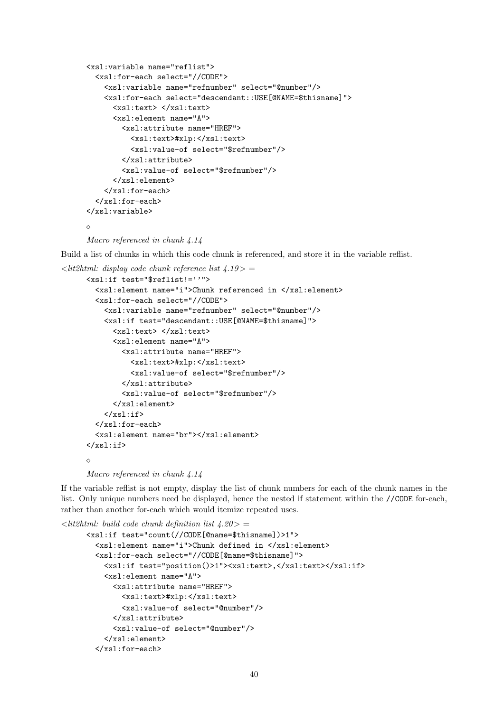```
<xsl:variable name="reflist">
  <xsl:for-each select="//CODE">
    <xsl:variable name="refnumber" select="@number"/>
    <xsl:for-each select="descendant::USE[@NAME=$thisname]">
      <xsl:text> </xsl:text>
      <xsl:element name="A">
        <xsl:attribute name="HREF">
          <xsl:text>#xlp:</xsl:text>
          <xsl:value-of select="$refnumber"/>
        </xsl:attribute>
        <xsl:value-of select="$refnumber"/>
      </xsl:element>
    </xsl:for-each>
  </xsl:for-each>
</xsl:variable>
\Diamond
```

```
Macro referenced in chunk 4.14
```
Build a list of chunks in which this code chunk is referenced, and store it in the variable reflist.

```
\langlelit2html: display code chunk reference list 4.19> =
      <xsl:if test="$reflist!=''">
```

```
<xsl:element name="i">Chunk referenced in </xsl:element>
  <xsl:for-each select="//CODE">
    <xsl:variable name="refnumber" select="@number"/>
    <xsl:if test="descendant::USE[@NAME=$thisname]">
      <xsl:text> </xsl:text>
      <xsl:element name="A">
        <xsl:attribute name="HREF">
          <xsl:text>#xlp:</xsl:text>
          <xsl:value-of select="$refnumber"/>
        </xsl:attribute>
        <xsl:value-of select="$refnumber"/>
      </xsl:element>
    \langle xsl:if\rangle</xsl:for-each>
  <xsl:element name="br"></xsl:element>
\langle xsl:if\rangle\Diamond
```
Macro referenced in chunk 4.14

If the variable reflist is not empty, display the list of chunk numbers for each of the chunk names in the list. Only unique numbers need be displayed, hence the nested if statement within the //CODE for-each, rather than another for-each which would itemize repeated uses.

```
\langlelit2html: build code chunk definition list \angle 4.20 > =
     <xsl:if test="count(//CODE[@name=$thisname])>1">
        <xsl:element name="i">Chunk defined in </xsl:element>
        <xsl:for-each select="//CODE[@name=$thisname]">
          <xsl:if test="position()>1"><xsl:text>,</xsl:text></xsl:if>
          <xsl:element name="A">
            <xsl:attribute name="HREF">
              <xsl:text>#xlp:</xsl:text>
              <xsl:value-of select="@number"/>
            </xsl:attribute>
            <xsl:value-of select="@number"/>
          </xsl:element>
        </xsl:for-each>
```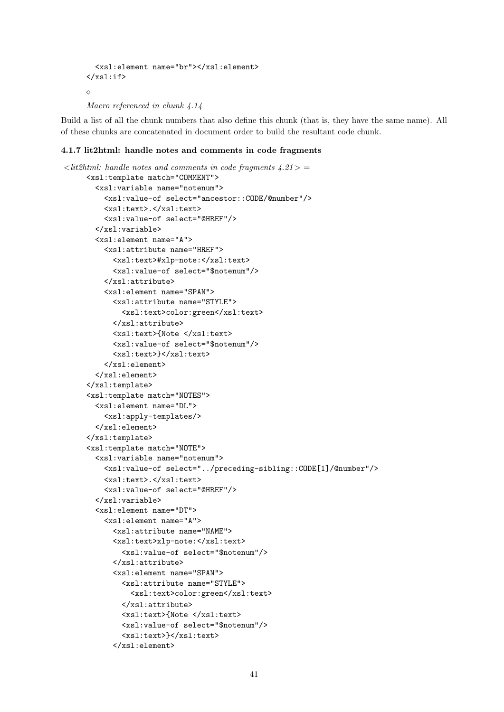```
<xsl:element name="br"></xsl:element>
\langle xsl:if>
\DiamondMacro referenced in chunk 4.14
```
Build a list of all the chunk numbers that also define this chunk (that is, they have the same name). All of these chunks are concatenated in document order to build the resultant code chunk.

## 4.1.7 lit2html: handle notes and comments in code fragments

```
\langlelit2html: handle notes and comments in code fragments 4.21> =
     <xsl:template match="COMMENT">
       <xsl:variable name="notenum">
         <xsl:value-of select="ancestor::CODE/@number"/>
         <xsl:text>.</xsl:text>
         <xsl:value-of select="@HREF"/>
       </xsl:variable>
       <xsl:element name="A">
         <xsl:attribute name="HREF">
           <xsl:text>#xlp-note:</xsl:text>
           <xsl:value-of select="$notenum"/>
         </xsl:attribute>
         <xsl:element name="SPAN">
           <xsl:attribute name="STYLE">
             <xsl:text>color:green</xsl:text>
           </xsl:attribute>
           <xsl:text>{Note </xsl:text>
           <xsl:value-of select="$notenum"/>
           <xsl:text>}</xsl:text>
         </xsl:element>
       </xsl:element>
     </xsl:template>
     <xsl:template match="NOTES">
       <xsl:element name="DL">
         <xsl:apply-templates/>
       </xsl:element>
     </xsl:template>
     <xsl:template match="NOTE">
       <xsl:variable name="notenum">
         <xsl:value-of select="../preceding-sibling::CODE[1]/@number"/>
         <xsl:text>.</xsl:text>
         <xsl:value-of select="@HREF"/>
       </xsl:variable>
       <xsl:element name="DT">
         <xsl:element name="A">
           <xsl:attribute name="NAME">
           <xsl:text>xlp-note:</xsl:text>
             <xsl:value-of select="$notenum"/>
           </xsl:attribute>
           <xsl:element name="SPAN">
             <xsl:attribute name="STYLE">
               <xsl:text>color:green</xsl:text>
             </xsl:attribute>
             <xsl:text>{Note </xsl:text>
             <xsl:value-of select="$notenum"/>
             <xsl:text>}</xsl:text>
           </xsl:element>
```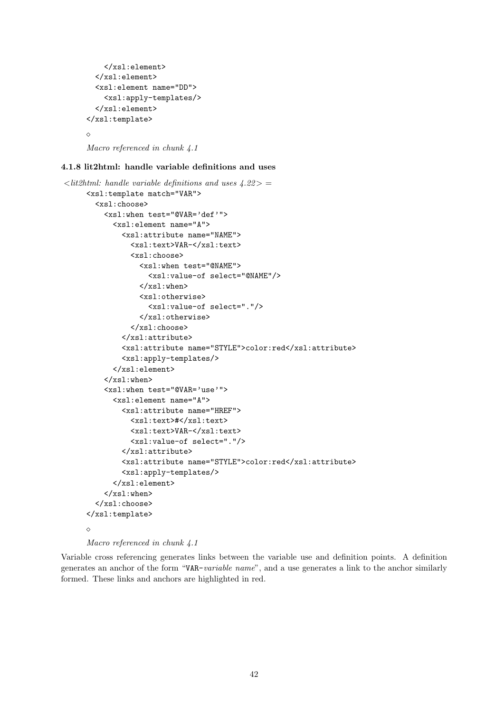```
</xsl:element>
  </xsl:element>
  <xsl:element name="DD">
    <xsl:apply-templates/>
  </xsl:element>
</xsl:template>
\Diamond
```
Macro referenced in chunk 4.1

## 4.1.8 lit2html: handle variable definitions and uses

```
\langle lit2html: handle variable definitions and uses \angle 4.22 > =
     <xsl:template match="VAR">
       <xsl:choose>
          <xsl:when test="@VAR='def'">
            <xsl:element name="A">
              <xsl:attribute name="NAME">
                <xsl:text>VAR-</xsl:text>
                <xsl:choose>
                  <xsl:when test="@NAME">
                    <xsl:value-of select="@NAME"/>
                  \langle xsl:when\rangle<xsl:otherwise>
                    <xsl:value-of select="."/>
                  </xsl:otherwise>
                </xsl:choose>
              </xsl:attribute>
              <xsl:attribute name="STYLE">color:red</xsl:attribute>
              <xsl:apply-templates/>
            </xsl:element>
          </xsl:when>
         <xsl:when test="@VAR='use'">
            <xsl:element name="A">
              <xsl:attribute name="HREF">
                <xsl:text>#</xsl:text>
                <xsl:text>VAR-</xsl:text>
                <xsl:value-of select="."/>
              </xsl:attribute>
              <xsl:attribute name="STYLE">color:red</xsl:attribute>
              <xsl:apply-templates/>
            </xsl:element>
         \langle xsl:when\rangle</xsl:choose>
     </xsl:template>
     \Diamond
```
Macro referenced in chunk 4.1

Variable cross referencing generates links between the variable use and definition points. A definition generates an anchor of the form "VAR-variable name", and a use generates a link to the anchor similarly formed. These links and anchors are highlighted in red.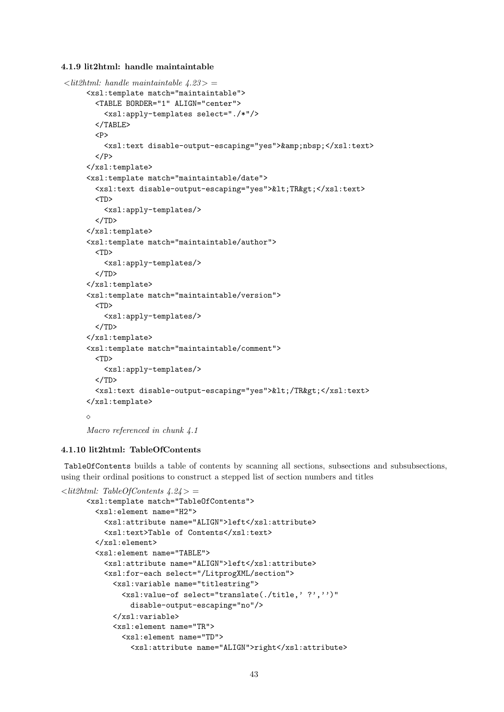4.1.9 lit2html: handle maintaintable

```
\langlelit2html: handle maintaintable 4.23> =
     <xsl:template match="maintaintable">
       <TABLE BORDER="1" ALIGN="center">
         <xsl:apply-templates select="./*"/>
       </TABLE>
       P<xsl:text disable-output-escaping="yes">&amp;nbsp;</xsl:text>
       </P>\langle xsl:template\rangle<xsl:template match="maintaintable/date">
       <xsl:text disable-output-escaping="yes">&lt;TR&gt;</xsl:text>
       <TD>
         <xsl:apply-templates/>
       \langle/TD\rangle</xsl:template>
     <xsl:template match="maintaintable/author">
       <TD>
         <xsl:apply-templates/>
       </TD></xsl:template>
     <xsl:template match="maintaintable/version">
       <TD>
         <xsl:apply-templates/>
       </TD></xsl:template>
     <xsl:template match="maintaintable/comment">
       <TD>
         <xsl:apply-templates/>
       </TD><xsl:text disable-output-escaping="yes">&lt;/TR&gt;</xsl:text>
     </xsl:template>
     \DiamondMacro referenced in chunk 4.1
```
#### 4.1.10 lit2html: TableOfContents

TableOfContents builds a table of contents by scanning all sections, subsections and subsubsections, using their ordinal positions to construct a stepped list of section numbers and titles

```
\langlelit2html: TableOfContents 4.24 > =
     <xsl:template match="TableOfContents">
       <xsl:element name="H2">
         <xsl:attribute name="ALIGN">left</xsl:attribute>
         <xsl:text>Table of Contents</xsl:text>
       </xsl:element>
       <xsl:element name="TABLE">
         <xsl:attribute name="ALIGN">left</xsl:attribute>
         <xsl:for-each select="/LitprogXML/section">
            <xsl:variable name="titlestring">
              <xsl:value-of select="translate(./title,' ?','')"
                disable-output-escaping="no"/>
            </xsl:variable>
            <xsl:element name="TR">
              <xsl:element name="TD">
                <xsl:attribute name="ALIGN">right</xsl:attribute>
```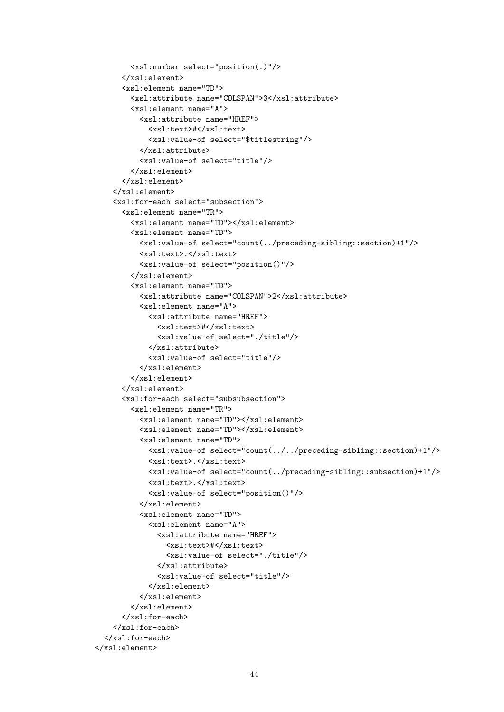```
<xsl:number select="position(.)"/>
      </xsl:element>
      <xsl:element name="TD">
        <xsl:attribute name="COLSPAN">3</xsl:attribute>
        <xsl:element name="A">
          <xsl:attribute name="HREF">
            <xsl:text>#</xsl:text>
            <xsl:value-of select="$titlestring"/>
          </xsl:attribute>
          <xsl:value-of select="title"/>
        </xsl:element>
      </xsl:element>
    </xsl:element>
    <xsl:for-each select="subsection">
      <xsl:element name="TR">
        <xsl:element name="TD"></xsl:element>
        <xsl:element name="TD">
          <xsl:value-of select="count(../preceding-sibling::section)+1"/>
          <xsl:text>.</xsl:text>
          <xsl:value-of select="position()"/>
        </xsl:element>
        <xsl:element name="TD">
          <xsl:attribute name="COLSPAN">2</xsl:attribute>
          <xsl:element name="A">
            <xsl:attribute name="HREF">
              <xsl:text>#</xsl:text>
              <xsl:value-of select="./title"/>
            </xsl:attribute>
            <xsl:value-of select="title"/>
          </xsl:element>
        </xsl:element>
      </xsl:element>
      <xsl:for-each select="subsubsection">
        <xsl:element name="TR">
          <xsl:element name="TD"></xsl:element>
          <xsl:element name="TD"></xsl:element>
          <xsl:element name="TD">
            <xsl:value-of select="count(../../preceding-sibling::section)+1"/>
            <xsl:text>.</xsl:text>
            <xsl:value-of select="count(../preceding-sibling::subsection)+1"/>
            <xsl:text>.</xsl:text>
            <xsl:value-of select="position()"/>
          </xsl:element>
          <xsl:element name="TD">
            <xsl:element name="A">
              <xsl:attribute name="HREF">
                <xsl:text>#</xsl:text>
                <xsl:value-of select="./title"/>
              </xsl:attribute>
              <xsl:value-of select="title"/>
            </xsl:element>
          </xsl:element>
        </xsl:element>
      </xsl:for-each>
    </xsl:for-each>
  </xsl:for-each>
</xsl:element>
```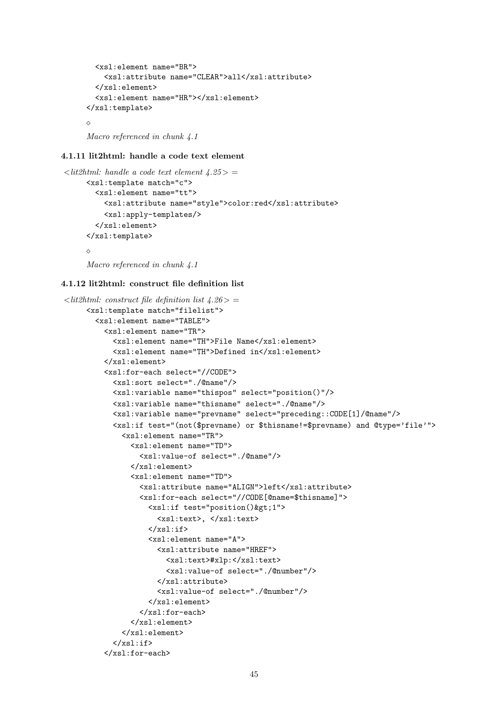```
<xsl:element name="BR">
    <xsl:attribute name="CLEAR">all</xsl:attribute>
  </xsl:element>
  <xsl:element name="HR"></xsl:element>
</xsl:template>
\DiamondMacro referenced in chunk 4.1
```
## 4.1.11 lit2html: handle a code text element

```
\langlelit2html: handle a code text element \langle 4.25 \rangle =
      <xsl:template match="c">
        <xsl:element name="tt">
          <xsl:attribute name="style">color:red</xsl:attribute>
          <xsl:apply-templates/>
        </xsl:element>
      </xsl:template>
      \Diamond
```
Macro referenced in chunk 4.1

#### 4.1.12 lit2html: construct file definition list

```
\ltlit2html: construct file definition list 4.26 > =
     <xsl:template match="filelist">
       <xsl:element name="TABLE">
         <xsl:element name="TR">
           <xsl:element name="TH">File Name</xsl:element>
           <xsl:element name="TH">Defined in</xsl:element>
         </xsl:element>
         <xsl:for-each select="//CODE">
           <xsl:sort select="./@name"/>
           <xsl:variable name="thispos" select="position()"/>
           <xsl:variable name="thisname" select="./@name"/>
           <xsl:variable name="prevname" select="preceding::CODE[1]/@name"/>
           <xsl:if test="(not($prevname) or $thisname!=$prevname) and @type='file'">
             <xsl:element name="TR">
               <xsl:element name="TD">
                 <xsl:value-of select="./@name"/>
               </xsl:element>
               <xsl:element name="TD">
                 <xsl:attribute name="ALIGN">left</xsl:attribute>
                 <xsl:for-each select="//CODE[@name=$thisname]">
                   <xsl:if test="position()&gt;1">
                      <xsl:text>, </xsl:text>
                   \langle xsl:if>
                   <xsl:element name="A">
                     <xsl:attribute name="HREF">
                       <xsl:text>#xlp:</xsl:text>
                       <xsl:value-of select="./@number"/>
                     </xsl:attribute>
                      <xsl:value-of select="./@number"/>
                   </xsl:element>
                 </xsl:for-each>
               </xsl:element>
             </xsl:element>
           \langle xsl:if>
         </xsl:for-each>
```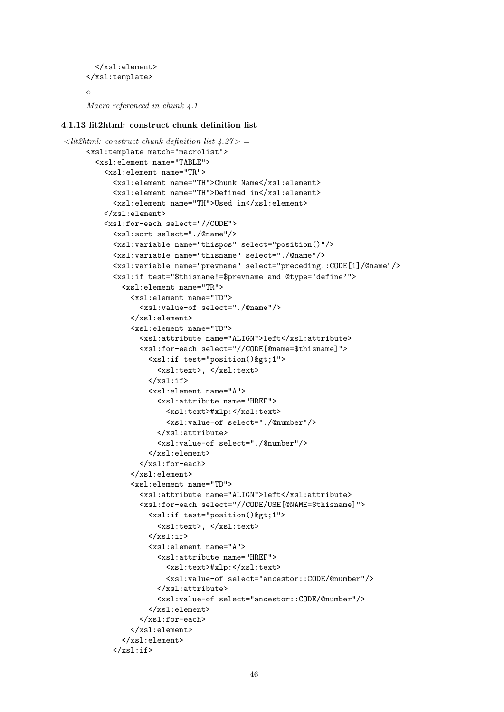```
</xsl:element>
</xsl:template>
\DiamondMacro referenced in chunk 4.1
```
#### 4.1.13 lit2html: construct chunk definition list

```
\langlelit2html: construct chunk definition list 4.27> =
     <xsl:template match="macrolist">
       <xsl:element name="TABLE">
         <xsl:element name="TR">
           <xsl:element name="TH">Chunk Name</xsl:element>
           <xsl:element name="TH">Defined in</xsl:element>
           <xsl:element name="TH">Used in</xsl:element>
         </xsl:element>
         <xsl:for-each select="//CODE">
           <xsl:sort select="./@name"/>
           <xsl:variable name="thispos" select="position()"/>
           <xsl:variable name="thisname" select="./@name"/>
           <xsl:variable name="prevname" select="preceding::CODE[1]/@name"/>
           <xsl:if test="$thisname!=$prevname and @type='define'">
             <xsl:element name="TR">
               <xsl:element name="TD">
                 <xsl:value-of select="./@name"/>
               </xsl:element>
               <xsl:element name="TD">
                 <xsl:attribute name="ALIGN">left</xsl:attribute>
                 <xsl:for-each select="//CODE[@name=$thisname]">
                    <xsl:if test="position()&gt;1">
                      <xsl:text>, </xsl:text>
                   \langle xs1:if\rangle<xsl:element name="A">
                     <xsl:attribute name="HREF">
                       <xsl:text>#xlp:</xsl:text>
                        <xsl:value-of select="./@number"/>
                      </xsl:attribute>
                      <xsl:value-of select="./@number"/>
                    </xsl:element>
                 </xsl:for-each>
               </xsl:element>
               <xsl:element name="TD">
                 <xsl:attribute name="ALIGN">left</xsl:attribute>
                 <xsl:for-each select="//CODE/USE[@NAME=$thisname]">
                    <xsl:if test="position()&gt;1">
                      <xsl:text>, </xsl:text>
                    \langle x s | : if \rangle<xsl:element name="A">
                      <xsl:attribute name="HREF">
                        <xsl:text>#xlp:</xsl:text>
                        <xsl:value-of select="ancestor::CODE/@number"/>
                      </xsl:attribute>
                      <xsl:value-of select="ancestor::CODE/@number"/>
                    </xsl:element>
                 </xsl:for-each>
               </xsl:element>
             </xsl:element>
           </xsl:if>
```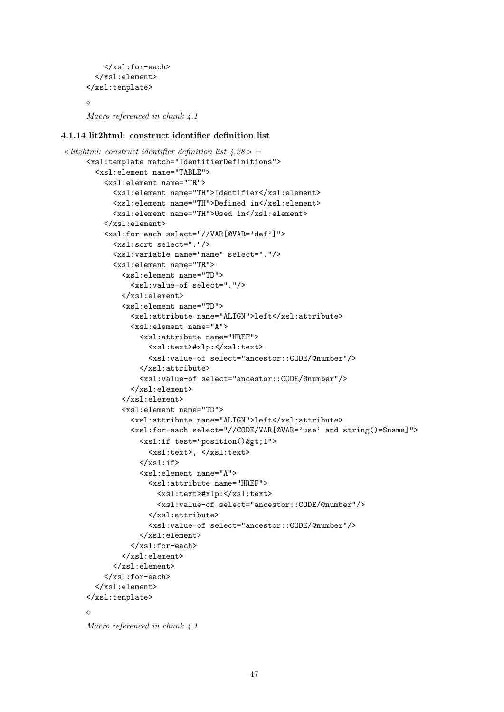```
</xsl:for-each>
  </xsl:element>
</xsl:template>
\DiamondMacro referenced in chunk 4.1
```
#### 4.1.14 lit2html: construct identifier definition list

```
\langlelit2html: construct identifier definition list 4.28> =
     <xsl:template match="IdentifierDefinitions">
       <xsl:element name="TABLE">
         <xsl:element name="TR">
           <xsl:element name="TH">Identifier</xsl:element>
           <xsl:element name="TH">Defined in</xsl:element>
           <xsl:element name="TH">Used in</xsl:element>
         </xsl:element>
         <xsl:for-each select="//VAR[@VAR='def']">
           <xsl:sort select="."/>
           <xsl:variable name="name" select="."/>
           <xsl:element name="TR">
             <xsl:element name="TD">
               <xsl:value-of select="."/>
             </xsl:element>
             <xsl:element name="TD">
               <xsl:attribute name="ALIGN">left</xsl:attribute>
               <xsl:element name="A">
                  <xsl:attribute name="HREF">
                    <xsl:text>#xlp:</xsl:text>
                    <xsl:value-of select="ancestor::CODE/@number"/>
                  </xsl:attribute>
                  <xsl:value-of select="ancestor::CODE/@number"/>
               </xsl:element>
             </xsl:element>
             <xsl:element name="TD">
               <xsl:attribute name="ALIGN">left</xsl:attribute>
               <xsl:for-each select="//CODE/VAR[@VAR='use' and string()=$name]">
                  \langle xsl: \text{if } \text{test="position}()<xsl:text>, </xsl:text>
                 \langle xsl:if>
                  <xsl:element name="A">
                    <xsl:attribute name="HREF">
                      <xsl:text>#xlp:</xsl:text>
                      <xsl:value-of select="ancestor::CODE/@number"/>
                    </xsl:attribute>
                    <xsl:value-of select="ancestor::CODE/@number"/>
                 </xsl:element>
               </xsl:for-each>
             </xsl:element>
           </xsl:element>
         </xsl:for-each>
       </xsl:element>
     </xsl:template>
     \DiamondMacro referenced in chunk 4.1
```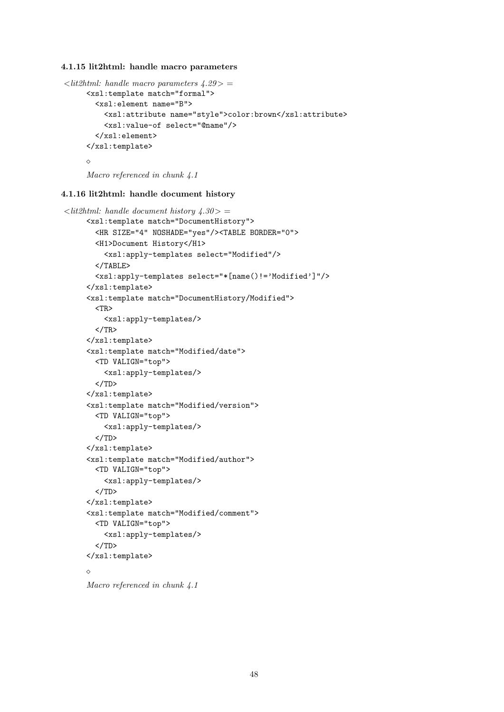#### 4.1.15 lit2html: handle macro parameters

```
\langlelit2html: handle macro parameters \angle 4.29 \rangle =<xsl:template match="formal">
       <xsl:element name="B">
          <xsl:attribute name="style">color:brown</xsl:attribute>
          <xsl:value-of select="@name"/>
        </xsl:element>
     </xsl:template>
     \Diamond
```
Macro referenced in chunk 4.1

## 4.1.16 lit2html: handle document history

```
\langlelit2html: handle document history 4.30> =
     <xsl:template match="DocumentHistory">
       <HR SIZE="4" NOSHADE="yes"/><TABLE BORDER="0">
       <H1>Document History</H1>
         <xsl:apply-templates select="Modified"/>
       </TABLE>
       <xsl:apply-templates select="*[name()!='Modified']"/>
     </xsl:template>
     <xsl:template match="DocumentHistory/Modified">
       <TR>
         <xsl:apply-templates/>
       </TR></xsl:template>
     <xsl:template match="Modified/date">
       <TD VALIGN="top">
         <xsl:apply-templates/>
       </TD>
     </xsl:template>
     <xsl:template match="Modified/version">
       <TD VALIGN="top">
         <xsl:apply-templates/>
       </TD></xsl:template>
     <xsl:template match="Modified/author">
       <TD VALIGN="top">
         <xsl:apply-templates/>
       \langle/TD\rangle</xsl:template>
     <xsl:template match="Modified/comment">
       <TD VALIGN="top">
         <xsl:apply-templates/>
       </TD></xsl:template>
     \Diamond
```

```
Macro referenced in chunk 4.1
```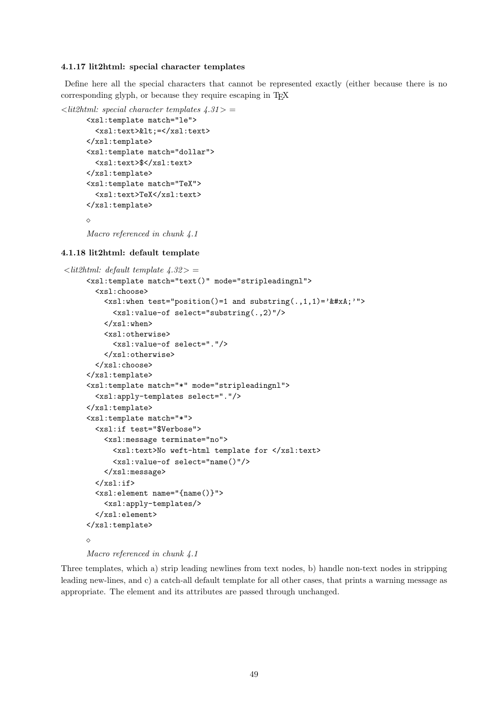#### 4.1.17 lit2html: special character templates

Define here all the special characters that cannot be represented exactly (either because there is no corresponding glyph, or because they require escaping in TFX

```
\ltlit2html: special character templates \angle 4.31 > =
      <xsl:template match="le">
        <xsl:text>&lt; =</xsl:text>
      </xsl:template>
      <xsl:template match="dollar">
        <xsl:text>$</xsl:text>
      </xsl:template>
      <xsl:template match="TeX">
         <xsl:text>TeX</xsl:text>
      \langle xsl:template\rangle\DiamondMacro referenced in chunk 4.1
```
#### 4.1.18 lit2html: default template

```
\langlelit2html: default template 4.32> =
     <xsl:template match="text()" mode="stripleadingnl">
       <xsl:choose>
         \langle xsl: when test="position() = 1 and substring(., 1, 1) = '
 '''<xsl:value-of select="substring(.,2)"/>
         \langle xsl:when\rangle<xsl:otherwise>
            <xsl:value-of select="."/>
         </xsl:otherwise>
       </xsl:choose>
     </xsl:template>
     <xsl:template match="*" mode="stripleadingnl">
       <xsl:apply-templates select="."/>
     </xsl:template>
     <xsl:template match="*">
       <xsl:if test="$Verbose">
         <xsl:message terminate="no">
            <xsl:text>No weft-html template for </xsl:text>
            <xsl:value-of select="name()"/>
         </xsl:message>
       \langle xsl:if>
       <xsl:element name="{name()}">
         <xsl:apply-templates/>
       </xsl:element>
     </xsl:template>
     \DiamondMacro referenced in chunk 4.1
```
Three templates, which a) strip leading newlines from text nodes, b) handle non-text nodes in stripping leading new-lines, and c) a catch-all default template for all other cases, that prints a warning message as appropriate. The element and its attributes are passed through unchanged.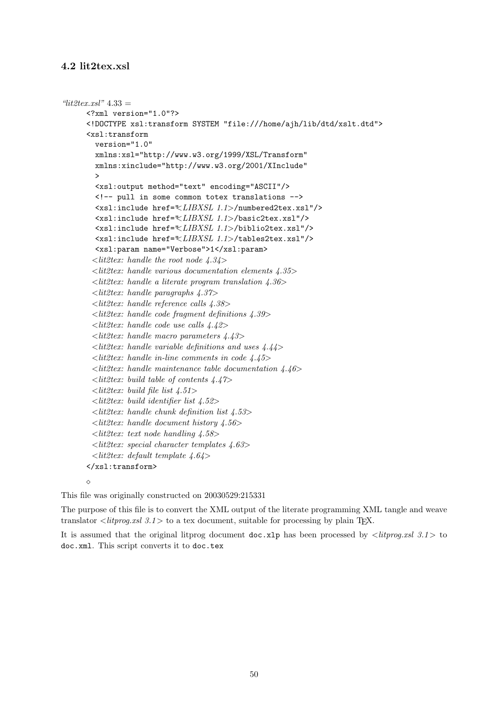## 4.2 lit2tex.xsl

```
"lit2text.xsl" 4.33 =<?xml version="1.0"?>
      <!DOCTYPE xsl:transform SYSTEM "file:///home/ajh/lib/dtd/xslt.dtd">
      <xsl:transform
        version="1.0"
        xmlns:xsl="http://www.w3.org/1999/XSL/Transform"
        xmlns:xinclude="http://www.w3.org/2001/XInclude"
         >
        <xsl:output method="text" encoding="ASCII"/>
        <!-- pull in some common totex translations -->
        <xsl:include href="<LIBXSL 1.1>/numbered2tex.xsl"/>
        <xsl:include href="<LIBXSL 1.1>/basic2tex.xsl"/>
        <xsl:include href="<LIBXSL 1.1>/biblio2tex.xsl"/>
        <xsl:include href="<LIBXSL 1.1>/tables2tex.xsl"/>
        <xsl:param name="Verbose">1</xsl:param>
        \langlelit2tex: handle the root node 4.34>
        <lit2tex: handle various documentation elements 4.35>
       \ltlit2tex: handle a literate program translation 4.36>
       \langlelit2tex: handle paragraphs 4.37>
       <lit2tex: handle reference calls 4.38>
       \ltlit2tex: handle code fragment definitions 4.39>
       \langle lit2tex: handle code use calls \langle 4.42 \rangle\langlelit2tex: handle macro parameters 4.43>
       \langlelit2tex: handle variable definitions and uses 4.44>
       \ltlit2tex: handle in-line comments in code 4.45>
       \ltlit2tex: handle maintenance table documentation 4.46>
       \langle lit2tex: build table of contents 4.47>
       \langlelit2tex: build file list 4.51>
       \langle lit2tex: build identifier list 4.52>
       \langlelit2tex: handle chunk definition list 4.53>
       \langlelit2tex: handle document history 4.56>
       \langlelit2tex: text node handling 4.58>
       \ltlit2tex: special character templates 4.63>
        \langlelit2tex: default template 4.64>
      </xsl:transform>
      \Diamond
```
This file was originally constructed on 20030529:215331

The purpose of this file is to convert the XML output of the literate programming XML tangle and weave translator  $\langle\text{div} \rho g.x \text{d} s.1 \rangle$  to a tex document, suitable for processing by plain T<sub>E</sub>X.

It is assumed that the original litprog document doc.xlp has been processed by  $\langle\text{litprog}.xsl\right.$  3.1> to doc.xml. This script converts it to doc.tex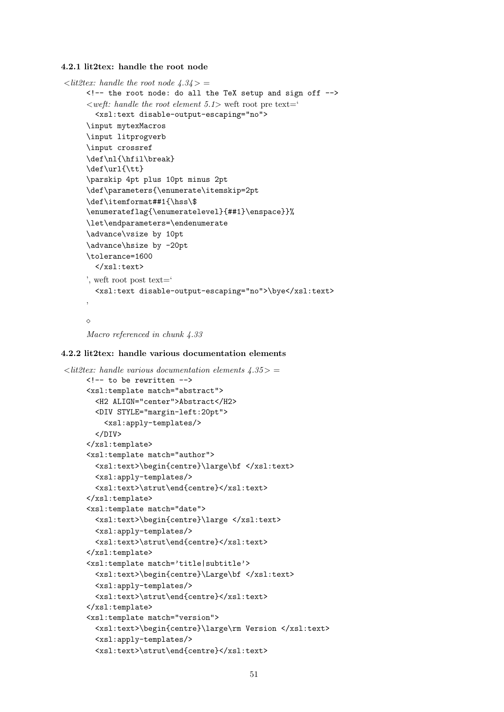4.2.1 lit2tex: handle the root node

```
\langlelit2tex: handle the root node 4.34> =
     <!-- the root node: do all the TeX setup and sign off -->
     \langle \text{weff}: \text{handle the root element } 5.1 \rangle weft root pre text='
       <xsl:text disable-output-escaping="no">
     \input mytexMacros
     \input litprogverb
     \input crossref
     \def\nl{\hfil\break}
     \def\url{\tt}
     \parskip 4pt plus 10pt minus 2pt
     \def\parameters{\enumerate\itemskip=2pt
     \def\itemformat##1{\hss\$
     \enumerateflag{\enumeratelevel}{##1}\enspace}}%
     \let\endparameters=\endenumerate
     \advance\vsize by 10pt
     \advance\hsize by -20pt
     \tolerance=1600
       </xsl:text>
     ', weft root post text='
       <xsl:text disable-output-escaping="no">\bye</xsl:text>
     '
     \Diamond
```

```
Macro referenced in chunk 4.33
```
#### 4.2.2 lit2tex: handle various documentation elements

```
\langlelit2tex: handle various documentation elements 4.35> =
     <!-- to be rewritten -->
     <xsl:template match="abstract">
       <H2 ALIGN="center">Abstract</H2>
       <DIV STYLE="margin-left:20pt">
         <xsl:apply-templates/>
       </DIV></xsl:template>
     <xsl:template match="author">
       <xsl:text>\begin{centre}\large\bf </xsl:text>
       <xsl:apply-templates/>
       <xsl:text>\strut\end{centre}</xsl:text>
     </xsl:template>
     <xsl:template match="date">
       <xsl:text>\begin{centre}\large </xsl:text>
       <xsl:apply-templates/>
       <xsl:text>\strut\end{centre}</xsl:text>
     </xsl:template>
     <xsl:template match='title|subtitle'>
       <xsl:text>\begin{centre}\Large\bf </xsl:text>
       <xsl:apply-templates/>
       <xsl:text>\strut\end{centre}</xsl:text>
     </xsl:template>
     <xsl:template match="version">
       <xsl:text>\begin{centre}\large\rm Version </xsl:text>
       <xsl:apply-templates/>
       <xsl:text>\strut\end{centre}</xsl:text>
```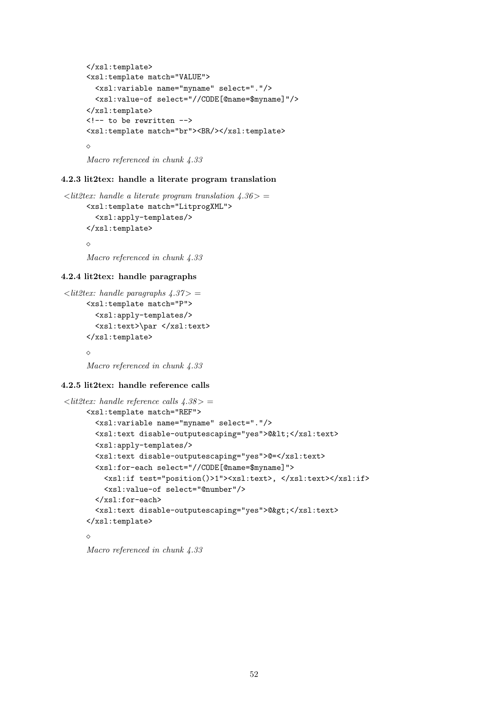```
\langle xsl:template\rangle<xsl:template match="VALUE">
  <xsl:variable name="myname" select="."/>
  <xsl:value-of select="//CODE[@name=$myname]"/>
</xsl:template>
<!-- to be rewritten -->
<xsl:template match="br"><BR/></xsl:template>
\triangle
```
Macro referenced in chunk 4.33

#### 4.2.3 lit2tex: handle a literate program translation

```
\langlelit2tex: handle a literate program translation 4.36> =
     <xsl:template match="LitprogXML">
        <xsl:apply-templates/>
     </xsl:template>
     \Diamond
```
Macro referenced in chunk 4.33

## 4.2.4 lit2tex: handle paragraphs

```
\langlelit2tex: handle paragraphs 4.37> =
     <xsl:template match="P">
        <xsl:apply-templates/>
        <xsl:text>\par </xsl:text>
     </xsl:template>
     \triangle
```
Macro referenced in chunk 4.33

## 4.2.5 lit2tex: handle reference calls

```
\langlelit2tex: handle reference calls \langle 4.38 \rangle =<xsl:template match="REF">
       <xsl:variable name="myname" select="."/>
       <xsl:text disable-outputescaping="yes">@&lt;</xsl:text>
       <xsl:apply-templates/>
       <xsl:text disable-outputescaping="yes">@=</xsl:text>
       <xsl:for-each select="//CODE[@name=$myname]">
         <xsl:if test="position()>1"><xsl:text>, </xsl:text></xsl:if>
         <xsl:value-of select="@number"/>
       </xsl:for-each>
       <xsl:text disable-outputescaping="yes">@&gt;</xsl:text>
     </xsl:template>
     \Diamond
```
Macro referenced in chunk 4.33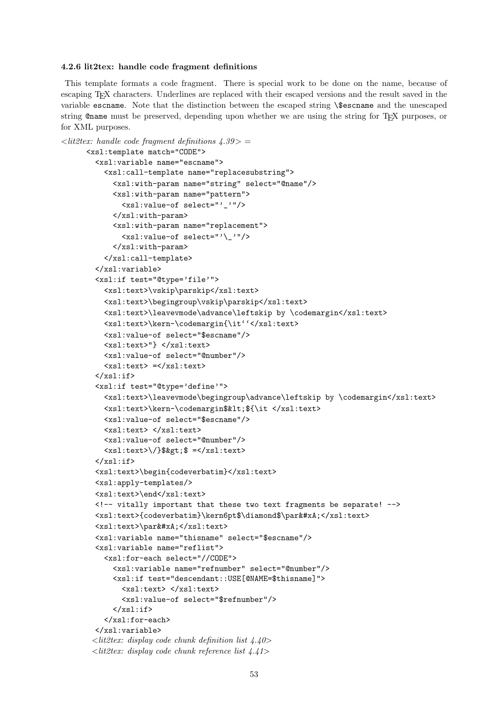#### 4.2.6 lit2tex: handle code fragment definitions

This template formats a code fragment. There is special work to be done on the name, because of escaping TEX characters. Underlines are replaced with their escaped versions and the result saved in the variable escname. Note that the distinction between the escaped string \\$escname and the unescaped string @name must be preserved, depending upon whether we are using the string for TEX purposes, or for XML purposes.

```
\langlelit2tex: handle code fragment definitions 4.39>
      <xsl:template match="CODE">
        <xsl:variable name="escname">
          <xsl:call-template name="replacesubstring">
            <xsl:with-param name="string" select="@name"/>
            <xsl:with-param name="pattern">
              <xsl:value-of select="'_'"/>
            </xsl:with-param>
            <xsl:with-param name="replacement">
              <xsl:value-of select="'\_'"/>
            </xsl:with-param>
          </xsl:call-template>
        </xsl:variable>
        <xsl:if test="@type='file'">
          <xsl:text>\vskip\parskip</xsl:text>
          <xsl:text>\begingroup\vskip\parskip</xsl:text>
          <xsl:text>\leavevmode\advance\leftskip by \codemargin</xsl:text>
          <xsl:text>\kern-\codemargin{\it''</xsl:text>
          <xsl:value-of select="$escname"/>
          <xsl:text>"} </xsl:text>
          <xsl:value-of select="@number"/>
          <xsl:text> =</xsl:text>
        \langle xsl:if>
        <xsl:if test="@type='define'">
          <xsl:text>\leavevmode\begingroup\advance\leftskip by \codemargin</xsl:text>
          <xsl:text>\kern-\codemargin$&lt;${\it </xsl:text>
          <xsl:value-of select="$escname"/>
          <xsl:text> </xsl:text>
          <xsl:value-of select="@number"/>
          \langle xsl:text\rangle\\$>$ =\langle xsl:text\rangle\langle xsl:if\rangle<xsl:text>\begin{codeverbatim}</xsl:text>
        <xsl:apply-templates/>
        <xsl:text>\end</xsl:text>
        <!-- vitally important that these two text fragments be separate! -->
        <xsl:text>{codeverbatim}\kern6pt$\diamond$\par&#xA;</xsl:text>
        <xsl:text>\par&#xA;</xsl:text>
        <xsl:variable name="thisname" select="$escname"/>
        <xsl:variable name="reflist">
          <xsl:for-each select="//CODE">
            <xsl:variable name="refnumber" select="@number"/>
            <xsl:if test="descendant::USE[@NAME=$thisname]">
              <xsl:text> </xsl:text>
              <xsl:value-of select="$refnumber"/>
            \langle xsl:if\rangle</xsl:for-each>
        </xsl:variable>
       \langlelit2tex: display code chunk definition list 4.40>
       \langlelit2tex: display code chunk reference list 4.41>
```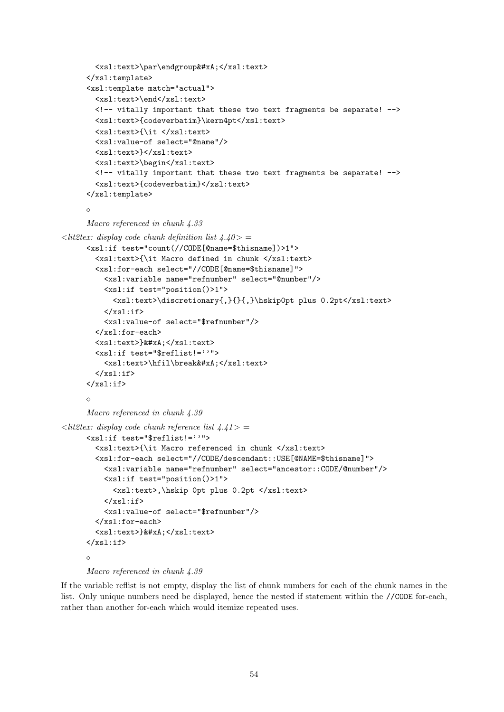```
<xsl:text>\par\endgroup&#xA;</xsl:text>
      </xsl:template>
      <xsl:template match="actual">
        <xsl:text>\end</xsl:text>
        \langle -1 - 1 \rangle important that these two text fragments be separate! \langle -2 \rangle<xsl:text>{codeverbatim}\kern4pt</xsl:text>
        <xsl:text>{\it </xsl:text>
        <xsl:value-of select="@name"/>
        <xsl:text>}</xsl:text>
        <xsl:text>\begin</xsl:text>
        <!-- vitally important that these two text fragments be separate! -->
        <xsl:text>{codeverbatim}</xsl:text>
      </xsl:template>
      \DiamondMacro referenced in chunk 4.33
\langlelit2tex: display code chunk definition list \angle 4.40><xsl:if test="count(//CODE[@name=$thisname])>1">
        <xsl:text>{\it Macro defined in chunk </xsl:text>
        <xsl:for-each select="//CODE[@name=$thisname]">
          <xsl:variable name="refnumber" select="@number"/>
          <xsl:if test="position()>1">
             <xsl:text>\discretionary{,}{}{,}\hskip0pt plus 0.2pt</xsl:text>
          \langle xsl:if\rangle<xsl:value-of select="$refnumber"/>
        </xsl:for-each>
        <xsl:text>}&#xA;</xsl:text>
        <xsl:if test="$reflist!=''">
          <xsl:text>\hfil\break&#xA;</xsl:text>
        \langle xsl:if\rangle\langle xsl:if>
      \DiamondMacro referenced in chunk 4.39
\langle lit2tex: display code chunk reference list \langle 4.41 \rangle =<xsl:if test="$reflist!=''">
        <xsl:text>{\it Macro referenced in chunk </xsl:text>
        <xsl:for-each select="//CODE/descendant::USE[@NAME=$thisname]">
          <xsl:variable name="refnumber" select="ancestor::CODE/@number"/>
          <xsl:if test="position()>1">
             <xsl:text>,\hskip 0pt plus 0.2pt </xsl:text>
          \langle xsl:if\rangle<xsl:value-of select="$refnumber"/>
        </xsl:for-each>
        <xsl:text>}&#xA:</xsl:text>
      \langle xsl:if>
      \Diamond
```

```
Macro referenced in chunk 4.39
```
If the variable reflist is not empty, display the list of chunk numbers for each of the chunk names in the list. Only unique numbers need be displayed, hence the nested if statement within the //CODE for-each, rather than another for-each which would itemize repeated uses.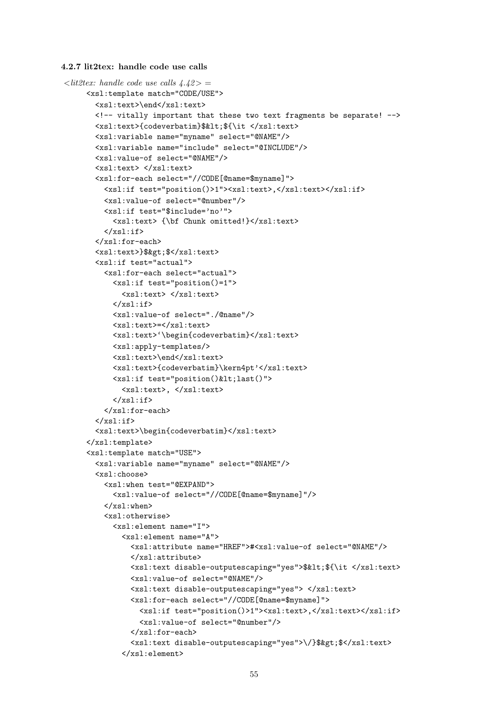4.2.7 lit2tex: handle code use calls

```
\langlelit2tex: handle code use calls \langle 4.42 \rangle =
     <xsl:template match="CODE/USE">
       <xsl:text>\end</xsl:text>
       <!-- vitally important that these two text fragments be separate! -->
       <xsl:text>{codeverbatim}$&lt;${\it </xsl:text>
       <xsl:variable name="myname" select="@NAME"/>
       <xsl:variable name="include" select="@INCLUDE"/>
       <xsl:value-of select="@NAME"/>
       <xsl:text> </xsl:text>
       <xsl:for-each select="//CODE[@name=$myname]">
         <xsl:if test="position()>1"><xsl:text>,</xsl:text></xsl:if>
         <xsl:value-of select="@number"/>
         <xsl:if test="$include='no'">
           <xsl:text> {\bf Chunk omitted!}</xsl:text>
         \langle xs1 \cdot if \rangle</xsl:for-each>
       <xsl:text>}$&gt;$</xsl:text>
       <xsl:if test="actual">
         <xsl:for-each select="actual">
           <xsl:if test="position()=1">
             <xsl:text> </xsl:text>
           \langle x s | : if \rangle<xsl:value-of select="./@name"/>
           <xsl:text>=</xsl:text>
           <xsl:text>'\begin{codeverbatim}</xsl:text>
           <xsl:apply-templates/>
           <xsl:text>\end</xsl:text>
           <xsl:text>{codeverbatim}\kern4pt'</xsl:text>
           <xsl:if test="position()&lt;last()">
             <xsl:text>, </xsl:text>
           \langle xsl:if\rangle</xsl:for-each>
       \langle xsl:if>
       <xsl:text>\begin{codeverbatim}</xsl:text>
     \langle xsl:template\rangle<xsl:template match="USE">
       <xsl:variable name="myname" select="@NAME"/>
       <xsl:choose>
         <xsl:when test="@EXPAND">
           <xsl:value-of select="//CODE[@name=$myname]"/>
         </xsl:when>
         <xsl:otherwise>
           <xsl:element name="I">
              <xsl:element name="A">
               <xsl:attribute name="HREF">#<xsl:value-of select="@NAME"/>
               </xsl:attribute>
               <xsl:text disable-outputescaping="yes">$&lt;${\it </xsl:text>
               <xsl:value-of select="@NAME"/>
               <xsl:text disable-outputescaping="yes"> </xsl:text>
               <xsl:for-each select="//CODE[@name=$myname]">
                  <xsl:if test="position()>1"><xsl:text>,</xsl:text></xsl:if>
                  <xsl:value-of select="@number"/>
               </xsl:for-each>
                <xsl:text disable-outputescaping="yes">\/}$&gt;$</xsl:text>
             </xsl:element>
```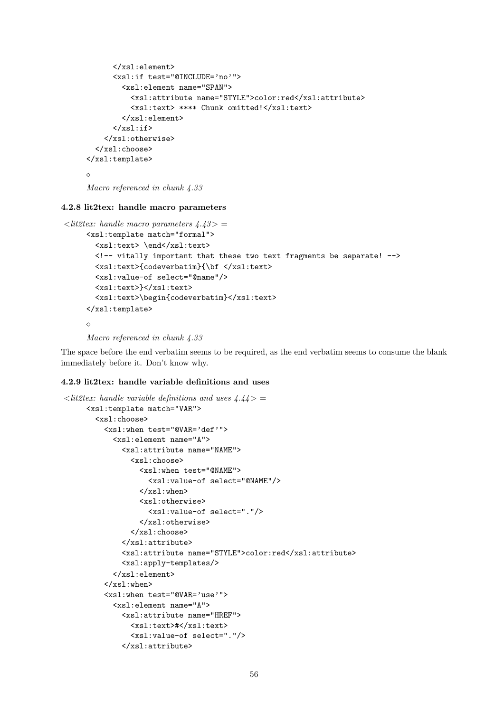```
</xsl:element>
      <xsl:if test="@INCLUDE='no'">
        <xsl:element name="SPAN">
          <xsl:attribute name="STYLE">color:red</xsl:attribute>
          <xsl:text> **** Chunk omitted!</xsl:text>
        </xsl:element>
      \langle xsl:if\rangle</xsl:otherwise>
  </xsl:choose>
</xsl:template>
\sim
```

```
Macro referenced in chunk 4.33
```
4.2.8 lit2tex: handle macro parameters

```
\langlelit2tex: handle macro parameters \langle 4.43 \rangle =
     <xsl:template match="formal">
        <xsl:text> \end</xsl:text>
        <!-- vitally important that these two text fragments be separate! -->
        <xsl:text>{codeverbatim}{\bf </xsl:text>
        <xsl:value-of select="@name"/>
        <xsl:text>}</xsl:text>
        <xsl:text>\begin{codeverbatim}</xsl:text>
     \langle xsl:template\rangle\Diamond
```

```
Macro referenced in chunk 4.33
```
The space before the end verbatim seems to be required, as the end verbatim seems to consume the blank immediately before it. Don't know why.

#### 4.2.9 lit2tex: handle variable definitions and uses

```
\langlelit2tex: handle variable definitions and uses \frac{4.44}{ } =
     <xsl:template match="VAR">
       <xsl:choose>
         <xsl:when test="@VAR='def'">
           <xsl:element name="A">
             <xsl:attribute name="NAME">
                <xsl:choose>
                  <xsl:when test="@NAME">
                    <xsl:value-of select="@NAME"/>
                  </xsl:when>
                  <xsl:otherwise>
                    <xsl:value-of select="."/>
                  </xsl:otherwise>
               </xsl:choose>
             </xsl:attribute>
             <xsl:attribute name="STYLE">color:red</xsl:attribute>
             <xsl:apply-templates/>
           </xsl:element>
         </xsl:when>
         <xsl:when test="@VAR='use'">
           <xsl:element name="A">
             <xsl:attribute name="HREF">
                <xsl:text>#</xsl:text>
                <xsl:value-of select="."/>
             </xsl:attribute>
```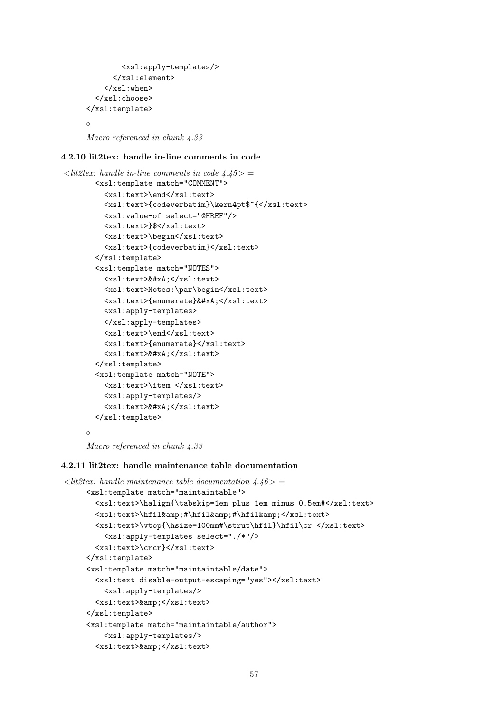```
<xsl:apply-templates/>
      </xsl:element>
    </xsl:when>
  </xsl:choose>
</xsl:template>
\Diamond
```
Macro referenced in chunk 4.33

## 4.2.10 lit2tex: handle in-line comments in code

```
\langlelit2tex: handle in-line comments in code 4.45> =
       <xsl:template match="COMMENT">
         <xsl:text>\end</xsl:text>
         <xsl:text>{codeverbatim}\kern4pt$^{</xsl:text>
         <xsl:value-of select="@HREF"/>
         <xsl:text>}$</xsl:text>
         <xsl:text>\begin</xsl:text>
         <xsl:text>{codeverbatim}</xsl:text>
       </xsl:template>
       <xsl:template match="NOTES">
         <xsl:text>&#xA;</xsl:text>
         <xsl:text>Notes:\par\begin</xsl:text>
         <xsl:text>{enumerate}&#xA;</xsl:text>
         <xsl:apply-templates>
         </xsl:apply-templates>
         <xsl:text>\end</xsl:text>
         <xsl:text>{enumerate}</xsl:text>
         <xsl:text>&#xA;</xsl:text>
       </xsl:template>
       <xsl:template match="NOTE">
         <xsl:text>\item </xsl:text>
         <xsl:apply-templates/>
         <xsl:text>&#xA;</xsl:text>
       </xsl:template>
     \Diamond
```
Macro referenced in chunk 4.33

#### 4.2.11 lit2tex: handle maintenance table documentation

```
\langle lit2tex: handle maintenance table documentation 4.46>
     <xsl:template match="maintaintable">
       <xsl:text>\halign{\tabskip=1em plus 1em minus 0.5em#</xsl:text>
       <xsl:text>\hfil&amp;#\hfil&amp;#\hfil&amp;</xsl:text>
       <xsl:text>\vtop{\hsize=100mm#\strut\hfil}\hfil\cr </xsl:text>
         <xsl:apply-templates select="./*"/>
       <xsl:text>\crcr}</xsl:text>
     </xsl:template>
     <xsl:template match="maintaintable/date">
       <xsl:text disable-output-escaping="yes"></xsl:text>
         <xsl:apply-templates/>
       <xsl:text>&amp;</xsl:text>
     </xsl:template>
     <xsl:template match="maintaintable/author">
         <xsl:apply-templates/>
       <xsl:text>&amp;</xsl:text>
```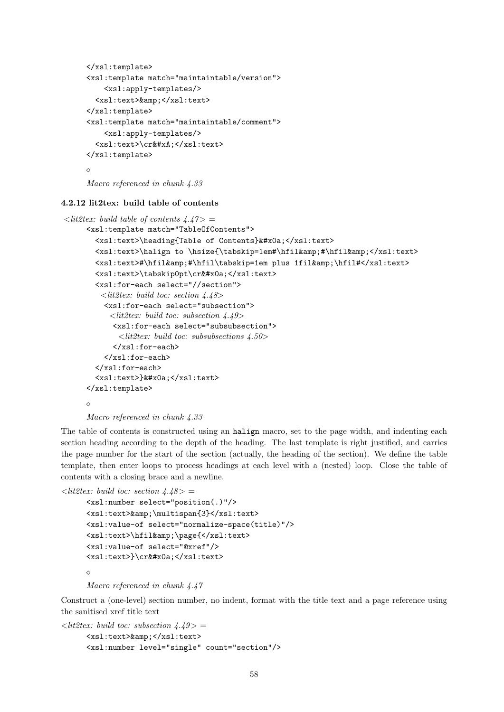```
\langle xsl:template\rangle<xsl:template match="maintaintable/version">
    <xsl:apply-templates/>
  <xsl:text>&amp;</xsl:text>
\langle xsl:template\rangle<xsl:template match="maintaintable/comment">
    <xsl:apply-templates/>
  <xsl:text>\cr&#xA;</xsl:text>
</xsl:template>
\Diamond
```
Macro referenced in chunk 4.33

## 4.2.12 lit2tex: build table of contents

```
\langlelit2tex: build table of contents \langle 4.47 \rangle =
     <xsl:template match="TableOfContents">
       <xsl:text>\heading{Table of Contents}&#x0a;</xsl:text>
       <xsl:text>\halign to \hsize{\tabskip=1em#\hfil&amp;#\hfil&amp;</xsl:text>
       <xsl:text>#\hfil&amp;#\hfil\tabskip=1em plus 1fil&amp;\hfil#</xsl:text>
       <xsl:text>\tabskip0pt\cr&#x0a;</xsl:text>
       <xsl:for-each select="//section">
         \ltlit2tex: build toc: section 4.48>
         <xsl:for-each select="subsection">
           <lit2tex: build toc: subsection 4.49>
            <xsl:for-each select="subsubsection">
             \ltlit2tex: build toc: subsubsections 4.50>
            </xsl:for-each>
          </xsl:for-each>
       </xsl:for-each>
       <xsl:text>}&#x0a;</xsl:text>
     </xsl:template>
     \Diamond
```
Macro referenced in chunk 4.33

The table of contents is constructed using an halign macro, set to the page width, and indenting each section heading according to the depth of the heading. The last template is right justified, and carries the page number for the start of the section (actually, the heading of the section). We define the table template, then enter loops to process headings at each level with a (nested) loop. Close the table of contents with a closing brace and a newline.

```
\langlelit2tex: build toc: section 4.48> =
```

```
<xsl:number select="position(.)"/>
<xsl:text>&amp;\multispan{3}</xsl:text>
<xsl:value-of select="normalize-space(title)"/>
<xsl:text>\hfil&amp;\page{</xsl:text>
<xsl:value-of select="@xref"/>
<xsl:text>}\cr&#x0a;</xsl:text>
\Diamond
```
Macro referenced in chunk 4.47

Construct a (one-level) section number, no indent, format with the title text and a page reference using the sanitised xref title text

```
\langle lit2tex: build toc: subsection 4.49> =
      <xsl:text>&amp;</xsl:text>
      <xsl:number level="single" count="section"/>
```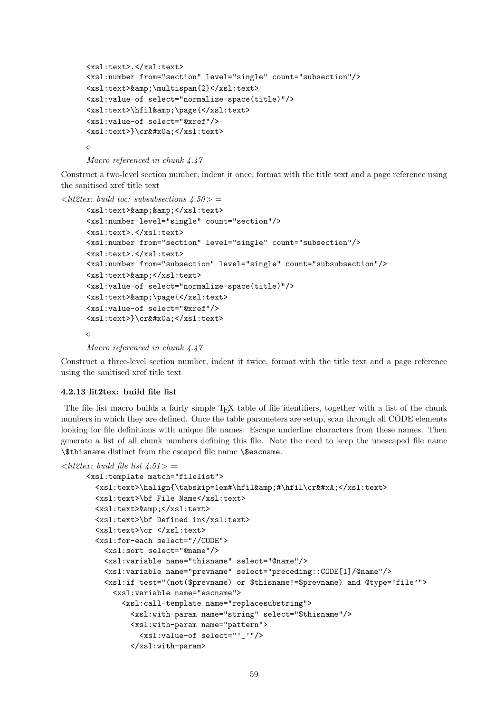```
<xsl:text>.</xsl:text>
<xsl:number from="section" level="single" count="subsection"/>
<xsl:text>&amp;\multispan{2}</xsl:text>
<xsl:value-of select="normalize-space(title)"/>
<xsl:text>\hfil&amp;\page{</xsl:text>
<xsl:value-of select="@xref"/>
<xsl:text>}\cr&#x0a;</xsl:text>
\Diamond
```

```
Macro referenced in chunk 4.47
```
Construct a two-level section number, indent it once, format with the title text and a page reference using the sanitised xref title text

```
\langle lit2tex: build toc: subsubsections 4.50 > =
     <xsl:text>&amp; &amp; </xsl:text>
     <xsl:number level="single" count="section"/>
     <xsl:text>.</xsl:text>
     <xsl:number from="section" level="single" count="subsection"/>
     <xsl:text>.</xsl:text>
     <xsl:number from="subsection" level="single" count="subsubsection"/>
     <xsl:text>&amp;</xsl:text>
     <xsl:value-of select="normalize-space(title)"/>
     <xsl:text>&amp;\page{</xsl:text>
     <xsl:value-of select="@xref"/>
     <xsl:text>}\cr&#x0a;</xsl:text>
      \Diamond
```

```
Macro referenced in chunk 4.47
```
Construct a three-level section number, indent it twice, format with the title text and a page reference using the sanitised xref title text

#### 4.2.13 lit2tex: build file list

The file list macro builds a fairly simple T<sub>EX</sub> table of file identifiers, together with a list of the chunk numbers in which they are defined. Once the table parameters are setup, scan through all CODE elements looking for file definitions with unique file names. Escape underline characters from these names. Then generate a list of all chunk numbers defining this file. Note the need to keep the unescaped file name \\$thisname distinct from the escaped file name \\$escname.

```
\langle litestitex: build file list \langle 4.51 \rangle =<xsl:template match="filelist">
        <xsl:text>\halign{\tabskip=1em#\hfil&amp;#\hfil\cr&#xA;</xsl:text>
        <xsl:text>\bf File Name</xsl:text>
        <xsl:text>&amp;</xsl:text>
        <xsl:text>\bf Defined in</xsl:text>
        <xsl:text>\cr </xsl:text>
        <xsl:for-each select="//CODE">
          <xsl:sort select="@name"/>
          <xsl:variable name="thisname" select="@name"/>
          <xsl:variable name="prevname" select="preceding::CODE[1]/@name"/>
          <xsl:if test="(not($prevname) or $thisname!=$prevname) and @type='file'">
            <xsl:variable name="escname">
              <xsl:call-template name="replacesubstring">
                <xsl:with-param name="string" select="$thisname"/>
                <xsl:with-param name="pattern">
                  <xsl:value-of select="'_'"/>
                </xsl:with-param>
```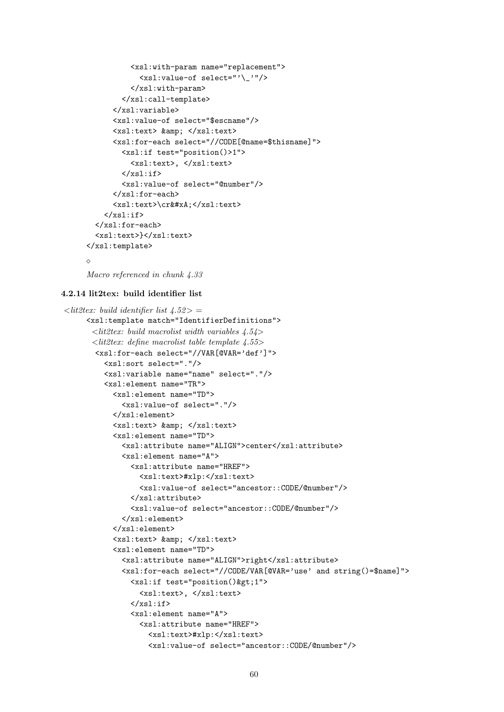```
<xsl:with-param name="replacement">
            <xsl:value-of select="'\_'"/>
          </xsl:with-param>
        </xsl:call-template>
      </xsl:variable>
      <xsl:value-of select="$escname"/>
      <xsl:text> &amp: </xsl:text>
      <xsl:for-each select="//CODE[@name=$thisname]">
        <xsl:if test="position()>1">
          <xsl:text>, </xsl:text>
        \langle xsl:if>
        <xsl:value-of select="@number"/>
      </xsl:for-each>
      <xsl:text>\cr&#xA;</xsl:text>
    \langle xsl:if>
  </xsl:for-each>
  <xsl:text>}</xsl:text>
</xsl:template>
\Diamond
```

```
Macro referenced in chunk 4.33
```
#### 4.2.14 lit2tex: build identifier list

```
\langlelit2tex: build identifier list 4.52> =
     <xsl:template match="IdentifierDefinitions">
      \langlelit2tex: build macrolist width variables 4.54>
      \langlelit2tex: define macrolist table template 4.55>
       <xsl:for-each select="//VAR[@VAR='def']">
         <xsl:sort select="."/>
         <xsl:variable name="name" select="."/>
         <xsl:element name="TR">
           <xsl:element name="TD">
             <xsl:value-of select="."/>
           </xsl:element>
           <xsl:text> &amp; </xsl:text>
           <xsl:element name="TD">
             <xsl:attribute name="ALIGN">center</xsl:attribute>
             <xsl:element name="A">
               <xsl:attribute name="HREF">
                  <xsl:text>#xlp:</xsl:text>
                  <xsl:value-of select="ancestor::CODE/@number"/>
                </xsl:attribute>
                <xsl:value-of select="ancestor::CODE/@number"/>
             </xsl:element>
           </xsl:element>
           <xsl:text> &amp; </xsl:text>
           <xsl:element name="TD">
             <xsl:attribute name="ALIGN">right</xsl:attribute>
             <xsl:for-each select="//CODE/VAR[@VAR='use' and string()=$name]">
               <xsl:if test="position()&gt;1">
                  <xsl:text>, </xsl:text>
               \langle xsl:if>
               <xsl:element name="A">
                  <xsl:attribute name="HREF">
                    <xsl:text>#xlp:</xsl:text>
                    <xsl:value-of select="ancestor::CODE/@number"/>
```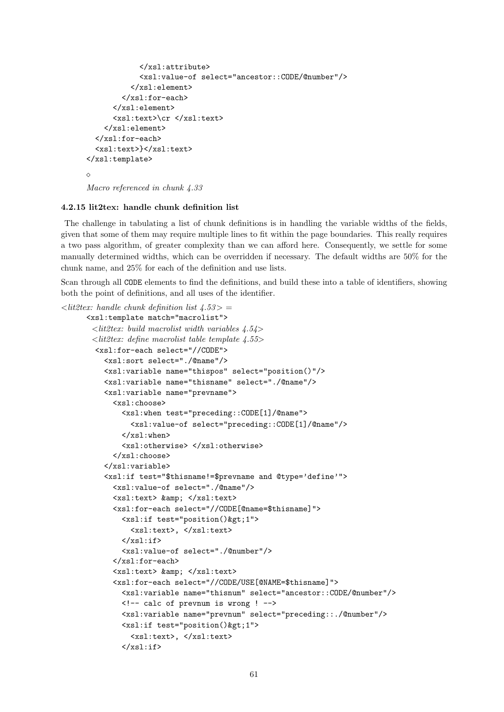```
</xsl:attribute>
            <xsl:value-of select="ancestor::CODE/@number"/>
          </xsl:element>
        </xsl:for-each>
      </xsl:element>
      <xsl:text>\cr </xsl:text>
    </xsl:element>
  </xsl:for-each>
  <xsl:text>}</xsl:text>
</xsl:template>
\simMacro referenced in chunk 4.33
```
# 4.2.15 lit2tex: handle chunk definition list

The challenge in tabulating a list of chunk definitions is in handling the variable widths of the fields, given that some of them may require multiple lines to fit within the page boundaries. This really requires a two pass algorithm, of greater complexity than we can afford here. Consequently, we settle for some manually determined widths, which can be overridden if necessary. The default widths are 50% for the chunk name, and 25% for each of the definition and use lists.

Scan through all CODE elements to find the definitions, and build these into a table of identifiers, showing both the point of definitions, and all uses of the identifier.

```
\langlelit2tex: handle chunk definition list 4.53> =
      <xsl:template match="macrolist">
       \langlelit2tex: build macrolist width variables 4.54>
       \ltlit2tex: define macrolist table template 4.55>
        <xsl:for-each select="//CODE">
          <xsl:sort select="./@name"/>
          <xsl:variable name="thispos" select="position()"/>
          <xsl:variable name="thisname" select="./@name"/>
          <xsl:variable name="prevname">
            <xsl:choose>
               <xsl:when test="preceding::CODE[1]/@name">
                 <xsl:value-of select="preceding::CODE[1]/@name"/>
              \langle xsl:when\rangle<xsl:otherwise> </xsl:otherwise>
            </xsl:choose>
          </xsl:variable>
          <xsl:if test="$thisname!=$prevname and @type='define'">
            <xsl:value-of select="./@name"/>
            <xsl:text> &amp; </xsl:text>
            <xsl:for-each select="//CODE[@name=$thisname]">
              \langle xsl: \text{if } test="position()<xsl:text>, </xsl:text>
              \langle xsl:if>
               <xsl:value-of select="./@number"/>
            </xsl:for-each>
            <xsl:text> &amp; </xsl:text>
            <xsl:for-each select="//CODE/USE[@NAME=$thisname]">
              <xsl:variable name="thisnum" select="ancestor::CODE/@number"/>
              <!-- calc of prevnum is wrong ! -->
              <xsl:variable name="prevnum" select="preceding::./@number"/>
              \langle xsl: \text{if } test = "position()<xsl:text>, </xsl:text>
              \langle xsl:if>
```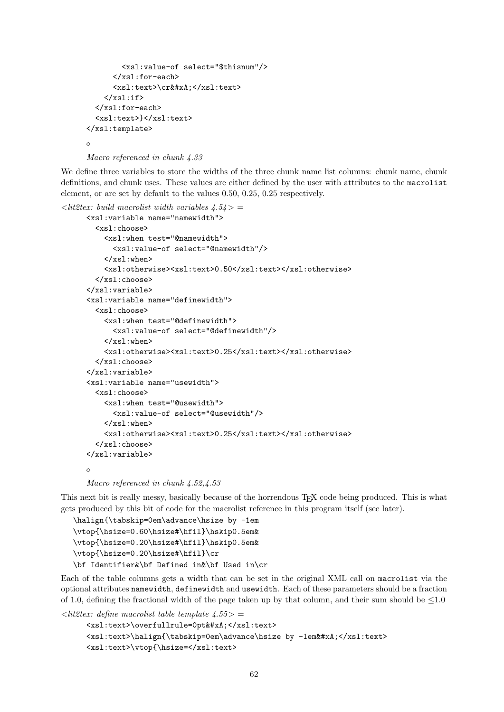```
<xsl:value-of select="$thisnum"/>
      </xsl:for-each>
      <xsl:text>\cr&#xA;</xsl:text>
    \langle xsl:if>
  </xsl:for-each>
  <xsl:text>}</xsl:text>
</xsl:template>
\Diamond
```

```
Macro referenced in chunk 4.33
```
We define three variables to store the widths of the three chunk name list columns: chunk name, chunk definitions, and chunk uses. These values are either defined by the user with attributes to the macrolist element, or are set by default to the values 0.50, 0.25, 0.25 respectively.

```
\langlelit2tex: build macrolist width variables \langle 4.54 \rangle =
      <xsl:variable name="namewidth">
        <xsl:choose>
          <xsl:when test="@namewidth">
             <xsl:value-of select="@namewidth"/>
          </xsl:when>
          <xsl:otherwise><xsl:text>0.50</xsl:text></xsl:otherwise>
        </xsl:choose>
      </xsl:variable>
      <xsl:variable name="definewidth">
        <xsl:choose>
          <xsl:when test="@definewidth">
             <xsl:value-of select="@definewidth"/>
          \langle xs] \cdot \text{when}<xsl:otherwise><xsl:text>0.25</xsl:text></xsl:otherwise>
        </xsl:choose>
      </xsl:variable>
      <xsl:variable name="usewidth">
        <xsl:choose>
          <xsl:when test="@usewidth">
             <xsl:value-of select="@usewidth"/>
          \langle xsl:when\rangle<xsl:otherwise><xsl:text>0.25</xsl:text></xsl:otherwise>
        </xsl:choose>
      </xsl:variable>
      \triangle
```

```
Macro referenced in chunk 4.52, 4.53
```
This next bit is really messy, basically because of the horrendous T<sub>EX</sub> code being produced. This is what gets produced by this bit of code for the macrolist reference in this program itself (see later).

```
\halign{\tabskip=0em\advance\hsize by -1em
\vtop{\hsize=0.60\hsize#\hfil}\hskip0.5em&
\vtop{\hsize=0.20\hsize#\hfil}\hskip0.5em&
\vtop{\hsize=0.20\hsize#\hfil}\cr
\bf Identifier&\bf Defined in&\bf Used in\cr
```
Each of the table columns gets a width that can be set in the original XML call on macrolist via the optional attributes namewidth, definewidth and usewidth. Each of these parameters should be a fraction of 1.0, defining the fractional width of the page taken up by that column, and their sum should be  $\leq 1.0$ 

```
\langlelit2tex: define macrolist table template 4.55 > =
      <xsl:text>\overfullrule=0pt&#xA;</xsl:text>
      <xsl:text>\halign{\tabskip=0em\advance\hsize by -1em&#xA;</xsl:text>
      <xsl:text>\vtop{\hsize=</xsl:text>
```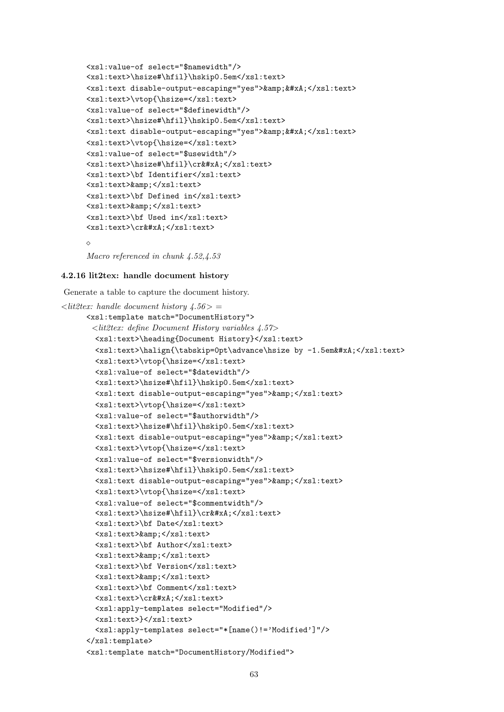```
<xsl:value-of select="$namewidth"/>
<xsl:text>\hsize#\hfil}\hskip0.5em</xsl:text>
<xsl:text disable-output-escaping="yes">&amp;&#xA;</xsl:text>
<xsl:text>\vtop{\hsize=</xsl:text>
<xsl:value-of select="$definewidth"/>
<xsl:text>\hsize#\hfil}\hskip0.5em</xsl:text>
<xsl:text disable-output-escaping="yes">&amp;&#xA;</xsl:text>
<xsl:text>\vtop{\hsize=</xsl:text>
<xsl:value-of select="$usewidth"/>
<xsl:text>\hsize#\hfil}\cr&#xA;</xsl:text>
<xsl:text>\bf Identifier</xsl:text>
<xsl:text>&amp;</xsl:text>
<xsl:text>\bf Defined in</xsl:text>
<xsl:text>&amp;</xsl:text>
<xsl:text>\bf Used in</xsl:text>
<xsl:text>\cr&#xA;</xsl:text>
\triangle
```

```
Macro referenced in chunk 4.52,4.53
```
#### 4.2.16 lit2tex: handle document history

Generate a table to capture the document history.

```
\langlelit2tex: handle document history 4.56 > =
     <xsl:template match="DocumentHistory">
       \ltlit2tex: define Document History variables 4.57>
       <xsl:text>\heading{Document History}</xsl:text>
       <xsl:text>\halign{\tabskip=0pt\advance\hsize by -1.5em&#xA;</xsl:text>
       <xsl:text>\vtop{\hsize=</xsl:text>
       <xsl:value-of select="$datewidth"/>
       <xsl:text>\hsize#\hfil}\hskip0.5em</xsl:text>
       <xsl:text disable-output-escaping="yes">&amp;</xsl:text>
       <xsl:text>\vtop{\hsize=</xsl:text>
       <xsl:value-of select="$authorwidth"/>
       <xsl:text>\hsize#\hfil}\hskip0.5em</xsl:text>
       <xsl:text disable-output-escaping="yes">&amp;</xsl:text>
       <xsl:text>\vtop{\hsize=</xsl:text>
       <xsl:value-of select="$versionwidth"/>
       <xsl:text>\hsize#\hfil}\hskip0.5em</xsl:text>
       <xsl:text disable-output-escaping="yes">&amp;</xsl:text>
       <xsl:text>\vtop{\hsize=</xsl:text>
       <xsl:value-of select="$commentwidth"/>
       <xsl:text>\hsize#\hfil}\cr&#xA;</xsl:text>
       <xsl:text>\bf Date</xsl:text>
       <xsl:text>&amp;</xsl:text>
       <xsl:text>\bf Author</xsl:text>
       <xsl:text>&amp;</xsl:text>
       <xsl:text>\bf Version</xsl:text>
       <xsl:text>&amp;</xsl:text>
       <xsl:text>\bf Comment</xsl:text>
       <xsl:text>\cr&#xA:</xsl:text>
       <xsl:apply-templates select="Modified"/>
       <xsl:text>}</xsl:text>
       <xsl:apply-templates select="*[name()!='Modified']"/>
     </xsl:template>
     <xsl:template match="DocumentHistory/Modified">
```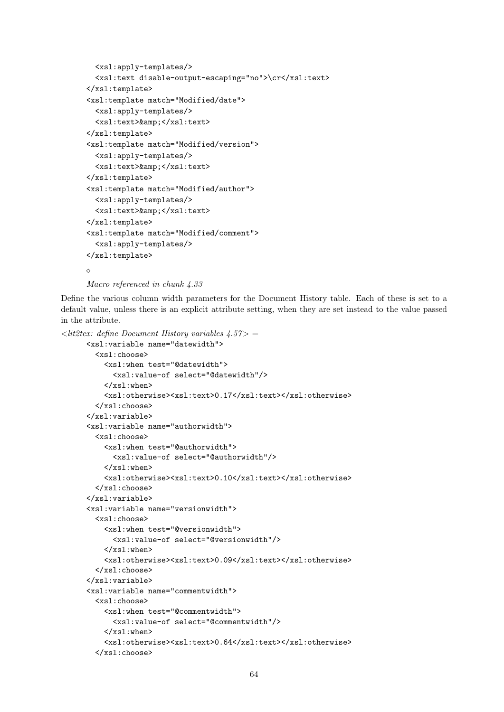```
<xsl:apply-templates/>
  <xsl:text disable-output-escaping="no">\cr</xsl:text>
\langle xsl:template\rangle<xsl:template match="Modified/date">
  <xsl:apply-templates/>
  <xsl:text>&amp;</xsl:text>
\langle xsl:template\rangle<xsl:template match="Modified/version">
  <xsl:apply-templates/>
  <xsl:text>&amp;</xsl:text>
</xsl:template>
<xsl:template match="Modified/author">
  <xsl:apply-templates/>
  <xsl:text>&amp;</xsl:text>
</xsl:template>
<xsl:template match="Modified/comment">
  <xsl:apply-templates/>
</xsl:template>
\Diamond
```

```
Macro referenced in chunk 4.33
```
Define the various column width parameters for the Document History table. Each of these is set to a default value, unless there is an explicit attribute setting, when they are set instead to the value passed in the attribute.

```
\langlelit2tex: define Document History variables 4.57> =
      <xsl:variable name="datewidth">
        <xsl:choose>
          <xsl:when test="@datewidth">
            <xsl:value-of select="@datewidth"/>
          </xsl:when>
          <xsl:otherwise><xsl:text>0.17</xsl:text></xsl:otherwise>
        </xsl:choose>
      </xsl:variable>
      <xsl:variable name="authorwidth">
        <xsl:choose>
          <xsl:when test="@authorwidth">
            <xsl:value-of select="@authorwidth"/>
          \langle xsl:when\rangle<xsl:otherwise><xsl:text>0.10</xsl:text></xsl:otherwise>
        </xsl:choose>
      </xsl:variable>
      <xsl:variable name="versionwidth">
        <xsl:choose>
          <xsl:when test="@versionwidth">
            <xsl:value-of select="@versionwidth"/>
          \langle xsl:when\rangle<xsl:otherwise><xsl:text>0.09</xsl:text></xsl:otherwise>
        </xsl:choose>
      </xsl:variable>
      <xsl:variable name="commentwidth">
        <xsl:choose>
          <xsl:when test="@commentwidth">
            <xsl:value-of select="@commentwidth"/>
          \langle xsl:when\rangle<xsl:otherwise><xsl:text>0.64</xsl:text></xsl:otherwise>
        </xsl:choose>
```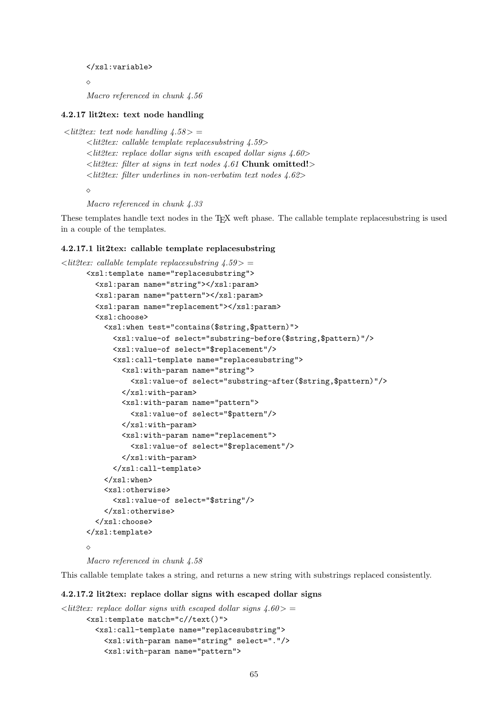```
</xsl:variable>
```
 $\Diamond$ 

Macro referenced in chunk 4.56

#### 4.2.17 lit2tex: text node handling

```
\langlelit2tex: text node handling 4.58 > =
```
 $\langle$ lit2tex: callable template replacesubstring 4.59>  $\langle$  lit2tex: replace dollar signs with escaped dollar signs 4.60>  $\langle$  litestitudent  $\langle$  it at signs in text nodes 4.61 Chunk omitted!>  $\lt$ lit2tex: filter underlines in non-verbatim text nodes 4.62>  $\Diamond$ 

Macro referenced in chunk 4.33

These templates handle text nodes in the TEX weft phase. The callable template replacesubstring is used in a couple of the templates.

#### 4.2.17.1 lit2tex: callable template replacesubstring

```
\langle lit2tex: callable template replaces ubstring 4.59 > =
     <xsl:template name="replacesubstring">
        <xsl:param name="string"></xsl:param>
        <xsl:param name="pattern"></xsl:param>
        <xsl:param name="replacement"></xsl:param>
        <xsl:choose>
          <xsl:when test="contains($string,$pattern)">
            <xsl:value-of select="substring-before($string,$pattern)"/>
            <xsl:value-of select="$replacement"/>
            <xsl:call-template name="replacesubstring">
              <xsl:with-param name="string">
                <xsl:value-of select="substring-after($string,$pattern)"/>
              </xsl:with-param>
              <xsl:with-param name="pattern">
                <xsl:value-of select="$pattern"/>
              </xsl:with-param>
              <xsl:with-param name="replacement">
                <xsl:value-of select="$replacement"/>
              </xsl:with-param>
            </xsl:call-template>
          \langle xsl:when\rangle<xsl:otherwise>
            <xsl:value-of select="$string"/>
          </xsl:otherwise>
        </xsl:choose>
     </xsl:template>
     \Diamond
```

```
Macro referenced in chunk 4.58
```
This callable template takes a string, and returns a new string with substrings replaced consistently.

#### 4.2.17.2 lit2tex: replace dollar signs with escaped dollar signs

```
\langlelit2tex: replace dollar signs with escaped dollar signs 4.60> =
      <xsl:template match="c//text()">
        <xsl:call-template name="replacesubstring">
          <xsl:with-param name="string" select="."/>
          <xsl:with-param name="pattern">
```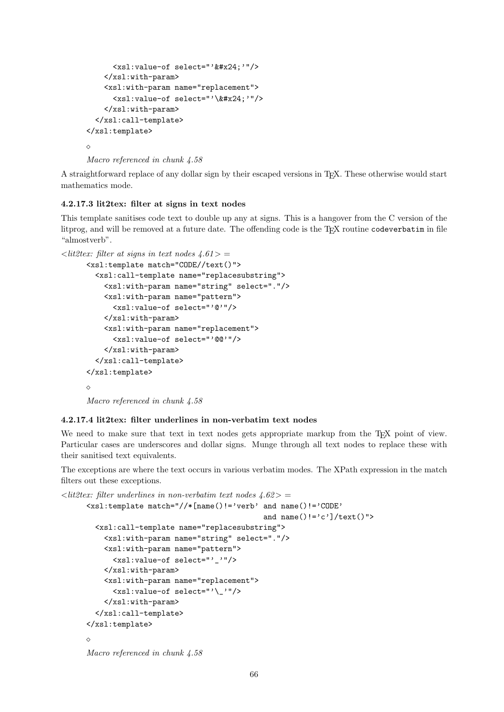```
<xsl:value-of select="'&#x24;'"/>
    </xsl:with-param>
    <xsl:with-param name="replacement">
      <xsl:value-of select="'\&#x24;'"/>
    </xsl:with-param>
  </xsl:call-template>
</xsl:template>
◇
```
Macro referenced in chunk 4.58

A straightforward replace of any dollar sign by their escaped versions in TEX. These otherwise would start mathematics mode.

## 4.2.17.3 lit2tex: filter at signs in text nodes

This template sanitises code text to double up any at signs. This is a hangover from the C version of the litprog, and will be removed at a future date. The offending code is the T<sub>E</sub>X routine codeverbatim in file "almostverb".

```
\langlelit2tex: filter at signs in text nodes 4.61> =
```

```
<xsl:template match="CODE//text()">
  <xsl:call-template name="replacesubstring">
    <xsl:with-param name="string" select="."/>
    <xsl:with-param name="pattern">
      <xsl:value-of select="'@'"/>
    </xsl:with-param>
    <xsl:with-param name="replacement">
      <xsl:value-of select="'@@'"/>
    </xsl:with-param>
  </xsl:call-template>
</xsl:template>
\triangle
```
Macro referenced in chunk 4.58

#### 4.2.17.4 lit2tex: filter underlines in non-verbatim text nodes

We need to make sure that text in text nodes gets appropriate markup from the T<sub>EX</sub> point of view. Particular cases are underscores and dollar signs. Munge through all text nodes to replace these with their sanitised text equivalents.

The exceptions are where the text occurs in various verbatim modes. The XPath expression in the match filters out these exceptions.

```
\langlelit2tex: filter underlines in non-verbatim text nodes 4.62> =
      <xsl:template match="//*[name()!='verb' and name()!='CODE'
                                                 and name()!='c']/text()">
        <xsl:call-template name="replacesubstring">
          <xsl:with-param name="string" select="."/>
          <xsl:with-param name="pattern">
            <xsl:value-of select="'_'"/>
          </xsl:with-param>
          <xsl:with-param name="replacement">
            <xsl:value-of select="'\_'"/>
          </xsl:with-param>
        </xsl:call-template>
      </xsl:template>
      \DiamondMacro referenced in chunk 4.58
```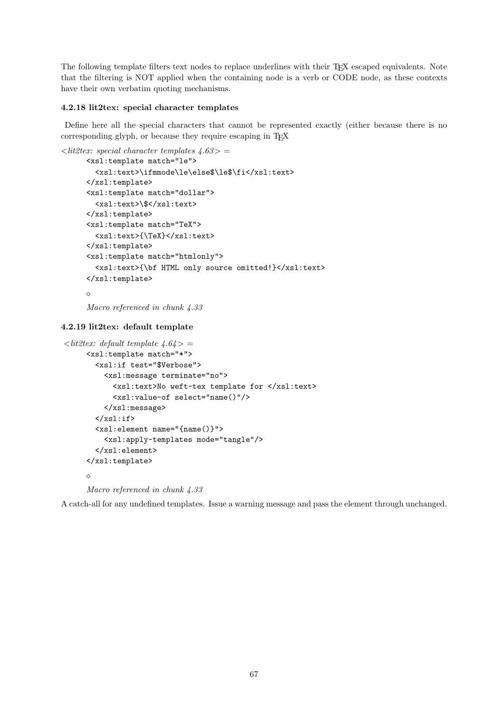The following template filters text nodes to replace underlines with their TEX escaped equivalents. Note that the filtering is NOT applied when the containing node is a verb or CODE node, as these contexts have their own verbatim quoting mechanisms.

## 4.2.18 lit2tex: special character templates

Define here all the special characters that cannot be represented exactly (either because there is no corresponding glyph, or because they require escaping in TFX

```
\langlelit2tex: special character templates 4.63> =
      <xsl:template match="le">
        <xsl:text>\ifmmode\le\else$\le$\fi</xsl:text>
      </xsl:template>
      <xsl:template match="dollar">
        <xsl:text>\$</xsl:text>
      </xsl:template>
      <xsl:template match="TeX">
        <xsl:text>{\TeX}</xsl:text>
      </xsl:template>
      <xsl:template match="htmlonly">
        <xsl:text>{\bf HTML only source omitted!}</xsl:text>
      </xsl:template>
      \Diamond
```

```
Macro referenced in chunk 4.33
```
## 4.2.19 lit2tex: default template

```
\langlelit2tex: default template 4.64 > =
     <xsl:template match="*">
       <xsl:if test="$Verbose">
         <xsl:message terminate="no">
            <xsl:text>No weft-tex template for </xsl:text>
            <xsl:value-of select="name()"/>
         </xsl:message>
       \langle xsl:if>
       <xsl:element name="{name()}">
         <xsl:apply-templates mode="tangle"/>
       </xsl:element>
     </xsl:template>
     \Diamond
```
Macro referenced in chunk 4.33

A catch-all for any undefined templates. Issue a warning message and pass the element through unchanged.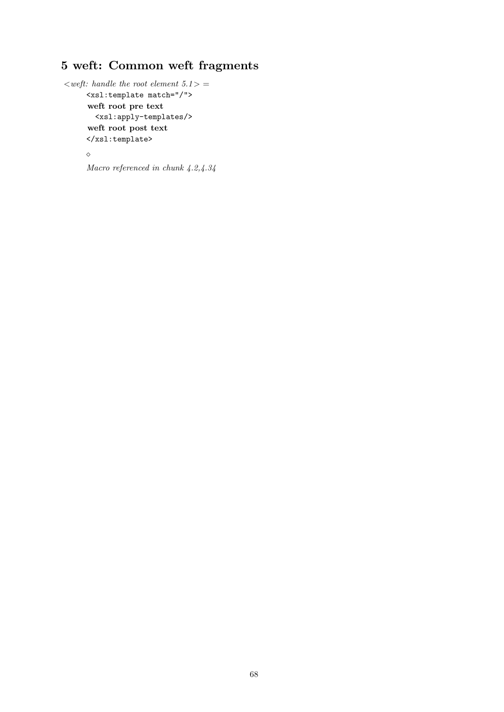## 5 weft: Common weft fragments

```
\langle \text{weff:}~\text{handle}~\text{the}~\text{root}~\text{element}~5.1 \rangle =<xsl:template match="/">
       weft root pre text
         <xsl:apply-templates/>
       weft root post text
       </xsl:template>
       \Diamond
```

```
Macro referenced in chunk 4.2,4.34
```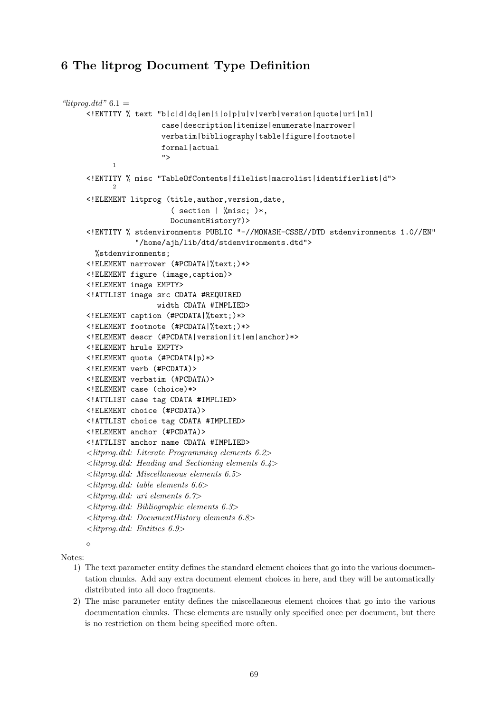## 6 The litprog Document Type Definition

```
"litprog.dtd" 6.1 =<!ENTITY % text "b|c|d|dq|em|i|o|p|u|v|verb|version|quote|uri|nl|
                       case|description|itemize|enumerate|narrower|
                       verbatim|bibliography|table|figure|footnote|
                       formal|actual
                        ">
            1
     <!ENTITY % misc "TableOfContents|filelist|macrolist|identifierlist|d">
            2
     <!ELEMENT litprog (title,author,version,date,
                          ( section | %misc; )*,
                         DocumentHistory?)>
     <!ENTITY % stdenvironments PUBLIC "-//MONASH-CSSE//DTD stdenvironments 1.0//EN"
                 "/home/ajh/lib/dtd/stdenvironments.dtd">
       %stdenvironments;
     <!ELEMENT narrower (#PCDATA|%text;)*>
     <!ELEMENT figure (image,caption)>
     <!ELEMENT image EMPTY>
     <!ATTLIST image src CDATA #REQUIRED
                      width CDATA #IMPLIED>
     <!ELEMENT caption (#PCDATA|%text;)*>
     <!ELEMENT footnote (#PCDATA|%text;)*>
     <!ELEMENT descr (#PCDATA|version|it|em|anchor)*>
     <!ELEMENT hrule EMPTY>
     <!ELEMENT quote (#PCDATA|p)*>
     <!ELEMENT verb (#PCDATA)>
     <!ELEMENT verbatim (#PCDATA)>
     <!ELEMENT case (choice)*>
     <!ATTLIST case tag CDATA #IMPLIED>
     <!ELEMENT choice (#PCDATA)>
     <!ATTLIST choice tag CDATA #IMPLIED>
     <!ELEMENT anchor (#PCDATA)>
     <!ATTLIST anchor name CDATA #IMPLIED>
     <litprog.dtd: Literate Programming elements 6.2>
     <litprog.dtd: Heading and Sectioning elements 6.4>
     <litprog.dtd: Miscellaneous elements 6.5>
     \langlelitprog.dtd: table elements 6.6>
     \langlelitprog.dtd: uri elements 6.7>
     <litprog.dtd: Bibliographic elements 6.3>
     <litprog.dtd: DocumentHistory elements 6.8>
     <litprog.dtd: Entities 6.9>
```
Notes:

 $\land$ 

- 1) The text parameter entity defines the standard element choices that go into the various documentation chunks. Add any extra document element choices in here, and they will be automatically distributed into all doco fragments.
- 2) The misc parameter entity defines the miscellaneous element choices that go into the various documentation chunks. These elements are usually only specified once per document, but there is no restriction on them being specified more often.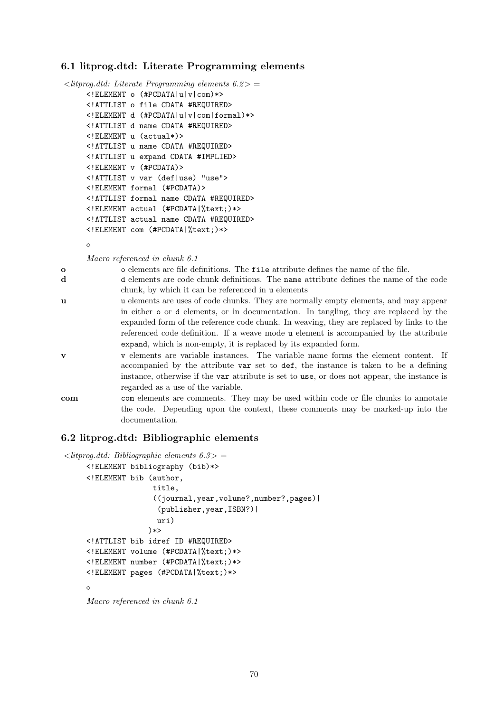## 6.1 litprog.dtd: Literate Programming elements

```
\langlelitprog.dtd: Literate Programming elements 6.2> =
     <!ELEMENT o (#PCDATA|u|v|com)*>
     <!ATTLIST o file CDATA #REQUIRED>
     <!ELEMENT d (#PCDATA|u|v|com|formal)*>
     <!ATTLIST d name CDATA #REQUIRED>
     <!ELEMENT u (actual*)>
     <!ATTLIST u name CDATA #REQUIRED>
     <!ATTLIST u expand CDATA #IMPLIED>
     <!ELEMENT v (#PCDATA)>
     <!ATTLIST v var (def|use) "use">
     <!ELEMENT formal (#PCDATA)>
     <!ATTLIST formal name CDATA #REQUIRED>
     <!ELEMENT actual (#PCDATA|%text;)*>
     <!ATTLIST actual name CDATA #REQUIRED>
     <!ELEMENT com (#PCDATA|%text;)*>
```
 $\Diamond$ 

Macro referenced in chunk 6.1

o o elements are file definitions. The file attribute defines the name of the file.

- d d elements are code chunk definitions. The name attribute defines the name of the code chunk, by which it can be referenced in u elements
- u u elements are uses of code chunks. They are normally empty elements, and may appear in either o or d elements, or in documentation. In tangling, they are replaced by the expanded form of the reference code chunk. In weaving, they are replaced by links to the referenced code definition. If a weave mode u element is accompanied by the attribute expand, which is non-empty, it is replaced by its expanded form.
- v v elements are variable instances. The variable name forms the element content. If accompanied by the attribute var set to def, the instance is taken to be a defining instance, otherwise if the var attribute is set to use, or does not appear, the instance is regarded as a use of the variable.
- com com elements are comments. They may be used within code or file chunks to annotate the code. Depending upon the context, these comments may be marked-up into the documentation.

## 6.2 litprog.dtd: Bibliographic elements

```
\langlelitprog.dtd: Bibliographic elements 6.3>
     <!ELEMENT bibliography (bib)*>
     <!ELEMENT bib (author,
                     title,
                     ((journal,year,volume?,number?,pages)|
                       (publisher,year,ISBN?)|
                      uri)
                    )*>
     <!ATTLIST bib idref ID #REQUIRED>
     <!ELEMENT volume (#PCDATA|%text;)*>
     <!ELEMENT number (#PCDATA|%text;)*>
     <!ELEMENT pages (#PCDATA|%text;)*>
     \Diamond
```

```
Macro referenced in chunk 6.1
```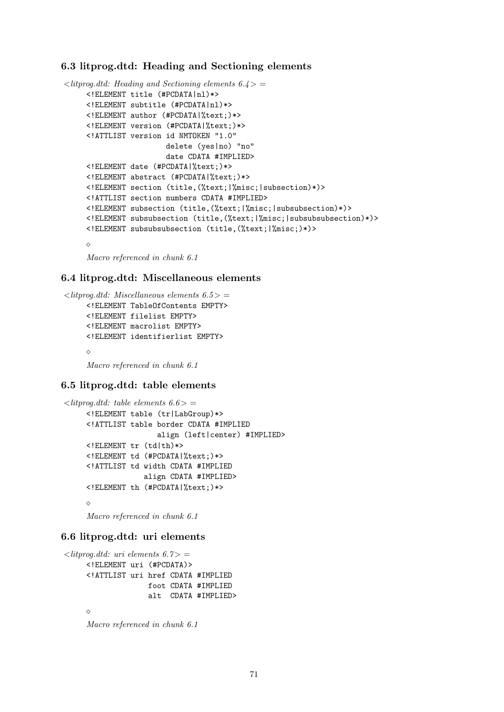## 6.3 litprog.dtd: Heading and Sectioning elements

```
\langlelitprog.dtd: Heading and Sectioning elements 6.4>
     <!ELEMENT title (#PCDATA|nl)*>
     <!ELEMENT subtitle (#PCDATA|nl)*>
     <!ELEMENT author (#PCDATA|%text;)*>
     <!ELEMENT version (#PCDATA|%text;)*>
     <!ATTLIST version id NMTOKEN "1.0"
                       delete (yes|no) "no"
                        date CDATA #IMPLIED>
     <!ELEMENT date (#PCDATA|%text;)*>
     <!ELEMENT abstract (#PCDATA|%text;)*>
     <!ELEMENT section (title,(%text;|%misc;|subsection)*)>
     <!ATTLIST section numbers CDATA #IMPLIED>
     <!ELEMENT subsection (title,(%text;|%misc;|subsubsection)*)>
     <!ELEMENT subsubsection (title,(%text;|%misc;|subsubsubsection)*)>
     <!ELEMENT subsubsubsection (title,(%text;|%misc;)*)>
     \Diamond
```
Macro referenced in chunk 6.1

## 6.4 litprog.dtd: Miscellaneous elements

```
\langlelitprog.dtd: Miscellaneous elements 6.5> =
     <!ELEMENT TableOfContents EMPTY>
     <!ELEMENT filelist EMPTY>
     <!ELEMENT macrolist EMPTY>
     <!ELEMENT identifierlist EMPTY>
     ◇
     Macro referenced in chunk 6.1
```
#### 6.5 litprog.dtd: table elements

```
\langlelitprog.dtd: table elements 6.6 > =
     <!ELEMENT table (tr|LabGroup)*>
     <!ATTLIST table border CDATA #IMPLIED
                       align (left|center) #IMPLIED>
     <!ELEMENT tr (td|th)*>
     <!ELEMENT td (#PCDATA|%text;)*>
     <!ATTLIST td width CDATA #IMPLIED
                   align CDATA #IMPLIED>
     <!ELEMENT th (#PCDATA|%text;)*>
     \DiamondMacro referenced in chunk 6.1
```
## 6.6 litprog.dtd: uri elements

```
\langlelitprog.dtd: uri elements 6.7> =
     <!ELEMENT uri (#PCDATA)>
     <!ATTLIST uri href CDATA #IMPLIED
                      foot CDATA #IMPLIED
                      alt CDATA #IMPLIED>
     \triangleMacro referenced in chunk 6.1
```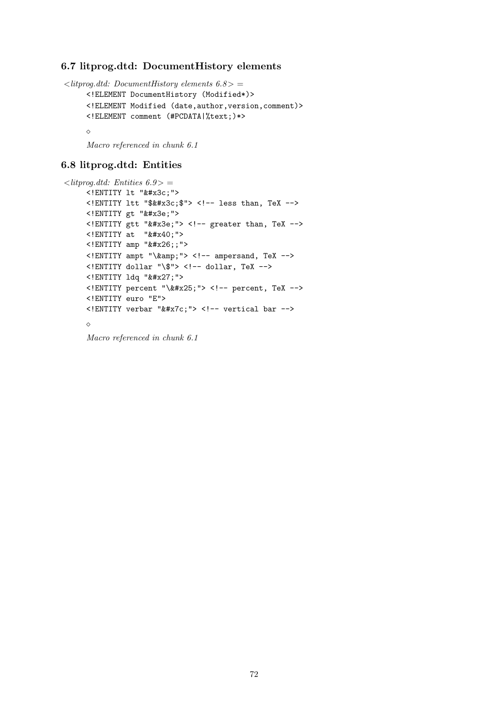## 6.7 litprog.dtd: DocumentHistory elements

```
\langlelitprog.dtd: DocumentHistory elements 6.8> =
     <!ELEMENT DocumentHistory (Modified*)>
     <!ELEMENT Modified (date,author,version,comment)>
     <!ELEMENT comment (#PCDATA|%text;)*>
     \Diamond
```
Macro referenced in chunk 6.1

## 6.8 litprog.dtd: Entities

```
\langlelitprog.dtd: Entities 6.9>
     <! ENTITY 1t " &#x3c; ">
     \le! ENTITY ltt "$< $"> \le!-- less than, TeX -->
     <! ENTITY gt "&#x3e; ">
     <! ENTITY gtt "&#x3e; "> <!-- greater than, TeX -->
     \langle!ENTITY at "@">
     \le! ENTITY amp " \&\#x26; ; " >
     \langle!ENTITY ampt "\langle amp; "> \langle -- ampersand, TeX -->
     <!ENTITY dollar "\$"> <!-- dollar, TeX -->
     <! ENTITY 1dq " &#x27; ">
     <! ENTITY percent "\&#x25;"> <!-- percent, TeX -->
     <!ENTITY euro "E">
     \le!ENTITY verbar "|"> \le!-- vertical bar -->
     \Diamond
```
Macro referenced in chunk 6.1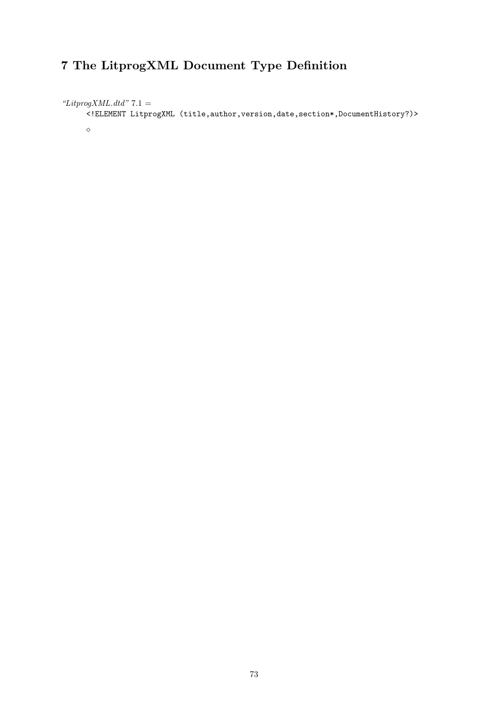#### 7 The LitprogXML Document Type Definition

"LitprogXML.dtd"  $7.1 =$ 

<!ELEMENT LitprogXML (title,author,version,date,section\*,DocumentHistory?)>

 $\Diamond$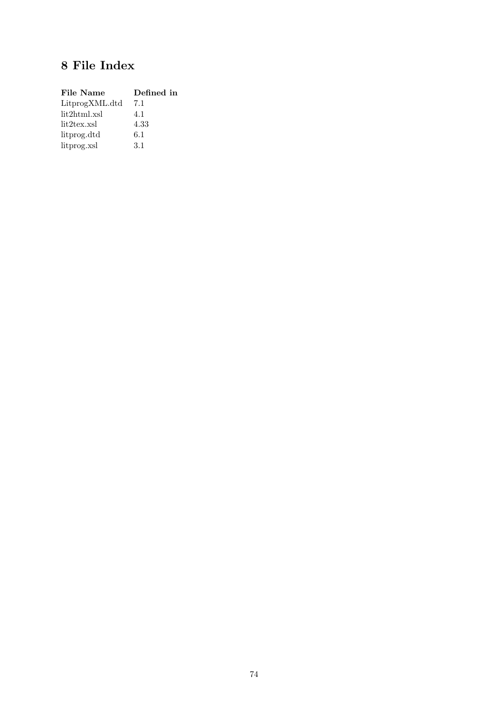## 8 File Index

| File Name      | Defined in |
|----------------|------------|
| LitprogXML.dtd | 7.1        |
| lit2html.xsl   | 4.1        |
| lit2tex.xsl    | 4.33       |
| litprog.dtd    | 6.1        |
| litprog.xsl    | 3.1        |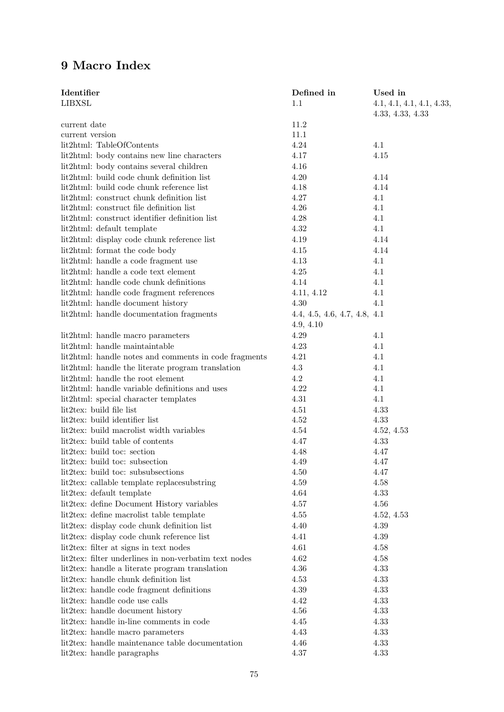#### 9 Macro Index

| Identifier<br><b>LIBXSL</b>                                                             | Defined in<br>1.1                         | Used in<br>4.1, 4.1, 4.1, 4.1, 4.33, |
|-----------------------------------------------------------------------------------------|-------------------------------------------|--------------------------------------|
|                                                                                         |                                           | 4.33, 4.33, 4.33                     |
| current date                                                                            | 11.2                                      |                                      |
| current version                                                                         | 11.1                                      |                                      |
| lit2html: TableOfContents                                                               | $4.24\,$<br>4.17                          | 4.1<br>4.15                          |
| lit2html: body contains new line characters                                             | 4.16                                      |                                      |
| lit2html: body contains several children                                                |                                           |                                      |
| lit2html: build code chunk definition list<br>lit2html: build code chunk reference list | 4.20                                      | 4.14                                 |
| lit2html: construct chunk definition list                                               | 4.18<br>4.27                              | 4.14<br>4.1                          |
| lit2html: construct file definition list                                                | $4.26\,$                                  | 4.1                                  |
| lit2html: construct identifier definition list                                          | 4.28                                      | 4.1                                  |
| lit2html: default template                                                              | $4.32\,$                                  | 4.1                                  |
| lit2html: display code chunk reference list                                             | 4.19                                      | 4.14                                 |
| lit2html: format the code body                                                          | 4.15                                      | 4.14                                 |
| lit2html: handle a code fragment use                                                    | 4.13                                      | 4.1                                  |
| lit2html: handle a code text element                                                    | $4.25\,$                                  |                                      |
| lit2html: handle code chunk definitions                                                 | 4.14                                      | 4.1<br>4.1                           |
|                                                                                         |                                           | 4.1                                  |
| lit2html: handle code fragment references                                               | 4.11, 4.12                                | 4.1                                  |
| lit2html: handle document history                                                       | 4.30                                      |                                      |
| lit2html: handle documentation fragments                                                | 4.4, 4.5, 4.6, 4.7, 4.8, 4.1<br>4.9, 4.10 |                                      |
| lit2html: handle macro parameters                                                       | 4.29                                      | 4.1                                  |
| lit2html: handle maintaintable                                                          | 4.23                                      | 4.1                                  |
| lit2html: handle notes and comments in code fragments                                   | 4.21                                      | 4.1                                  |
| lit2html: handle the literate program translation                                       | 4.3                                       | 4.1                                  |
| lit2html: handle the root element                                                       | 4.2                                       | 4.1                                  |
| lit2html: handle variable definitions and uses                                          | 4.22                                      | 4.1                                  |
| lit2html: special character templates                                                   | 4.31                                      | 4.1                                  |
| lit2tex: build file list                                                                | 4.51                                      | 4.33                                 |
| lit2tex: build identifier list                                                          | 4.52                                      | 4.33                                 |
| lit2tex: build macrolist width variables                                                | 4.54                                      | 4.52, 4.53                           |
| lit2tex: build table of contents                                                        | 4.47                                      | 4.33                                 |
| lit2tex: build toc: section                                                             | 4.48                                      | 4.47                                 |
| lit2tex: build toc: subsection                                                          | 4.49                                      | 4.47                                 |
| lit2tex: build toc: subsubsections                                                      | 4.50                                      | 4.47                                 |
| lit2tex: callable template replaces ubstring                                            | $4.59\,$                                  | 4.58                                 |
| lit2tex: default template                                                               | 4.64                                      | 4.33                                 |
| lit2tex: define Document History variables                                              | 4.57                                      | 4.56                                 |
| lit2tex: define macrolist table template                                                | 4.55                                      | 4.52, 4.53                           |
| lit2tex: display code chunk definition list                                             | 4.40                                      | 4.39                                 |
| lit2tex: display code chunk reference list                                              | 4.41                                      | 4.39                                 |
| lit2tex: filter at signs in text nodes                                                  | 4.61                                      | 4.58                                 |
| lit2tex: filter underlines in non-verbatim text nodes                                   | 4.62                                      | 4.58                                 |
| lit2tex: handle a literate program translation                                          | 4.36                                      | 4.33                                 |
| lit2tex: handle chunk definition list                                                   | 4.53                                      | 4.33                                 |
| lit2tex: handle code fragment definitions                                               | 4.39                                      | 4.33                                 |
| lit2tex: handle code use calls                                                          | 4.42                                      | 4.33                                 |
| lit2tex: handle document history                                                        | 4.56                                      | 4.33                                 |
| lit2tex: handle in-line comments in code                                                | 4.45                                      | 4.33                                 |
| lit2tex: handle macro parameters                                                        | 4.43                                      | 4.33                                 |
| lit2tex: handle maintenance table documentation                                         | 4.46                                      | 4.33                                 |
| lit2tex: handle paragraphs                                                              | $4.37\,$                                  | 4.33                                 |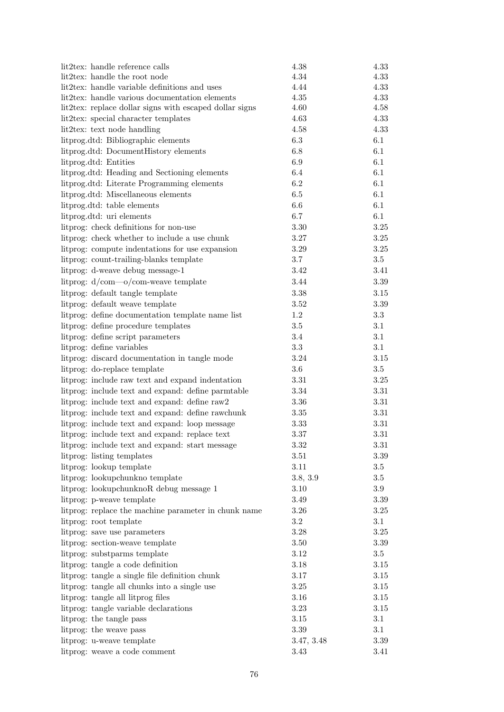| lit2tex: handle reference calls                                                                      | 4.38       | 4.33     |
|------------------------------------------------------------------------------------------------------|------------|----------|
| lit2tex: handle the root node                                                                        | 4.34       | 4.33     |
| lit2tex: handle variable definitions and uses                                                        | 4.44       | 4.33     |
| lit2tex: handle various documentation elements                                                       | $4.35\,$   | 4.33     |
| lit2tex: replace dollar signs with escaped dollar signs                                              | 4.60       | 4.58     |
| lit2tex: special character templates                                                                 | 4.63       | 4.33     |
| lit2tex: text node handling                                                                          | 4.58       | 4.33     |
| litprog.dtd: Bibliographic elements                                                                  | $6.3\,$    | 6.1      |
| litprog.dtd: DocumentHistory elements                                                                | 6.8        | 6.1      |
| litprog.dtd: Entities                                                                                | $6.9\,$    | 6.1      |
| litprog.dtd: Heading and Sectioning elements                                                         | 6.4        | 6.1      |
| litprog.dtd: Literate Programming elements                                                           | 6.2        | 6.1      |
| litprog.dtd: Miscellaneous elements                                                                  | 6.5        | 6.1      |
| litprog.dtd: table elements                                                                          | 6.6        | 6.1      |
| litprog.dtd: uri elements                                                                            | 6.7        | 6.1      |
| litprog: check definitions for non-use                                                               | $3.30\,$   | 3.25     |
| litprog: check whether to include a use chunk                                                        | $3.27\,$   | $3.25\,$ |
| littprog: compute indentations for use expansion                                                     | 3.29       | 3.25     |
| litprog: count-trailing-blanks template                                                              | 3.7        | 3.5      |
| litprog: d-weave debug message-1                                                                     | 3.42       | 3.41     |
| litprog: $d/\text{com}-o/\text{com}-$ weave template                                                 | 3.44       | $3.39\,$ |
| litprog: default tangle template                                                                     | $3.38\,$   | $3.15\,$ |
| litprog: default weave template                                                                      | $3.52\,$   | 3.39     |
| litprog: define documentation template name list                                                     | $1.2\,$    | $3.3\,$  |
| litprog: define procedure templates                                                                  | $3.5\,$    | 3.1      |
| litprog: define script parameters                                                                    | 3.4        | 3.1      |
| litprog: define variables                                                                            | 3.3        | 3.1      |
| littprog: discard documentation in tangle mode                                                       | 3.24       | 3.15     |
| litprog: do-replace template                                                                         | $3.6\,$    | $3.5\,$  |
| littprog: include raw text and expand indentation                                                    | $3.31\,$   | 3.25     |
| litprog: include text and expand: define parmtable                                                   | $3.34\,$   | $3.31\,$ |
|                                                                                                      | 3.36       | $3.31\,$ |
| litprog: include text and expand: define raw2                                                        | $3.35\,$   | 3.31     |
| litprog: include text and expand: define rawchunk<br>littprog: include text and expand: loop message |            |          |
|                                                                                                      | 3.33       | 3.31     |
| litprog: include text and expand: replace text                                                       | 3.37       | $3.31\,$ |
| litprog: include text and expand: start message                                                      | 3.32       | 3.31     |
| litprog: listing templates                                                                           | 3.51       | 3.39     |
| litprog: lookup template                                                                             | $3.11\,$   | $3.5\,$  |
| litprog: lookupchunkno template                                                                      | 3.8, 3.9   | $3.5\,$  |
| litprog: lookupchunknoR debug message 1                                                              | 3.10       | 3.9      |
| litprog: p-weave template                                                                            | 3.49       | 3.39     |
| litprog: replace the machine parameter in chunk name                                                 | 3.26       | 3.25     |
| litprog: root template                                                                               | $\!3.2\!$  | 3.1      |
| litprog: save use parameters                                                                         | 3.28       | 3.25     |
| litprog: section-weave template                                                                      | $3.50\,$   | $3.39\,$ |
| litprog: substparms template                                                                         | $3.12\,$   | $3.5\,$  |
| litprog: tangle a code definition                                                                    | $3.18\,$   | 3.15     |
| litprog: tangle a single file definition chunk                                                       | 3.17       | 3.15     |
| lit prog: tangle all chunks into a single use                                                        | $3.25\,$   | 3.15     |
| litprog: tangle all litprog files                                                                    | $3.16\,$   | 3.15     |
| litprog: tangle variable declarations                                                                | $3.23\,$   | 3.15     |
| litprog: the tangle pass                                                                             | $3.15\,$   | 3.1      |
| litprog: the weave pass                                                                              | $3.39\,$   | 3.1      |
| litprog: u-weave template                                                                            | 3.47, 3.48 | 3.39     |
| litprog: weave a code comment                                                                        | 3.43       | 3.41     |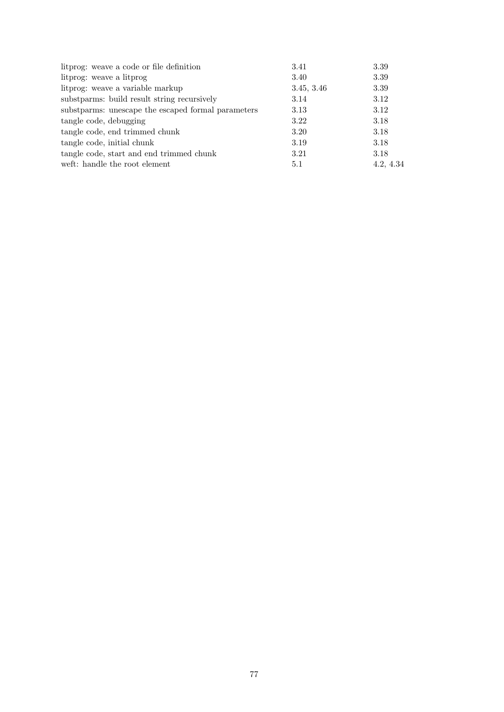| littor is used as code or file definition          | 3.41       | 3.39      |
|----------------------------------------------------|------------|-----------|
| litprog: weave a litprog                           | 3.40       | 3.39      |
| litprog: weave a variable markup                   | 3.45, 3.46 | 3.39      |
| substparms: build result string recursively        | 3.14       | 3.12      |
| substparms: unescape the escaped formal parameters | 3.13       | 3.12      |
| tangle code, debugging                             | 3.22       | 3.18      |
| tangle code, end trimmed chunk                     | 3.20       | 3.18      |
| tangle code, initial chunk                         | 3.19       | 3.18      |
| tangle code, start and end trimmed chunk           | 3.21       | 3.18      |
| weft: handle the root element                      | 5.1        | 4.2, 4.34 |
|                                                    |            |           |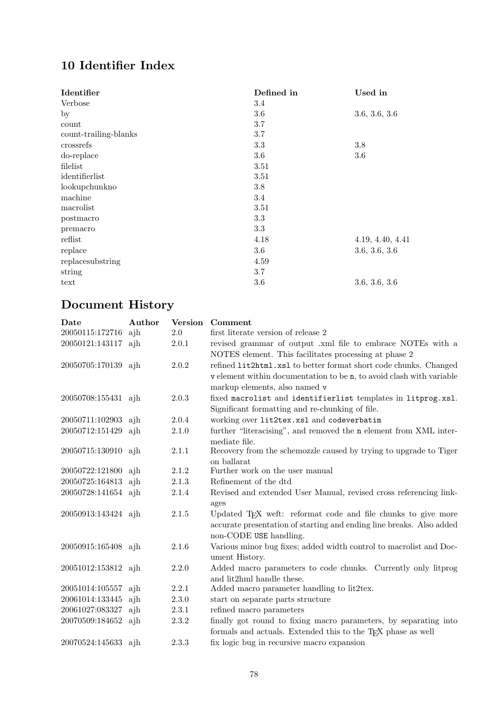## 10 Identifier Index

| Identifier            | Defined in | Used in          |
|-----------------------|------------|------------------|
| Verbose               | 3.4        |                  |
| $_{\rm by}$           | 3.6        | 3.6, 3.6, 3.6    |
| count                 | 3.7        |                  |
| count-trailing-blanks | 3.7        |                  |
| crossrefs             | 3.3        | 3.8              |
| do-replace            | 3.6        | 3.6              |
| filelist              | 3.51       |                  |
| identifierlist        | 3.51       |                  |
| lookupchunkno         | 3.8        |                  |
| machine               | 3.4        |                  |
| macrolist             | 3.51       |                  |
| postmacro             | 3.3        |                  |
| premacro              | 3.3        |                  |
| reflist               | 4.18       | 4.19, 4.40, 4.41 |
| replace               | 3.6        | 3.6, 3.6, 3.6    |
| replacesubstring      | 4.59       |                  |
| string                | 3.7        |                  |
| text                  | 3.6        | 3.6, 3.6, 3.6    |

# Document History

| Date                | Author | Version | Comment                                                                                                                                      |
|---------------------|--------|---------|----------------------------------------------------------------------------------------------------------------------------------------------|
| 20050115:172716     | ajh    | 2.0     | first literate version of release 2                                                                                                          |
| 20050121:143117 ajh |        | 2.0.1   | revised grammar of output .xml file to embrace NOTEs with a                                                                                  |
|                     |        |         | NOTES element. This facilitates processing at phase 2                                                                                        |
| 20050705:170139 ajh |        | 2.0.2   | refined lit2html.xsl to better format short code chunks. Changed                                                                             |
|                     |        |         | v element within documentation to be n, to avoid clash with variable                                                                         |
|                     |        |         | markup elements, also named v                                                                                                                |
| 20050708:155431 ajh |        | 2.0.3   | fixed macrolist and identifierlist templates in litprog.xsl.                                                                                 |
|                     |        |         | Significant formatting and re-chunking of file.                                                                                              |
| 20050711:102903 ajh |        | 2.0.4   | working over lit2tex.xsl and codeverbatim                                                                                                    |
| 20050712:151429     | ajh    | 2.1.0   | further "literacising", and removed the n element from XML inter-                                                                            |
|                     |        |         | mediate file.                                                                                                                                |
| 20050715:130910 ajh |        | 2.1.1   | Recovery from the schemozzle caused by trying to upgrade to Tiger                                                                            |
|                     |        |         | on ballarat                                                                                                                                  |
| 20050722:121800     | ajh    | 2.1.2   | Further work on the user manual                                                                                                              |
| 20050725:164813     | ajh    | 2.1.3   | Refinement of the dtd                                                                                                                        |
| 20050728:141654 ajh |        | 2.1.4   | Revised and extended User Manual, revised cross referencing link-                                                                            |
|                     |        |         | ages                                                                                                                                         |
| 20050913:143424 ajh |        | 2.1.5   | Updated T <sub>F</sub> X weft: reformat code and file chunks to give more                                                                    |
|                     |        |         | accurate presentation of starting and ending line breaks. Also added                                                                         |
|                     |        |         | non-CODE USE handling.                                                                                                                       |
| 20050915:165408 ajh |        | 2.1.6   | Various minor bug fixes; added width control to macrolist and Doc-                                                                           |
|                     |        |         | ument History.                                                                                                                               |
| 20051012:153812 ajh |        | 2.2.0   | Added macro parameters to code chunks. Currently only litprog                                                                                |
| 20051014:105557     | aih    | 2.2.1   | and lit2hml handle these.<br>Added macro parameter handling to lit2tex.                                                                      |
| 20061014:133445     | ajh    | 2.3.0   | start on separate parts structure                                                                                                            |
| 20061027:083327     |        | 2.3.1   | refined macro parameters                                                                                                                     |
|                     | ajh    | 2.3.2   |                                                                                                                                              |
| 20070509:184652 ajh |        |         | finally got round to fixing macro parameters, by separating into<br>formals and actuals. Extended this to the T <sub>F</sub> X phase as well |
| 20070524:145633 ajh |        | 2.3.3   | fix logic bug in recursive macro expansion                                                                                                   |
|                     |        |         |                                                                                                                                              |